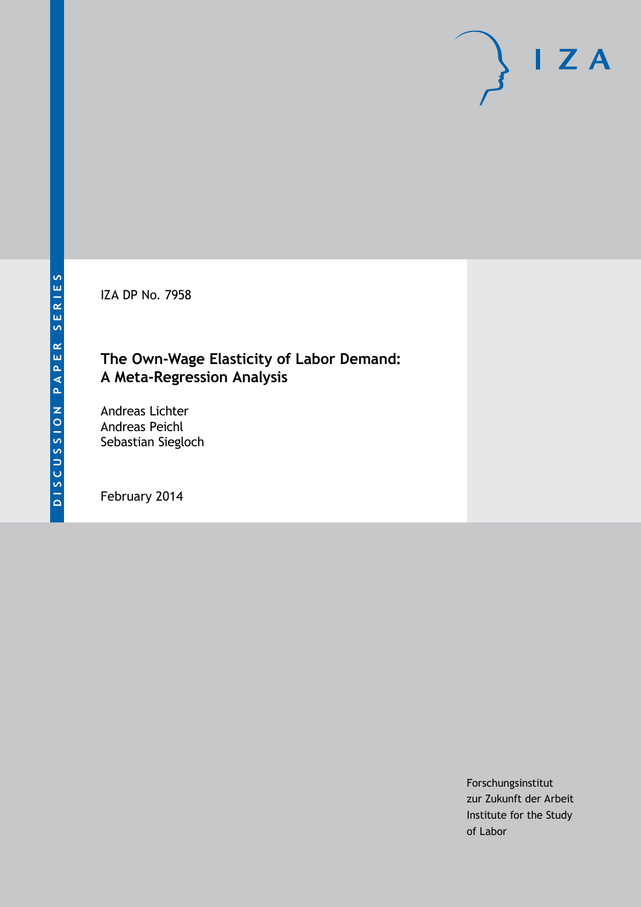IZA DP No. 7958

## **The Own-Wage Elasticity of Labor Demand: A Meta-Regression Analysis**

Andreas Lichter Andreas Peichl Sebastian Siegloch

February 2014

Forschungsinstitut zur Zukunft der Arbeit Institute for the Study of Labor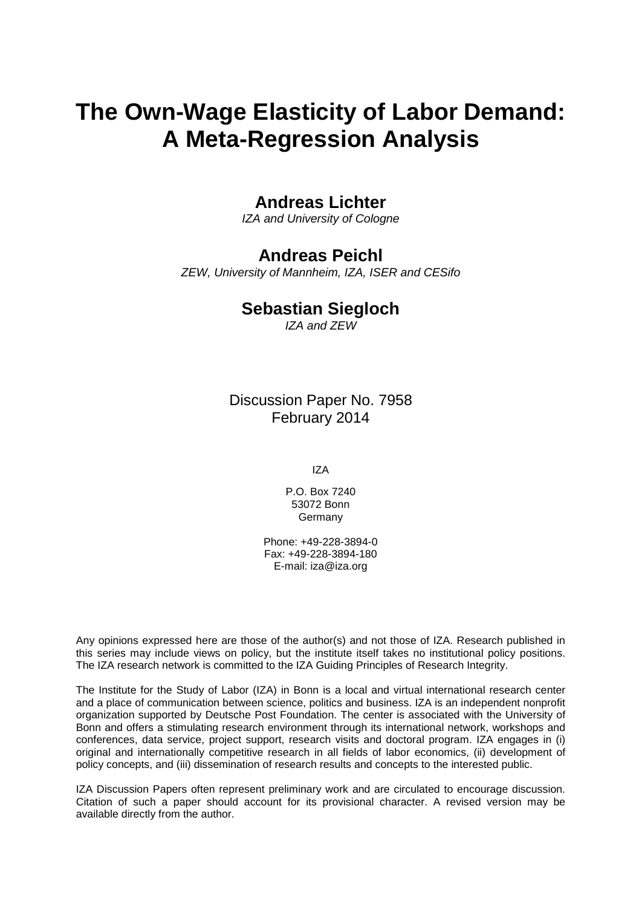# **The Own-Wage Elasticity of Labor Demand: A Meta-Regression Analysis**

## **Andreas Lichter**

*IZA and University of Cologne*

### **Andreas Peichl**

*ZEW, University of Mannheim, IZA, ISER and CESifo*

### **Sebastian Siegloch**

*IZA and ZEW*

Discussion Paper No. 7958 February 2014

IZA

P.O. Box 7240 53072 Bonn Germany

Phone: +49-228-3894-0 Fax: +49-228-3894-180 E-mail: [iza@iza.org](mailto:iza@iza.org)

Any opinions expressed here are those of the author(s) and not those of IZA. Research published in this series may include views on policy, but the institute itself takes no institutional policy positions. The IZA research network is committed to the IZA Guiding Principles of Research Integrity.

The Institute for the Study of Labor (IZA) in Bonn is a local and virtual international research center and a place of communication between science, politics and business. IZA is an independent nonprofit organization supported by Deutsche Post Foundation. The center is associated with the University of Bonn and offers a stimulating research environment through its international network, workshops and conferences, data service, project support, research visits and doctoral program. IZA engages in (i) original and internationally competitive research in all fields of labor economics, (ii) development of policy concepts, and (iii) dissemination of research results and concepts to the interested public.

<span id="page-1-0"></span>IZA Discussion Papers often represent preliminary work and are circulated to encourage discussion. Citation of such a paper should account for its provisional character. A revised version may be available directly from the author.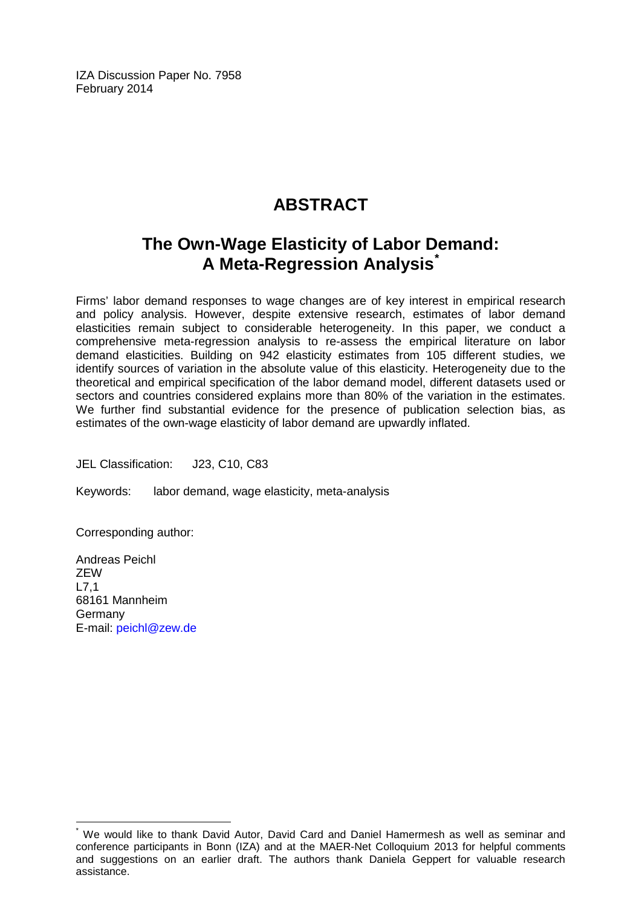IZA Discussion Paper No. 7958 February 2014

## **ABSTRACT**

## **The Own-Wage Elasticity of Labor Demand: A Meta-Regression Analysis[\\*](#page-1-0)**

Firms' labor demand responses to wage changes are of key interest in empirical research and policy analysis. However, despite extensive research, estimates of labor demand elasticities remain subject to considerable heterogeneity. In this paper, we conduct a comprehensive meta-regression analysis to re-assess the empirical literature on labor demand elasticities. Building on 942 elasticity estimates from 105 different studies, we identify sources of variation in the absolute value of this elasticity. Heterogeneity due to the theoretical and empirical specification of the labor demand model, different datasets used or sectors and countries considered explains more than 80% of the variation in the estimates. We further find substantial evidence for the presence of publication selection bias, as estimates of the own-wage elasticity of labor demand are upwardly inflated.

JEL Classification: J23, C10, C83

Keywords: labor demand, wage elasticity, meta-analysis

Corresponding author:

Andreas Peichl **ZEW** L7,1 68161 Mannheim Germany E-mail: [peichl@zew.de](mailto:peichl@zew.de)

We would like to thank David Autor, David Card and Daniel Hamermesh as well as seminar and conference participants in Bonn (IZA) and at the MAER-Net Colloquium 2013 for helpful comments and suggestions on an earlier draft. The authors thank Daniela Geppert for valuable research assistance.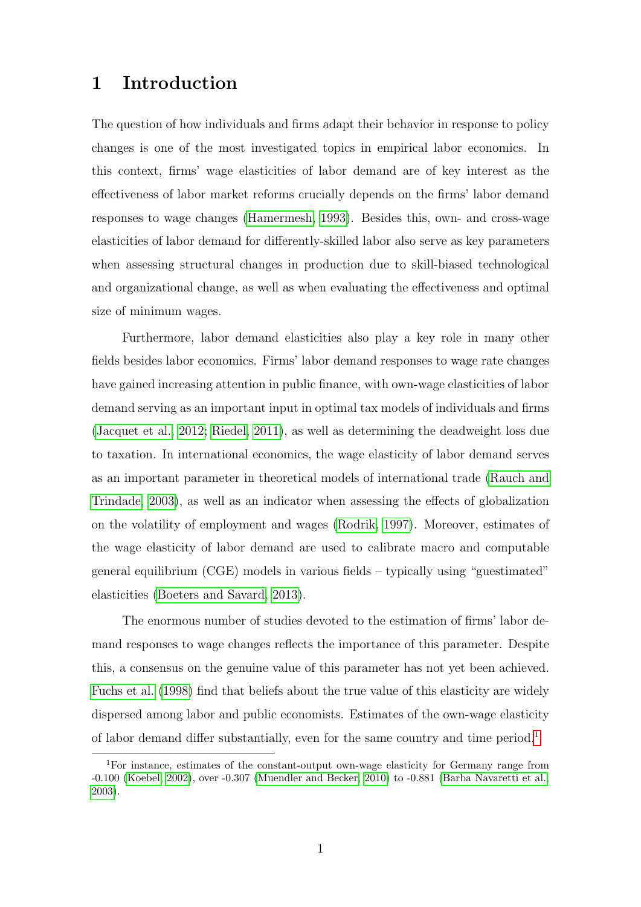## 1 Introduction

The question of how individuals and firms adapt their behavior in response to policy changes is one of the most investigated topics in empirical labor economics. In this context, firms' wage elasticities of labor demand are of key interest as the effectiveness of labor market reforms crucially depends on the firms' labor demand responses to wage changes [\(Hamermesh, 1993\)](#page-26-0). Besides this, own- and cross-wage elasticities of labor demand for differently-skilled labor also serve as key parameters when assessing structural changes in production due to skill-biased technological and organizational change, as well as when evaluating the effectiveness and optimal size of minimum wages.

Furthermore, labor demand elasticities also play a key role in many other fields besides labor economics. Firms' labor demand responses to wage rate changes have gained increasing attention in public finance, with own-wage elasticities of labor demand serving as an important input in optimal tax models of individuals and firms [\(Jacquet et al., 2012;](#page-27-0) [Riedel, 2011\)](#page-29-0), as well as determining the deadweight loss due to taxation. In international economics, the wage elasticity of labor demand serves as an important parameter in theoretical models of international trade [\(Rauch and](#page-29-1) [Trindade, 2003\)](#page-29-1), as well as an indicator when assessing the effects of globalization on the volatility of employment and wages [\(Rodrik, 1997\)](#page-29-2). Moreover, estimates of the wage elasticity of labor demand are used to calibrate macro and computable general equilibrium (CGE) models in various fields – typically using "guestimated" elasticities [\(Boeters and Savard, 2013\)](#page-23-0).

The enormous number of studies devoted to the estimation of firms' labor demand responses to wage changes reflects the importance of this parameter. Despite this, a consensus on the genuine value of this parameter has not yet been achieved. [Fuchs et al.](#page-25-0) [\(1998\)](#page-25-0) find that beliefs about the true value of this elasticity are widely dispersed among labor and public economists. Estimates of the own-wage elasticity of labor demand differ substantially, even for the same country and time period.[1](#page-3-0)

<span id="page-3-0"></span><sup>1</sup>For instance, estimates of the constant-output own-wage elasticity for Germany range from -0.100 [\(Koebel, 2002\)](#page-27-1), over -0.307 [\(Muendler and Becker, 2010\)](#page-28-0) to -0.881 [\(Barba Navaretti et al.,](#page-22-0) [2003\)](#page-22-0).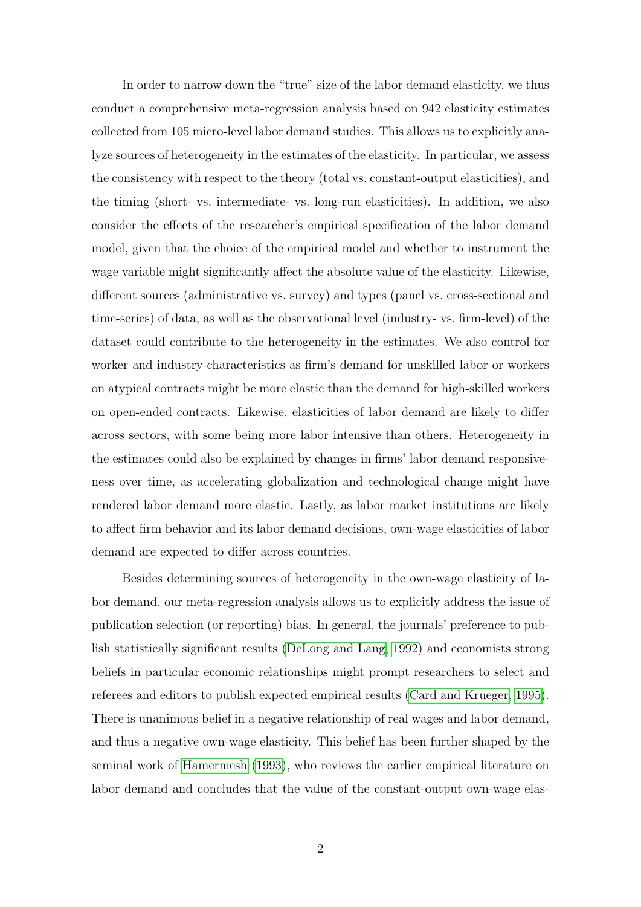In order to narrow down the "true" size of the labor demand elasticity, we thus conduct a comprehensive meta-regression analysis based on 942 elasticity estimates collected from 105 micro-level labor demand studies. This allows us to explicitly analyze sources of heterogeneity in the estimates of the elasticity. In particular, we assess the consistency with respect to the theory (total vs. constant-output elasticities), and the timing (short- vs. intermediate- vs. long-run elasticities). In addition, we also consider the effects of the researcher's empirical specification of the labor demand model, given that the choice of the empirical model and whether to instrument the wage variable might significantly affect the absolute value of the elasticity. Likewise, different sources (administrative vs. survey) and types (panel vs. cross-sectional and time-series) of data, as well as the observational level (industry- vs. firm-level) of the dataset could contribute to the heterogeneity in the estimates. We also control for worker and industry characteristics as firm's demand for unskilled labor or workers on atypical contracts might be more elastic than the demand for high-skilled workers on open-ended contracts. Likewise, elasticities of labor demand are likely to differ across sectors, with some being more labor intensive than others. Heterogeneity in the estimates could also be explained by changes in firms' labor demand responsiveness over time, as accelerating globalization and technological change might have rendered labor demand more elastic. Lastly, as labor market institutions are likely to affect firm behavior and its labor demand decisions, own-wage elasticities of labor demand are expected to differ across countries.

Besides determining sources of heterogeneity in the own-wage elasticity of labor demand, our meta-regression analysis allows us to explicitly address the issue of publication selection (or reporting) bias. In general, the journals' preference to publish statistically significant results [\(DeLong and Lang, 1992\)](#page-24-0) and economists strong beliefs in particular economic relationships might prompt researchers to select and referees and editors to publish expected empirical results [\(Card and Krueger, 1995\)](#page-24-1). There is unanimous belief in a negative relationship of real wages and labor demand, and thus a negative own-wage elasticity. This belief has been further shaped by the seminal work of [Hamermesh](#page-26-0) [\(1993\)](#page-26-0), who reviews the earlier empirical literature on labor demand and concludes that the value of the constant-output own-wage elas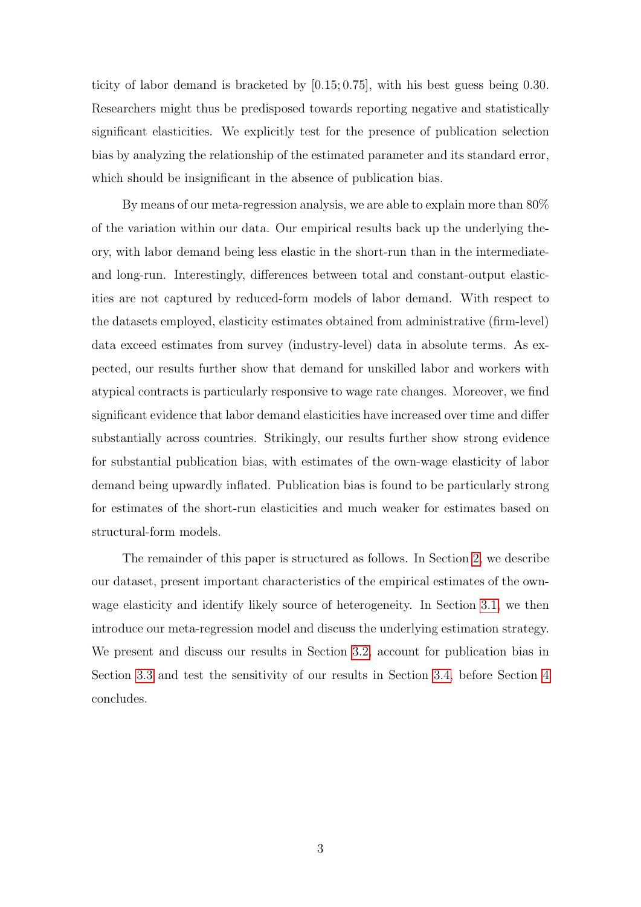ticity of labor demand is bracketed by [0.15; 0.75], with his best guess being 0.30. Researchers might thus be predisposed towards reporting negative and statistically significant elasticities. We explicitly test for the presence of publication selection bias by analyzing the relationship of the estimated parameter and its standard error, which should be insignificant in the absence of publication bias.

By means of our meta-regression analysis, we are able to explain more than 80% of the variation within our data. Our empirical results back up the underlying theory, with labor demand being less elastic in the short-run than in the intermediateand long-run. Interestingly, differences between total and constant-output elasticities are not captured by reduced-form models of labor demand. With respect to the datasets employed, elasticity estimates obtained from administrative (firm-level) data exceed estimates from survey (industry-level) data in absolute terms. As expected, our results further show that demand for unskilled labor and workers with atypical contracts is particularly responsive to wage rate changes. Moreover, we find significant evidence that labor demand elasticities have increased over time and differ substantially across countries. Strikingly, our results further show strong evidence for substantial publication bias, with estimates of the own-wage elasticity of labor demand being upwardly inflated. Publication bias is found to be particularly strong for estimates of the short-run elasticities and much weaker for estimates based on structural-form models.

The remainder of this paper is structured as follows. In Section [2,](#page-6-0) we describe our dataset, present important characteristics of the empirical estimates of the ownwage elasticity and identify likely source of heterogeneity. In Section [3.1,](#page-12-0) we then introduce our meta-regression model and discuss the underlying estimation strategy. We present and discuss our results in Section [3.2,](#page-13-0) account for publication bias in Section [3.3](#page-16-0) and test the sensitivity of our results in Section [3.4,](#page-19-0) before Section [4](#page-20-0) concludes.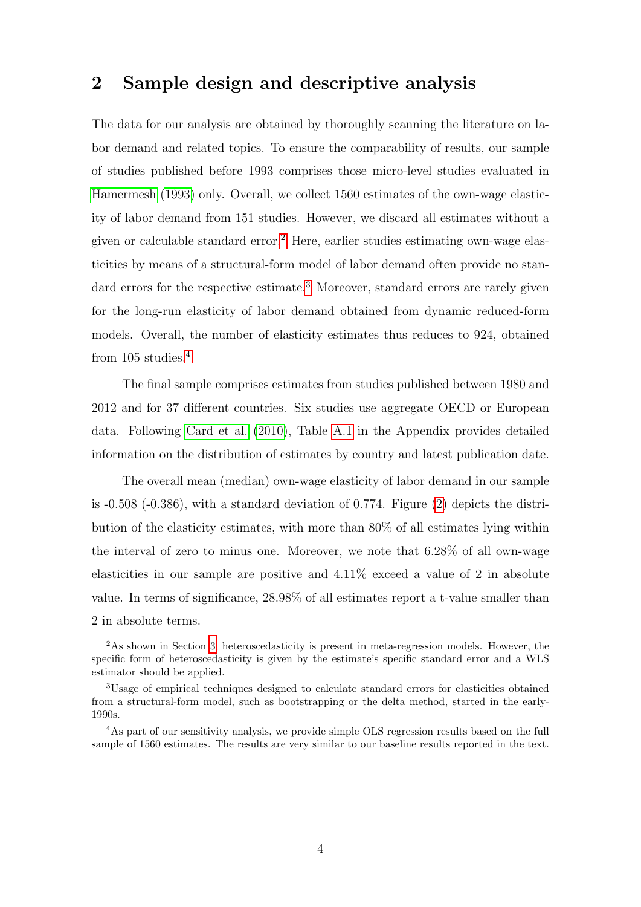## <span id="page-6-0"></span>2 Sample design and descriptive analysis

The data for our analysis are obtained by thoroughly scanning the literature on labor demand and related topics. To ensure the comparability of results, our sample of studies published before 1993 comprises those micro-level studies evaluated in [Hamermesh](#page-26-0) [\(1993\)](#page-26-0) only. Overall, we collect 1560 estimates of the own-wage elasticity of labor demand from 151 studies. However, we discard all estimates without a given or calculable standard error.[2](#page-6-1) Here, earlier studies estimating own-wage elasticities by means of a structural-form model of labor demand often provide no stan-dard errors for the respective estimate.<sup>[3](#page-6-2)</sup> Moreover, standard errors are rarely given for the long-run elasticity of labor demand obtained from dynamic reduced-form models. Overall, the number of elasticity estimates thus reduces to 924, obtained from  $105$  studies.<sup>[4](#page-6-3)</sup>

The final sample comprises estimates from studies published between 1980 and 2012 and for 37 different countries. Six studies use aggregate OECD or European data. Following [Card et al.](#page-24-2) [\(2010\)](#page-24-2), Table [A.1](#page-31-0) in the Appendix provides detailed information on the distribution of estimates by country and latest publication date.

The overall mean (median) own-wage elasticity of labor demand in our sample is -0.508 (-0.386), with a standard deviation of 0.774. Figure [\(2\)](#page-7-0) depicts the distribution of the elasticity estimates, with more than 80% of all estimates lying within the interval of zero to minus one. Moreover, we note that 6.28% of all own-wage elasticities in our sample are positive and  $4.11\%$  exceed a value of 2 in absolute value. In terms of significance, 28.98% of all estimates report a t-value smaller than 2 in absolute terms.

<span id="page-6-1"></span><sup>&</sup>lt;sup>2</sup>As shown in Section [3,](#page-12-1) heteroscedasticity is present in meta-regression models. However, the specific form of heteroscedasticity is given by the estimate's specific standard error and a WLS estimator should be applied.

<span id="page-6-2"></span><sup>3</sup>Usage of empirical techniques designed to calculate standard errors for elasticities obtained from a structural-form model, such as bootstrapping or the delta method, started in the early-1990s.

<span id="page-6-3"></span><sup>&</sup>lt;sup>4</sup>As part of our sensitivity analysis, we provide simple OLS regression results based on the full sample of 1560 estimates. The results are very similar to our baseline results reported in the text.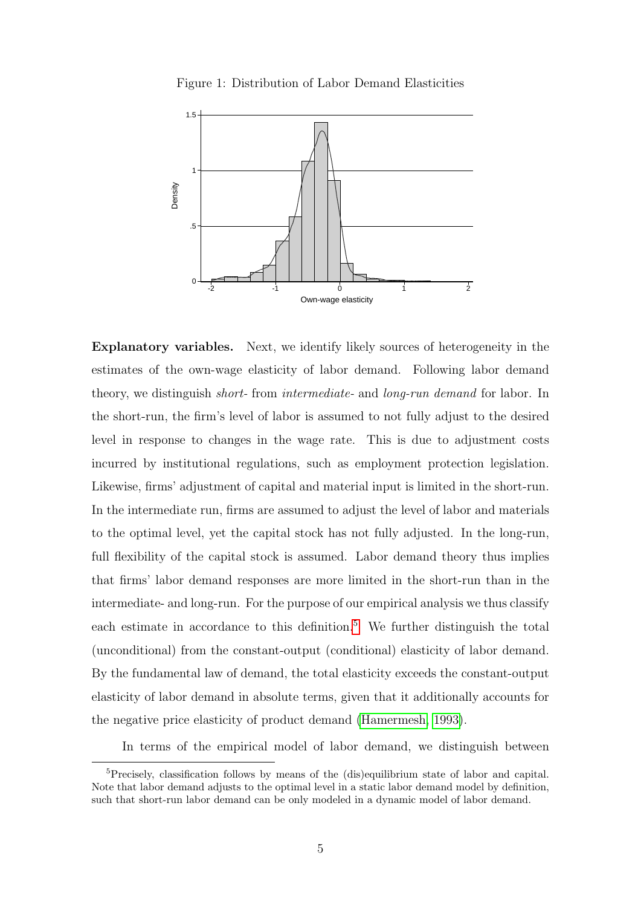Figure 1: Distribution of Labor Demand Elasticities

<span id="page-7-0"></span>

Explanatory variables. Next, we identify likely sources of heterogeneity in the estimates of the own-wage elasticity of labor demand. Following labor demand theory, we distinguish *short*-from *intermediate*- and *long-run demand* for labor. In the short-run, the firm's level of labor is assumed to not fully adjust to the desired level in response to changes in the wage rate. This is due to adjustment costs incurred by institutional regulations, such as employment protection legislation. Likewise, firms' adjustment of capital and material input is limited in the short-run. In the intermediate run, firms are assumed to adjust the level of labor and materials to the optimal level, yet the capital stock has not fully adjusted. In the long-run, full flexibility of the capital stock is assumed. Labor demand theory thus implies that firms' labor demand responses are more limited in the short-run than in the intermediate- and long-run. For the purpose of our empirical analysis we thus classify each estimate in accordance to this definition.<sup>[5](#page-7-1)</sup> We further distinguish the total (unconditional) from the constant-output (conditional) elasticity of labor demand. By the fundamental law of demand, the total elasticity exceeds the constant-output elasticity of labor demand in absolute terms, given that it additionally accounts for the negative price elasticity of product demand [\(Hamermesh, 1993\)](#page-26-0).

In terms of the empirical model of labor demand, we distinguish between

<span id="page-7-1"></span><sup>5</sup>Precisely, classification follows by means of the (dis)equilibrium state of labor and capital. Note that labor demand adjusts to the optimal level in a static labor demand model by definition, such that short-run labor demand can be only modeled in a dynamic model of labor demand.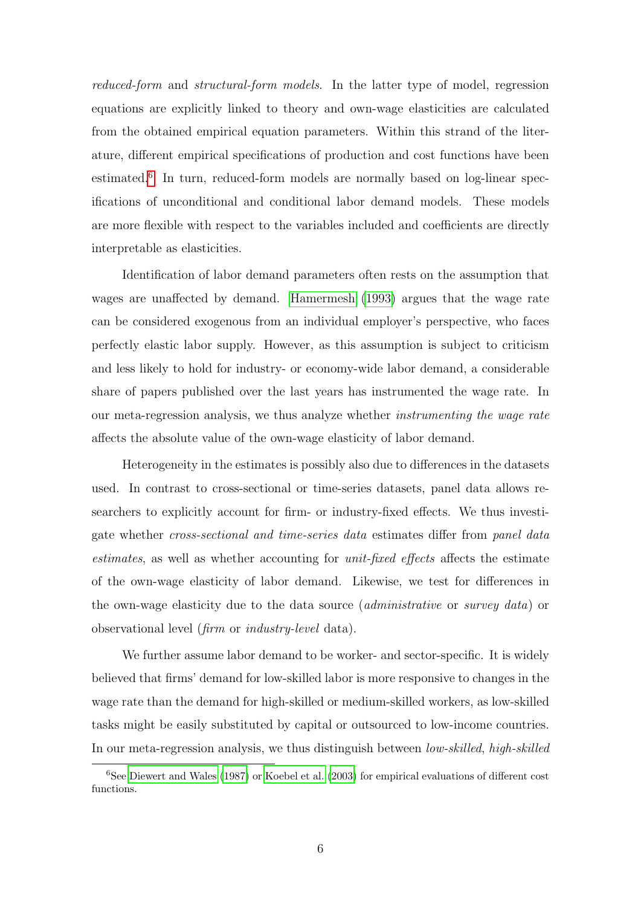reduced-form and structural-form models. In the latter type of model, regression equations are explicitly linked to theory and own-wage elasticities are calculated from the obtained empirical equation parameters. Within this strand of the literature, different empirical specifications of production and cost functions have been estimated.<sup>[6](#page-8-0)</sup> In turn, reduced-form models are normally based on log-linear specifications of unconditional and conditional labor demand models. These models are more flexible with respect to the variables included and coefficients are directly interpretable as elasticities.

Identification of labor demand parameters often rests on the assumption that wages are unaffected by demand. [Hamermesh](#page-26-0) [\(1993\)](#page-26-0) argues that the wage rate can be considered exogenous from an individual employer's perspective, who faces perfectly elastic labor supply. However, as this assumption is subject to criticism and less likely to hold for industry- or economy-wide labor demand, a considerable share of papers published over the last years has instrumented the wage rate. In our meta-regression analysis, we thus analyze whether instrumenting the wage rate affects the absolute value of the own-wage elasticity of labor demand.

Heterogeneity in the estimates is possibly also due to differences in the datasets used. In contrast to cross-sectional or time-series datasets, panel data allows researchers to explicitly account for firm- or industry-fixed effects. We thus investigate whether cross-sectional and time-series data estimates differ from panel data estimates, as well as whether accounting for unit-fixed effects affects the estimate of the own-wage elasticity of labor demand. Likewise, we test for differences in the own-wage elasticity due to the data source (administrative or survey data) or observational level (firm or industry-level data).

We further assume labor demand to be worker- and sector-specific. It is widely believed that firms' demand for low-skilled labor is more responsive to changes in the wage rate than the demand for high-skilled or medium-skilled workers, as low-skilled tasks might be easily substituted by capital or outsourced to low-income countries. In our meta-regression analysis, we thus distinguish between *low-skilled, high-skilled* 

<span id="page-8-0"></span><sup>&</sup>lt;sup>6</sup>See [Diewert and Wales](#page-24-3) [\(1987\)](#page-24-3) or [Koebel et al.](#page-27-2) [\(2003\)](#page-27-2) for empirical evaluations of different cost functions.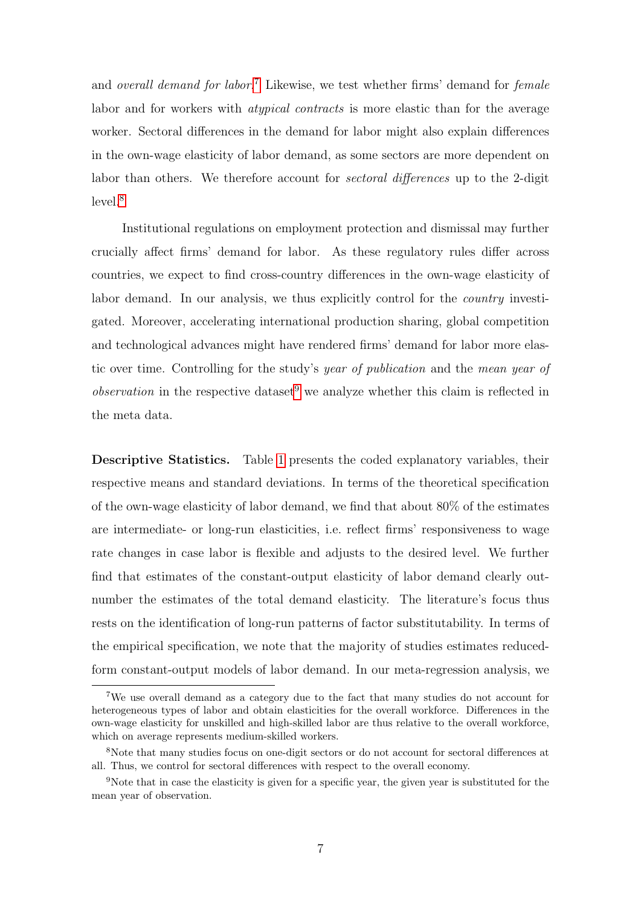and *overall demand for labor.*<sup>[7](#page-9-0)</sup> Likewise, we test whether firms' demand for *female* labor and for workers with *atypical contracts* is more elastic than for the average worker. Sectoral differences in the demand for labor might also explain differences in the own-wage elasticity of labor demand, as some sectors are more dependent on labor than others. We therefore account for *sectoral differences* up to the 2-digit level.[8](#page-9-1)

Institutional regulations on employment protection and dismissal may further crucially affect firms' demand for labor. As these regulatory rules differ across countries, we expect to find cross-country differences in the own-wage elasticity of labor demand. In our analysis, we thus explicitly control for the *country* investigated. Moreover, accelerating international production sharing, global competition and technological advances might have rendered firms' demand for labor more elastic over time. Controlling for the study's year of publication and the mean year of *observation* in the respective dataset<sup>[9](#page-9-2)</sup> we analyze whether this claim is reflected in the meta data.

Descriptive Statistics. Table [1](#page-10-0) presents the coded explanatory variables, their respective means and standard deviations. In terms of the theoretical specification of the own-wage elasticity of labor demand, we find that about 80% of the estimates are intermediate- or long-run elasticities, i.e. reflect firms' responsiveness to wage rate changes in case labor is flexible and adjusts to the desired level. We further find that estimates of the constant-output elasticity of labor demand clearly outnumber the estimates of the total demand elasticity. The literature's focus thus rests on the identification of long-run patterns of factor substitutability. In terms of the empirical specification, we note that the majority of studies estimates reducedform constant-output models of labor demand. In our meta-regression analysis, we

<span id="page-9-0"></span><sup>7</sup>We use overall demand as a category due to the fact that many studies do not account for heterogeneous types of labor and obtain elasticities for the overall workforce. Differences in the own-wage elasticity for unskilled and high-skilled labor are thus relative to the overall workforce, which on average represents medium-skilled workers.

<span id="page-9-1"></span><sup>&</sup>lt;sup>8</sup>Note that many studies focus on one-digit sectors or do not account for sectoral differences at all. Thus, we control for sectoral differences with respect to the overall economy.

<span id="page-9-2"></span><sup>9</sup>Note that in case the elasticity is given for a specific year, the given year is substituted for the mean year of observation.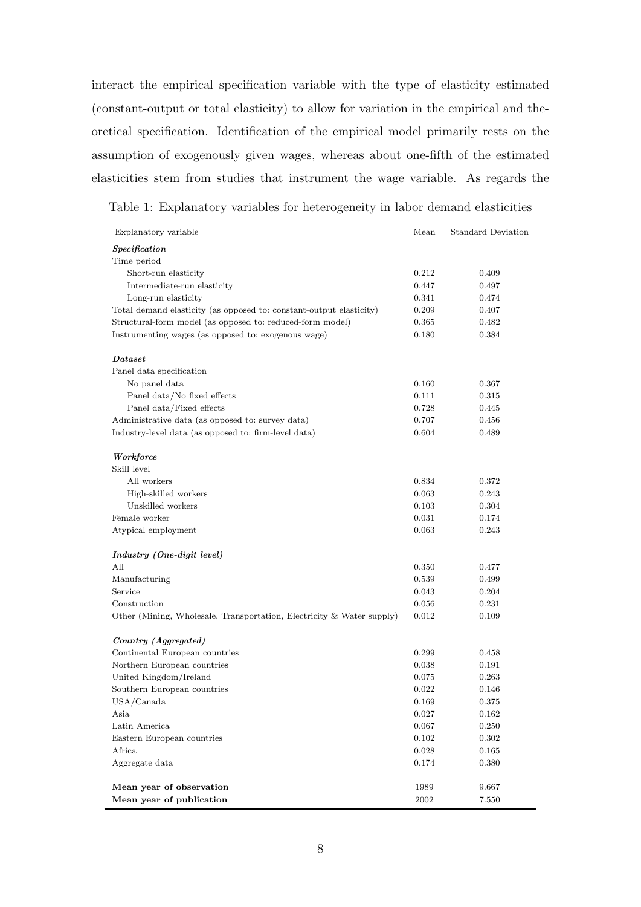interact the empirical specification variable with the type of elasticity estimated (constant-output or total elasticity) to allow for variation in the empirical and theoretical specification. Identification of the empirical model primarily rests on the assumption of exogenously given wages, whereas about one-fifth of the estimated elasticities stem from studies that instrument the wage variable. As regards the

<span id="page-10-0"></span>

|  | Table 1: Explanatory variables for heterogeneity in labor demand elasticities |  |  |
|--|-------------------------------------------------------------------------------|--|--|
|  |                                                                               |  |  |

| Explanatory variable                                                  | Mean  | Standard Deviation |
|-----------------------------------------------------------------------|-------|--------------------|
| Specification                                                         |       |                    |
| Time period                                                           |       |                    |
| Short-run elasticity                                                  | 0.212 | 0.409              |
| Intermediate-run elasticity                                           | 0.447 | 0.497              |
| Long-run elasticity                                                   | 0.341 | 0.474              |
| Total demand elasticity (as opposed to: constant-output elasticity)   | 0.209 | 0.407              |
| Structural-form model (as opposed to: reduced-form model)             | 0.365 | 0.482              |
| Instrumenting wages (as opposed to: exogenous wage)                   | 0.180 | 0.384              |
| $\it Dataset$                                                         |       |                    |
| Panel data specification                                              |       |                    |
| No panel data                                                         | 0.160 | 0.367              |
| Panel data/No fixed effects                                           | 0.111 | 0.315              |
| Panel data/Fixed effects                                              | 0.728 | 0.445              |
| Administrative data (as opposed to: survey data)                      | 0.707 | 0.456              |
| Industry-level data (as opposed to: firm-level data)                  | 0.604 | 0.489              |
| Workforce                                                             |       |                    |
| Skill level                                                           |       |                    |
| All workers                                                           | 0.834 | 0.372              |
| High-skilled workers                                                  | 0.063 | 0.243              |
| Unskilled workers                                                     | 0.103 | 0.304              |
| Female worker                                                         | 0.031 | 0.174              |
| Atypical employment                                                   | 0.063 | 0.243              |
| Industry (One-digit level)                                            |       |                    |
| All                                                                   | 0.350 | 0.477              |
| Manufacturing                                                         | 0.539 | 0.499              |
| Service                                                               | 0.043 | 0.204              |
| Construction                                                          | 0.056 | 0.231              |
| Other (Mining, Wholesale, Transportation, Electricity & Water supply) | 0.012 | 0.109              |
| Country (Aggregated)                                                  |       |                    |
| Continental European countries                                        | 0.299 | 0.458              |
| Northern European countries                                           | 0.038 | 0.191              |
| United Kingdom/Ireland                                                | 0.075 | 0.263              |
| Southern European countries                                           | 0.022 | 0.146              |
| USA/Canada                                                            | 0.169 | 0.375              |
| Asia                                                                  | 0.027 | 0.162              |
| Latin America                                                         | 0.067 | 0.250              |
| Eastern European countries                                            | 0.102 | 0.302              |
| Africa                                                                | 0.028 | 0.165              |
| Aggregate data                                                        | 0.174 | 0.380              |
| Mean year of observation                                              | 1989  | 9.667              |
| Mean year of publication                                              | 2002  | 7.550              |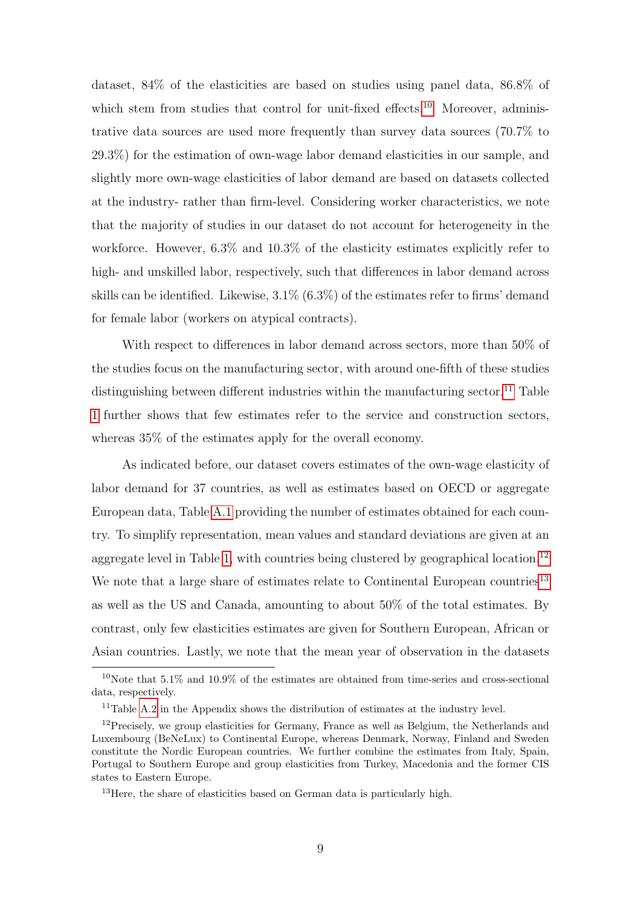dataset, 84% of the elasticities are based on studies using panel data, 86.8% of which stem from studies that control for unit-fixed effects.<sup>[10](#page-11-0)</sup> Moreover, administrative data sources are used more frequently than survey data sources (70.7% to 29.3%) for the estimation of own-wage labor demand elasticities in our sample, and slightly more own-wage elasticities of labor demand are based on datasets collected at the industry- rather than firm-level. Considering worker characteristics, we note that the majority of studies in our dataset do not account for heterogeneity in the workforce. However,  $6.3\%$  and  $10.3\%$  of the elasticity estimates explicitly refer to high- and unskilled labor, respectively, such that differences in labor demand across skills can be identified. Likewise, 3.1% (6.3%) of the estimates refer to firms' demand for female labor (workers on atypical contracts).

With respect to differences in labor demand across sectors, more than 50% of the studies focus on the manufacturing sector, with around one-fifth of these studies distinguishing between different industries within the manufacturing sector.<sup>[11](#page-11-1)</sup> Table [1](#page-10-0) further shows that few estimates refer to the service and construction sectors, whereas 35% of the estimates apply for the overall economy.

As indicated before, our dataset covers estimates of the own-wage elasticity of labor demand for 37 countries, as well as estimates based on OECD or aggregate European data, Table [A.1](#page-31-0) providing the number of estimates obtained for each country. To simplify representation, mean values and standard deviations are given at an aggregate level in Table [1,](#page-10-0) with countries being clustered by geographical location.<sup>[12](#page-11-2)</sup> We note that a large share of estimates relate to Continental European countries<sup>[13](#page-11-3)</sup> as well as the US and Canada, amounting to about 50% of the total estimates. By contrast, only few elasticities estimates are given for Southern European, African or Asian countries. Lastly, we note that the mean year of observation in the datasets

<span id="page-11-0"></span> $10$ Note that  $5.1\%$  and  $10.9\%$  of the estimates are obtained from time-series and cross-sectional data, respectively.

<span id="page-11-2"></span><span id="page-11-1"></span><sup>&</sup>lt;sup>11</sup>Table [A.2](#page-32-0) in the Appendix shows the distribution of estimates at the industry level.

 $12$ Precisely, we group elasticities for Germany, France as well as Belgium, the Netherlands and Luxembourg (BeNeLux) to Continental Europe, whereas Denmark, Norway, Finland and Sweden constitute the Nordic European countries. We further combine the estimates from Italy, Spain, Portugal to Southern Europe and group elasticities from Turkey, Macedonia and the former CIS states to Eastern Europe.

<span id="page-11-3"></span><sup>&</sup>lt;sup>13</sup>Here, the share of elasticities based on German data is particularly high.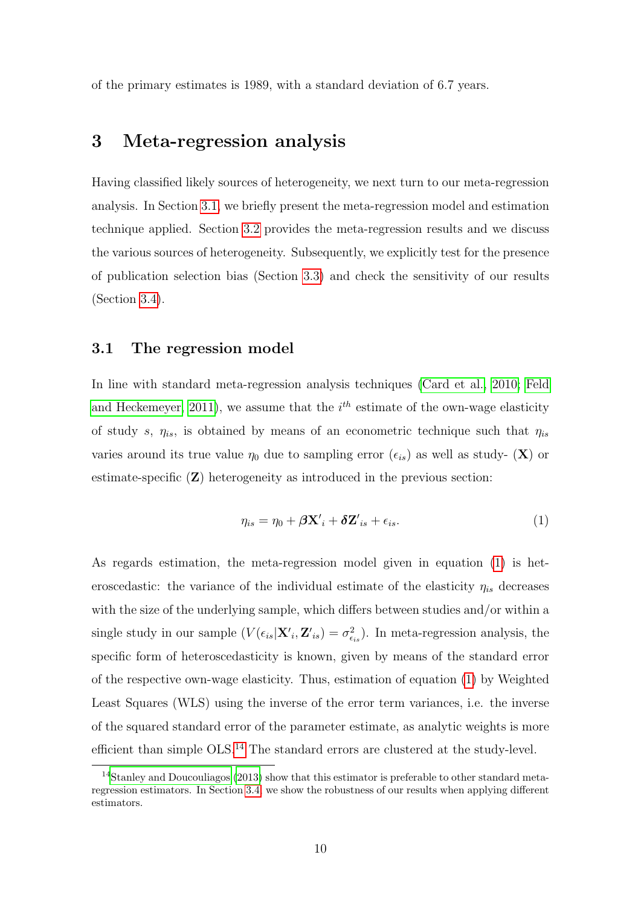of the primary estimates is 1989, with a standard deviation of 6.7 years.

## <span id="page-12-1"></span>3 Meta-regression analysis

Having classified likely sources of heterogeneity, we next turn to our meta-regression analysis. In Section [3.1,](#page-12-0) we briefly present the meta-regression model and estimation technique applied. Section [3.2](#page-13-0) provides the meta-regression results and we discuss the various sources of heterogeneity. Subsequently, we explicitly test for the presence of publication selection bias (Section [3.3\)](#page-16-0) and check the sensitivity of our results (Section [3.4\)](#page-19-0).

#### <span id="page-12-0"></span>3.1 The regression model

In line with standard meta-regression analysis techniques [\(Card et al., 2010;](#page-24-2) [Feld](#page-25-1) [and Heckemeyer, 2011\)](#page-25-1), we assume that the  $i<sup>th</sup>$  estimate of the own-wage elasticity of study s,  $\eta_{is}$ , is obtained by means of an econometric technique such that  $\eta_{is}$ varies around its true value  $\eta_0$  due to sampling error  $(\epsilon_{is})$  as well as study-  $(X)$  or estimate-specific  $(\mathbf{Z})$  heterogeneity as introduced in the previous section:

<span id="page-12-2"></span>
$$
\eta_{is} = \eta_0 + \beta \mathbf{X}'_i + \delta \mathbf{Z}'_{is} + \epsilon_{is}.\tag{1}
$$

As regards estimation, the meta-regression model given in equation [\(1\)](#page-12-2) is heteroscedastic: the variance of the individual estimate of the elasticity  $\eta_{is}$  decreases with the size of the underlying sample, which differs between studies and/or within a single study in our sample  $(V(\epsilon_{is}|\mathbf{X}'_i, \mathbf{Z}'_{is}) = \sigma_{\epsilon_{is}}^2)$ . In meta-regression analysis, the specific form of heteroscedasticity is known, given by means of the standard error of the respective own-wage elasticity. Thus, estimation of equation [\(1\)](#page-12-2) by Weighted Least Squares (WLS) using the inverse of the error term variances, i.e. the inverse of the squared standard error of the parameter estimate, as analytic weights is more efficient than simple  $OLS^{14}$  $OLS^{14}$  $OLS^{14}$  The standard errors are clustered at the study-level.

<span id="page-12-3"></span><sup>&</sup>lt;sup>14</sup>[Stanley and Doucouliagos](#page-29-3) [\(2013\)](#page-29-3) show that this estimator is preferable to other standard metaregression estimators. In Section [3.4,](#page-19-0) we show the robustness of our results when applying different estimators.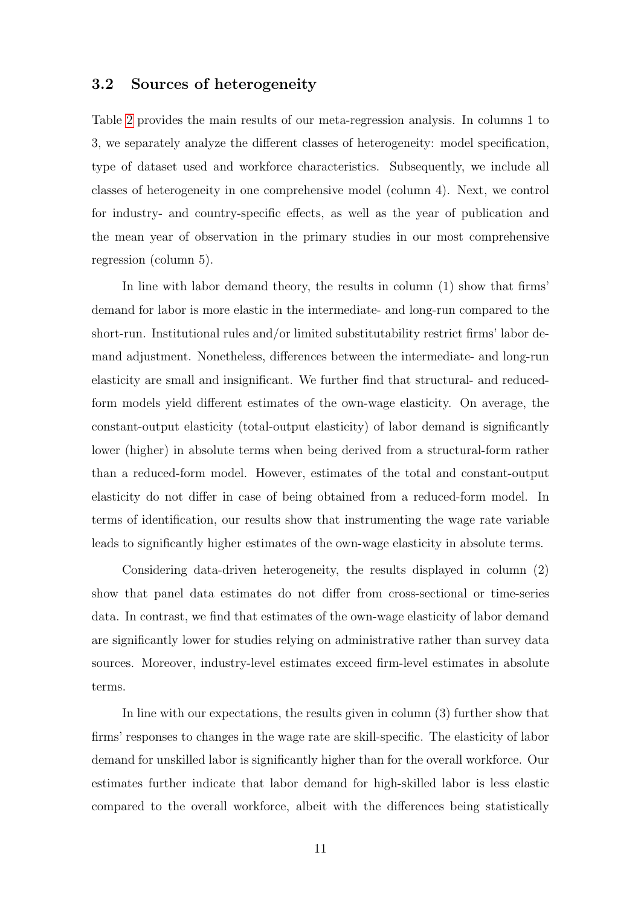#### <span id="page-13-0"></span>3.2 Sources of heterogeneity

Table [2](#page-14-0) provides the main results of our meta-regression analysis. In columns 1 to 3, we separately analyze the different classes of heterogeneity: model specification, type of dataset used and workforce characteristics. Subsequently, we include all classes of heterogeneity in one comprehensive model (column 4). Next, we control for industry- and country-specific effects, as well as the year of publication and the mean year of observation in the primary studies in our most comprehensive regression (column 5).

In line with labor demand theory, the results in column (1) show that firms' demand for labor is more elastic in the intermediate- and long-run compared to the short-run. Institutional rules and/or limited substitutability restrict firms' labor demand adjustment. Nonetheless, differences between the intermediate- and long-run elasticity are small and insignificant. We further find that structural- and reducedform models yield different estimates of the own-wage elasticity. On average, the constant-output elasticity (total-output elasticity) of labor demand is significantly lower (higher) in absolute terms when being derived from a structural-form rather than a reduced-form model. However, estimates of the total and constant-output elasticity do not differ in case of being obtained from a reduced-form model. In terms of identification, our results show that instrumenting the wage rate variable leads to significantly higher estimates of the own-wage elasticity in absolute terms.

Considering data-driven heterogeneity, the results displayed in column (2) show that panel data estimates do not differ from cross-sectional or time-series data. In contrast, we find that estimates of the own-wage elasticity of labor demand are significantly lower for studies relying on administrative rather than survey data sources. Moreover, industry-level estimates exceed firm-level estimates in absolute terms.

In line with our expectations, the results given in column (3) further show that firms' responses to changes in the wage rate are skill-specific. The elasticity of labor demand for unskilled labor is significantly higher than for the overall workforce. Our estimates further indicate that labor demand for high-skilled labor is less elastic compared to the overall workforce, albeit with the differences being statistically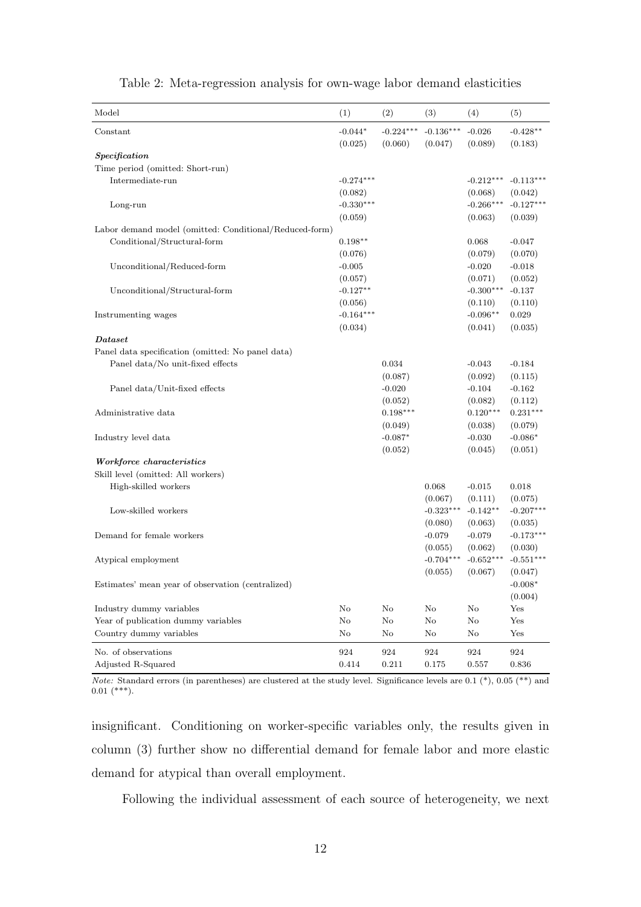| Model                                                                        | (1)                    | (2)         | (3)         | (4)                    | (5)                             |
|------------------------------------------------------------------------------|------------------------|-------------|-------------|------------------------|---------------------------------|
| Constant                                                                     | $-0.044*$              | $-0.224***$ | $-0.136***$ | $-0.026$               | $-0.428**$                      |
|                                                                              | (0.025)                | (0.060)     | (0.047)     | (0.089)                | (0.183)                         |
| Specification                                                                |                        |             |             |                        |                                 |
| Time period (omitted: Short-run)                                             |                        |             |             |                        |                                 |
| Intermediate-run                                                             | $-0.274***$            |             |             | $-0.212***$            | $-0.113***$                     |
| Long-run                                                                     | (0.082)<br>$-0.330***$ |             |             | (0.068)<br>$-0.266***$ | (0.042)<br>$-0.127***$          |
|                                                                              | (0.059)                |             |             | (0.063)                | (0.039)                         |
| Labor demand model (omitted: Conditional/Reduced-form)                       |                        |             |             |                        |                                 |
| Conditional/Structural-form                                                  | $0.198**$              |             |             | 0.068                  | $-0.047$                        |
|                                                                              | (0.076)                |             |             | (0.079)                | (0.070)                         |
| Unconditional/Reduced-form                                                   | $-0.005$               |             |             | $-0.020$               | $-0.018$                        |
|                                                                              | (0.057)                |             |             | (0.071)                | (0.052)                         |
| Unconditional/Structural-form                                                | $-0.127**$             |             |             | $-0.300***$            | $-0.137$                        |
|                                                                              | (0.056)                |             |             | (0.110)                | (0.110)                         |
| Instrumenting wages                                                          | $-0.164***$            |             |             | $-0.096**$             | 0.029                           |
|                                                                              | (0.034)                |             |             | (0.041)                | (0.035)                         |
| $\boldsymbol{\mathit{D}} \boldsymbol{\mathit{at}} \boldsymbol{\mathit{ast}}$ |                        |             |             |                        |                                 |
| Panel data specification (omitted: No panel data)                            |                        |             |             |                        |                                 |
| Panel data/No unit-fixed effects                                             |                        | 0.034       |             | $-0.043$               | $-0.184$                        |
|                                                                              |                        | (0.087)     |             | (0.092)                | (0.115)                         |
| Panel data/Unit-fixed effects                                                |                        | $-0.020$    |             | $-0.104$               | $-0.162$                        |
|                                                                              |                        | (0.052)     |             | (0.082)                | (0.112)                         |
| Administrative data                                                          |                        | $0.198***$  |             | $0.120***$             | $0.231***$                      |
|                                                                              |                        | (0.049)     |             | (0.038)                | (0.079)                         |
| Industry level data                                                          |                        | $-0.087*$   |             | $-0.030$               | $-0.086*$                       |
|                                                                              |                        | (0.052)     |             | (0.045)                | (0.051)                         |
| Workforce characteristics                                                    |                        |             |             |                        |                                 |
| Skill level (omitted: All workers)                                           |                        |             |             |                        |                                 |
| High-skilled workers                                                         |                        |             | 0.068       | $-0.015$               | 0.018                           |
|                                                                              |                        |             | (0.067)     | (0.111)                | (0.075)                         |
| Low-skilled workers                                                          |                        |             | $-0.323***$ | $-0.142**$             | $-0.207***$                     |
|                                                                              |                        |             | (0.080)     | (0.063)                | (0.035)                         |
| Demand for female workers                                                    |                        |             | $-0.079$    | $-0.079$               | $-0.173***$                     |
|                                                                              |                        |             | (0.055)     | (0.062)                | (0.030)                         |
| Atypical employment                                                          |                        |             | $-0.704***$ | $-0.652***$            | $-0.551***$                     |
|                                                                              |                        |             | (0.055)     | (0.067)                | (0.047)                         |
| Estimates' mean year of observation (centralized)                            |                        |             |             |                        | $-0.008*$                       |
| Industry dummy variables                                                     | $\rm No$               | $\rm No$    | $\rm No$    | No                     | (0.004)<br>$\operatorname{Yes}$ |
| Year of publication dummy variables                                          | $\rm No$               | $\rm No$    | $\rm No$    | No                     | Yes                             |
| Country dummy variables                                                      | No                     | No          | No          | No                     | Yes                             |
|                                                                              |                        |             |             |                        |                                 |
| No. of observations                                                          | 924                    | 924         | 924         | 924                    | 924                             |
| Adjusted R-Squared                                                           | 0.414                  | 0.211       | 0.175       | 0.557                  | 0.836                           |

<span id="page-14-0"></span>

| Table 2: Meta-regression analysis for own-wage labor demand elasticities |  |  |
|--------------------------------------------------------------------------|--|--|
|                                                                          |  |  |

*Note:* Standard errors (in parentheses) are clustered at the study level. Significance levels are 0.1  $(*)$ , 0.05  $(**)$  and  $0.01$  (\*\*\*).

insignificant. Conditioning on worker-specific variables only, the results given in column (3) further show no differential demand for female labor and more elastic demand for atypical than overall employment.

Following the individual assessment of each source of heterogeneity, we next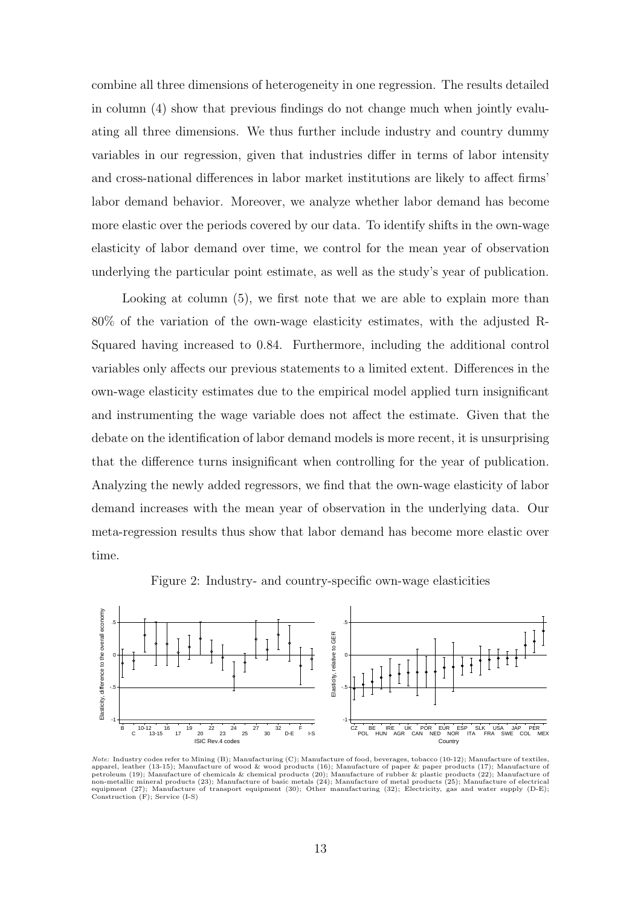combine all three dimensions of heterogeneity in one regression. The results detailed in column (4) show that previous findings do not change much when jointly evaluating all three dimensions. We thus further include industry and country dummy variables in our regression, given that industries differ in terms of labor intensity and cross-national differences in labor market institutions are likely to affect firms' labor demand behavior. Moreover, we analyze whether labor demand has become more elastic over the periods covered by our data. To identify shifts in the own-wage elasticity of labor demand over time, we control for the mean year of observation underlying the particular point estimate, as well as the study's year of publication.

Looking at column  $(5)$ , we first note that we are able to explain more than 80% of the variation of the own-wage elasticity estimates, with the adjusted R-Squared having increased to 0.84. Furthermore, including the additional control variables only affects our previous statements to a limited extent. Differences in the own-wage elasticity estimates due to the empirical model applied turn insignificant and instrumenting the wage variable does not affect the estimate. Given that the debate on the identification of labor demand models is more recent, it is unsurprising that the difference turns insignificant when controlling for the year of publication. Analyzing the newly added regressors, we find that the own-wage elasticity of labor demand increases with the mean year of observation in the underlying data. Our meta-regression results thus show that labor demand has become more elastic over time.

Figure 2: Industry- and country-specific own-wage elasticities

<span id="page-15-0"></span>

Note: Industry codes refer to Mining (B); Manufacturing (C); Manufacture of food, beverages, tobacco (10-12); Manufacture of textiles, apparel, leather (13-15); Manufacture of wood & wood products (16); Manufacture of paper & paper products (17); Manufacture of<br>petroleum (19); Manufacture of chemicals & chemical products (20); Manufacture of rubber & plas non-metallic mineral products (23); Manufacture of basic metals (24); Manufacture of metal products (25); Manufacture of electrical<br>equipment (27); Manufacture of transport equipment (30); Other manufacturing (32); Electri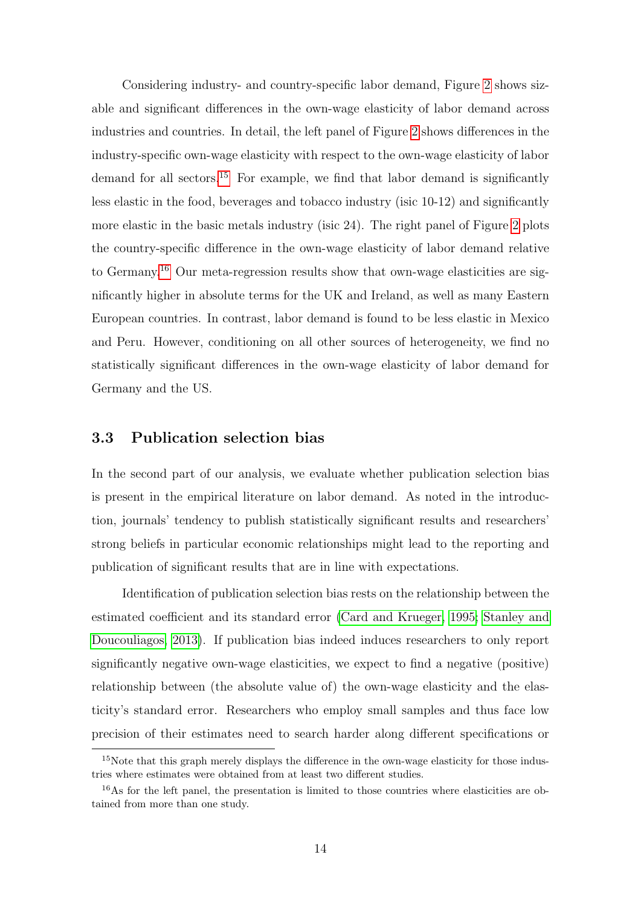Considering industry- and country-specific labor demand, Figure [2](#page-15-0) shows sizable and significant differences in the own-wage elasticity of labor demand across industries and countries. In detail, the left panel of Figure [2](#page-15-0) shows differences in the industry-specific own-wage elasticity with respect to the own-wage elasticity of labor demand for all sectors.<sup>[15](#page-16-1)</sup> For example, we find that labor demand is significantly less elastic in the food, beverages and tobacco industry (isic 10-12) and significantly more elastic in the basic metals industry (isic 24). The right panel of Figure [2](#page-15-0) plots the country-specific difference in the own-wage elasticity of labor demand relative to Germany.<sup>[16](#page-16-2)</sup> Our meta-regression results show that own-wage elasticities are significantly higher in absolute terms for the UK and Ireland, as well as many Eastern European countries. In contrast, labor demand is found to be less elastic in Mexico and Peru. However, conditioning on all other sources of heterogeneity, we find no statistically significant differences in the own-wage elasticity of labor demand for Germany and the US.

#### <span id="page-16-0"></span>3.3 Publication selection bias

In the second part of our analysis, we evaluate whether publication selection bias is present in the empirical literature on labor demand. As noted in the introduction, journals' tendency to publish statistically significant results and researchers' strong beliefs in particular economic relationships might lead to the reporting and publication of significant results that are in line with expectations.

Identification of publication selection bias rests on the relationship between the estimated coefficient and its standard error [\(Card and Krueger, 1995;](#page-24-1) [Stanley and](#page-29-3) [Doucouliagos, 2013\)](#page-29-3). If publication bias indeed induces researchers to only report significantly negative own-wage elasticities, we expect to find a negative (positive) relationship between (the absolute value of) the own-wage elasticity and the elasticity's standard error. Researchers who employ small samples and thus face low precision of their estimates need to search harder along different specifications or

<span id="page-16-1"></span><sup>&</sup>lt;sup>15</sup>Note that this graph merely displays the difference in the own-wage elasticity for those industries where estimates were obtained from at least two different studies.

<span id="page-16-2"></span><sup>&</sup>lt;sup>16</sup>As for the left panel, the presentation is limited to those countries where elasticities are obtained from more than one study.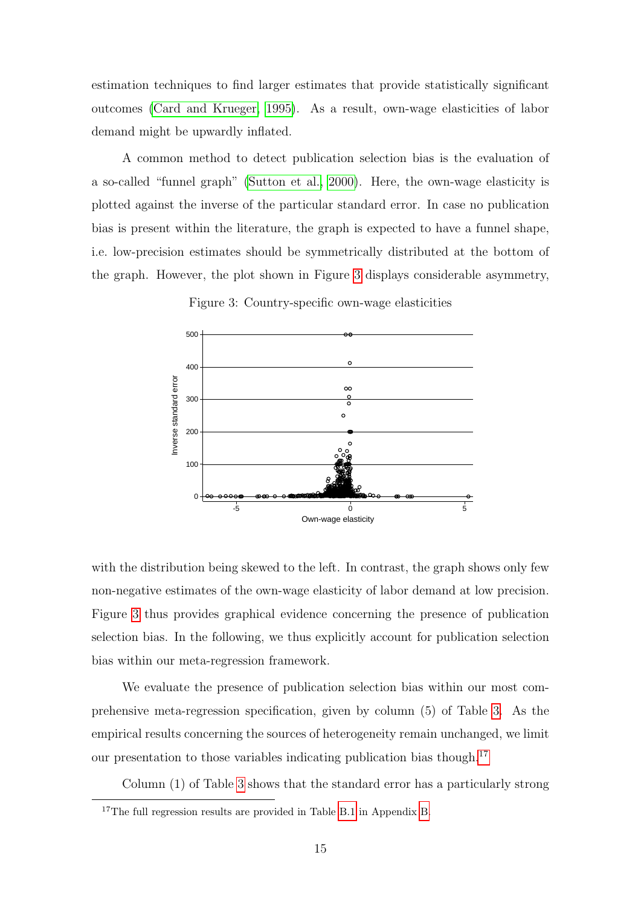estimation techniques to find larger estimates that provide statistically significant outcomes [\(Card and Krueger, 1995\)](#page-24-1). As a result, own-wage elasticities of labor demand might be upwardly inflated.

A common method to detect publication selection bias is the evaluation of a so-called "funnel graph" [\(Sutton et al., 2000\)](#page-29-4). Here, the own-wage elasticity is plotted against the inverse of the particular standard error. In case no publication bias is present within the literature, the graph is expected to have a funnel shape, i.e. low-precision estimates should be symmetrically distributed at the bottom of the graph. However, the plot shown in Figure [3](#page-17-0) displays considerable asymmetry,

Figure 3: Country-specific own-wage elasticities

<span id="page-17-0"></span>

with the distribution being skewed to the left. In contrast, the graph shows only few non-negative estimates of the own-wage elasticity of labor demand at low precision. Figure [3](#page-17-0) thus provides graphical evidence concerning the presence of publication selection bias. In the following, we thus explicitly account for publication selection bias within our meta-regression framework.

We evaluate the presence of publication selection bias within our most comprehensive meta-regression specification, given by column (5) of Table [3.](#page-18-0) As the empirical results concerning the sources of heterogeneity remain unchanged, we limit our presentation to those variables indicating publication bias though.[17](#page-17-1)

Column (1) of Table [3](#page-18-0) shows that the standard error has a particularly strong

<span id="page-17-1"></span><sup>&</sup>lt;sup>17</sup>The full regression results are provided in Table [B.1](#page-31-0) in Appendix [B.](#page-35-0)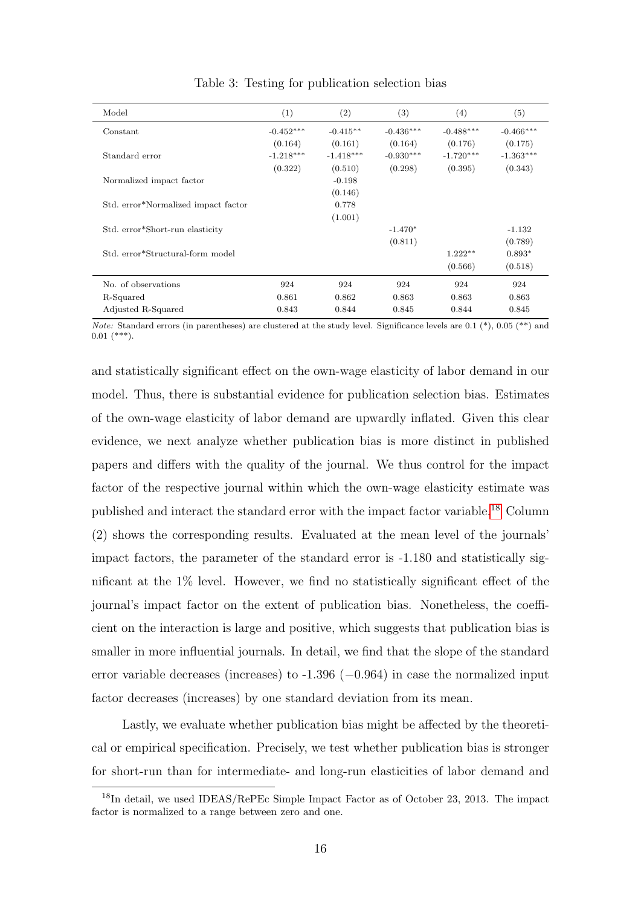<span id="page-18-0"></span>

| Model                               | (1)         | (2)         | (3)         | (4)         | (5)         |
|-------------------------------------|-------------|-------------|-------------|-------------|-------------|
| Constant                            | $-0.452***$ | $-0.415**$  | $-0.436***$ | $-0.488***$ | $-0.466***$ |
|                                     | (0.164)     | (0.161)     | (0.164)     | (0.176)     | (0.175)     |
| Standard error                      | $-1.218***$ | $-1.418***$ | $-0.930***$ | $-1.720***$ | $-1.363***$ |
|                                     | (0.322)     | (0.510)     | (0.298)     | (0.395)     | (0.343)     |
| Normalized impact factor            |             | $-0.198$    |             |             |             |
|                                     |             | (0.146)     |             |             |             |
| Std. error*Normalized impact factor |             | 0.778       |             |             |             |
|                                     |             | (1.001)     |             |             |             |
| Std. error*Short-run elasticity     |             |             | $-1.470*$   |             | $-1.132$    |
|                                     |             |             | (0.811)     |             | (0.789)     |
| Std. error*Structural-form model    |             |             |             | $1.222**$   | $0.893*$    |
|                                     |             |             |             | (0.566)     | (0.518)     |
| No. of observations                 | 924         | 924         | 924         | 924         | 924         |
| R-Squared                           | 0.861       | 0.862       | 0.863       | 0.863       | 0.863       |
| Adjusted R-Squared                  | 0.843       | 0.844       | 0.845       | 0.844       | 0.845       |

Table 3: Testing for publication selection bias

*Note:* Standard errors (in parentheses) are clustered at the study level. Significance levels are 0.1 (\*), 0.05 (\*\*) and  $0.01$  (\*\*\*).

and statistically significant effect on the own-wage elasticity of labor demand in our model. Thus, there is substantial evidence for publication selection bias. Estimates of the own-wage elasticity of labor demand are upwardly inflated. Given this clear evidence, we next analyze whether publication bias is more distinct in published papers and differs with the quality of the journal. We thus control for the impact factor of the respective journal within which the own-wage elasticity estimate was published and interact the standard error with the impact factor variable.[18](#page-18-1) Column (2) shows the corresponding results. Evaluated at the mean level of the journals' impact factors, the parameter of the standard error is -1.180 and statistically significant at the 1% level. However, we find no statistically significant effect of the journal's impact factor on the extent of publication bias. Nonetheless, the coefficient on the interaction is large and positive, which suggests that publication bias is smaller in more influential journals. In detail, we find that the slope of the standard error variable decreases (increases) to -1.396 (−0.964) in case the normalized input factor decreases (increases) by one standard deviation from its mean.

Lastly, we evaluate whether publication bias might be affected by the theoretical or empirical specification. Precisely, we test whether publication bias is stronger for short-run than for intermediate- and long-run elasticities of labor demand and

<span id="page-18-1"></span><sup>18</sup>In detail, we used IDEAS/RePEc Simple Impact Factor as of October 23, 2013. The impact factor is normalized to a range between zero and one.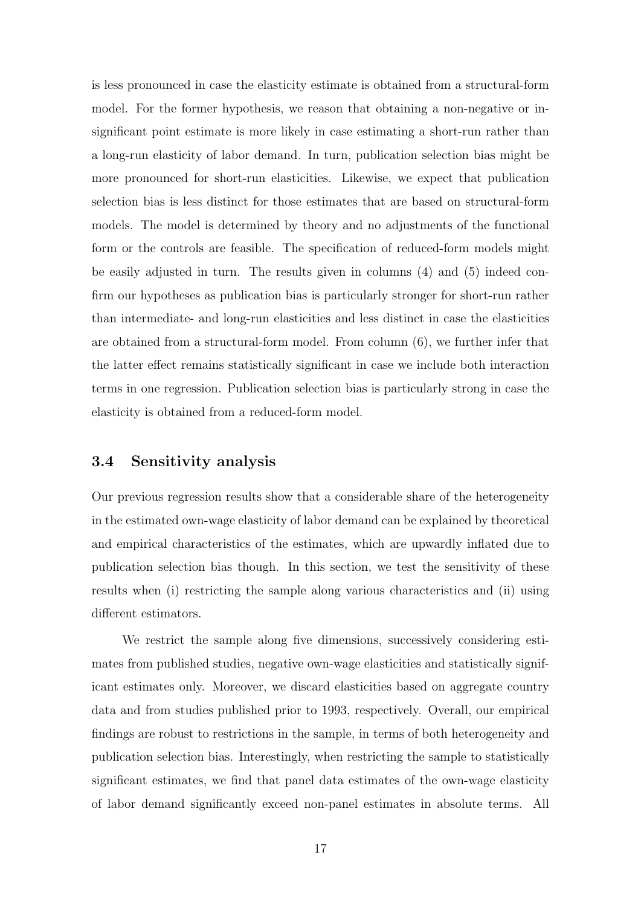is less pronounced in case the elasticity estimate is obtained from a structural-form model. For the former hypothesis, we reason that obtaining a non-negative or insignificant point estimate is more likely in case estimating a short-run rather than a long-run elasticity of labor demand. In turn, publication selection bias might be more pronounced for short-run elasticities. Likewise, we expect that publication selection bias is less distinct for those estimates that are based on structural-form models. The model is determined by theory and no adjustments of the functional form or the controls are feasible. The specification of reduced-form models might be easily adjusted in turn. The results given in columns (4) and (5) indeed confirm our hypotheses as publication bias is particularly stronger for short-run rather than intermediate- and long-run elasticities and less distinct in case the elasticities are obtained from a structural-form model. From column (6), we further infer that the latter effect remains statistically significant in case we include both interaction terms in one regression. Publication selection bias is particularly strong in case the elasticity is obtained from a reduced-form model.

#### <span id="page-19-0"></span>3.4 Sensitivity analysis

Our previous regression results show that a considerable share of the heterogeneity in the estimated own-wage elasticity of labor demand can be explained by theoretical and empirical characteristics of the estimates, which are upwardly inflated due to publication selection bias though. In this section, we test the sensitivity of these results when (i) restricting the sample along various characteristics and (ii) using different estimators.

We restrict the sample along five dimensions, successively considering estimates from published studies, negative own-wage elasticities and statistically significant estimates only. Moreover, we discard elasticities based on aggregate country data and from studies published prior to 1993, respectively. Overall, our empirical findings are robust to restrictions in the sample, in terms of both heterogeneity and publication selection bias. Interestingly, when restricting the sample to statistically significant estimates, we find that panel data estimates of the own-wage elasticity of labor demand significantly exceed non-panel estimates in absolute terms. All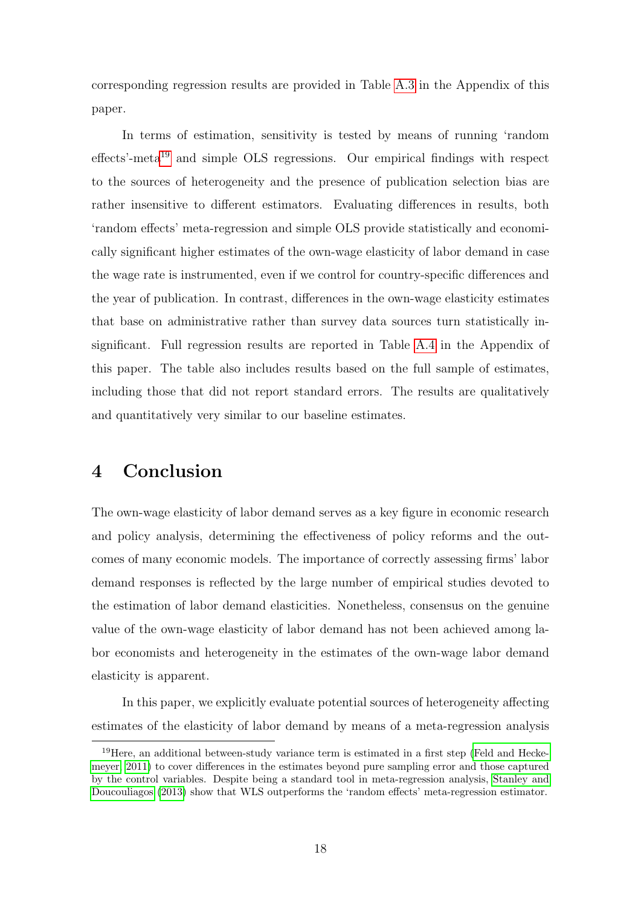corresponding regression results are provided in Table [A.3](#page-33-0) in the Appendix of this paper.

In terms of estimation, sensitivity is tested by means of running 'random  $effects'$ -meta<sup>[19](#page-20-1)</sup> and simple OLS regressions. Our empirical findings with respect to the sources of heterogeneity and the presence of publication selection bias are rather insensitive to different estimators. Evaluating differences in results, both 'random effects' meta-regression and simple OLS provide statistically and economically significant higher estimates of the own-wage elasticity of labor demand in case the wage rate is instrumented, even if we control for country-specific differences and the year of publication. In contrast, differences in the own-wage elasticity estimates that base on administrative rather than survey data sources turn statistically insignificant. Full regression results are reported in Table [A.4](#page-34-0) in the Appendix of this paper. The table also includes results based on the full sample of estimates, including those that did not report standard errors. The results are qualitatively and quantitatively very similar to our baseline estimates.

## <span id="page-20-0"></span>4 Conclusion

The own-wage elasticity of labor demand serves as a key figure in economic research and policy analysis, determining the effectiveness of policy reforms and the outcomes of many economic models. The importance of correctly assessing firms' labor demand responses is reflected by the large number of empirical studies devoted to the estimation of labor demand elasticities. Nonetheless, consensus on the genuine value of the own-wage elasticity of labor demand has not been achieved among labor economists and heterogeneity in the estimates of the own-wage labor demand elasticity is apparent.

In this paper, we explicitly evaluate potential sources of heterogeneity affecting estimates of the elasticity of labor demand by means of a meta-regression analysis

<span id="page-20-1"></span><sup>&</sup>lt;sup>19</sup>Here, an additional between-study variance term is estimated in a first step [\(Feld and Hecke](#page-25-1)[meyer, 2011\)](#page-25-1) to cover differences in the estimates beyond pure sampling error and those captured by the control variables. Despite being a standard tool in meta-regression analysis, [Stanley and](#page-29-3) [Doucouliagos](#page-29-3) [\(2013\)](#page-29-3) show that WLS outperforms the 'random effects' meta-regression estimator.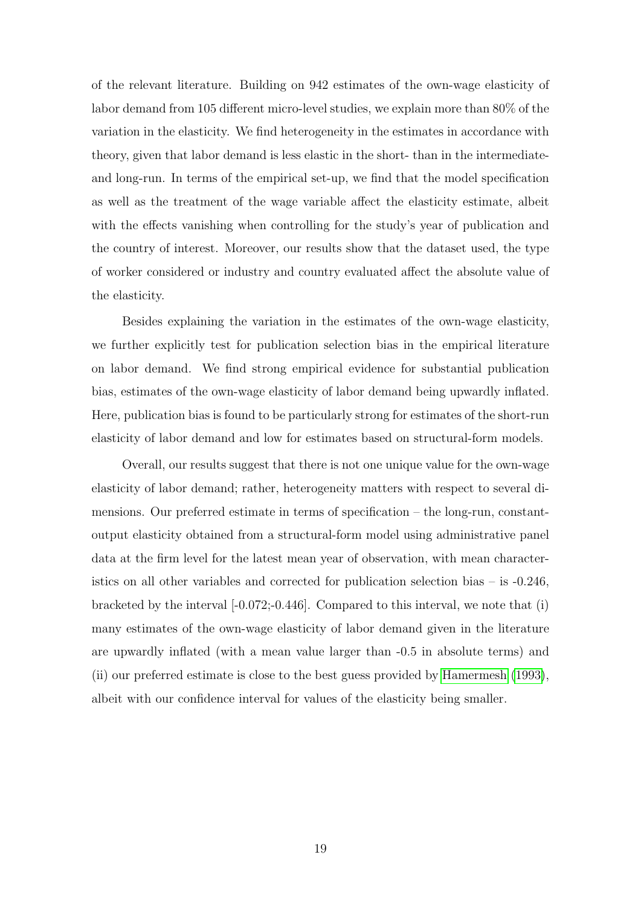of the relevant literature. Building on 942 estimates of the own-wage elasticity of labor demand from 105 different micro-level studies, we explain more than 80% of the variation in the elasticity. We find heterogeneity in the estimates in accordance with theory, given that labor demand is less elastic in the short- than in the intermediateand long-run. In terms of the empirical set-up, we find that the model specification as well as the treatment of the wage variable affect the elasticity estimate, albeit with the effects vanishing when controlling for the study's year of publication and the country of interest. Moreover, our results show that the dataset used, the type of worker considered or industry and country evaluated affect the absolute value of the elasticity.

Besides explaining the variation in the estimates of the own-wage elasticity, we further explicitly test for publication selection bias in the empirical literature on labor demand. We find strong empirical evidence for substantial publication bias, estimates of the own-wage elasticity of labor demand being upwardly inflated. Here, publication bias is found to be particularly strong for estimates of the short-run elasticity of labor demand and low for estimates based on structural-form models.

Overall, our results suggest that there is not one unique value for the own-wage elasticity of labor demand; rather, heterogeneity matters with respect to several dimensions. Our preferred estimate in terms of specification – the long-run, constantoutput elasticity obtained from a structural-form model using administrative panel data at the firm level for the latest mean year of observation, with mean characteristics on all other variables and corrected for publication selection bias – is -0.246, bracketed by the interval [-0.072;-0.446]. Compared to this interval, we note that (i) many estimates of the own-wage elasticity of labor demand given in the literature are upwardly inflated (with a mean value larger than -0.5 in absolute terms) and (ii) our preferred estimate is close to the best guess provided by [Hamermesh](#page-26-0) [\(1993\)](#page-26-0), albeit with our confidence interval for values of the elasticity being smaller.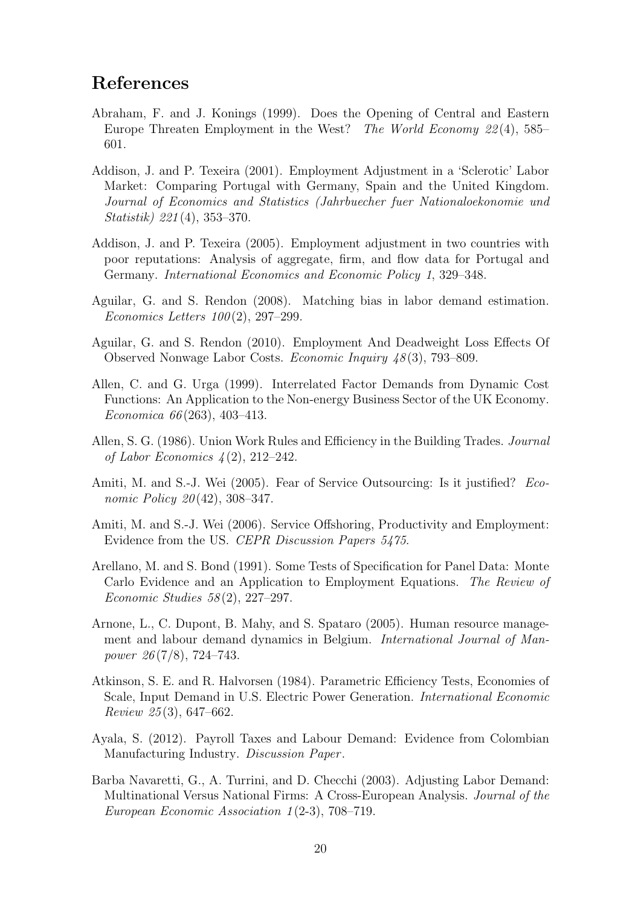## <span id="page-22-14"></span><span id="page-22-13"></span><span id="page-22-12"></span><span id="page-22-11"></span><span id="page-22-10"></span><span id="page-22-9"></span><span id="page-22-8"></span><span id="page-22-7"></span><span id="page-22-6"></span><span id="page-22-5"></span><span id="page-22-4"></span><span id="page-22-3"></span><span id="page-22-2"></span><span id="page-22-1"></span>References

- Abraham, F. and J. Konings (1999). Does the Opening of Central and Eastern Europe Threaten Employment in the West? The World Economy 22 (4), 585– 601.
- Addison, J. and P. Texeira (2001). Employment Adjustment in a 'Sclerotic' Labor Market: Comparing Portugal with Germany, Spain and the United Kingdom. Journal of Economics and Statistics (Jahrbuecher fuer Nationaloekonomie und Statistik) 221 (4), 353–370.
- Addison, J. and P. Texeira (2005). Employment adjustment in two countries with poor reputations: Analysis of aggregate, firm, and flow data for Portugal and Germany. International Economics and Economic Policy 1, 329–348.
- Aguilar, G. and S. Rendon (2008). Matching bias in labor demand estimation. Economics Letters  $100(2)$ , 297–299.
- Aguilar, G. and S. Rendon (2010). Employment And Deadweight Loss Effects Of Observed Nonwage Labor Costs. Economic Inquiry 48 (3), 793–809.
- Allen, C. and G. Urga (1999). Interrelated Factor Demands from Dynamic Cost Functions: An Application to the Non-energy Business Sector of the UK Economy. Economica 66 (263), 403–413.
- Allen, S. G. (1986). Union Work Rules and Efficiency in the Building Trades. Journal of Labor Economics  $\angle(2)$ , 212–242.
- Amiti, M. and S.-J. Wei (2005). Fear of Service Outsourcing: Is it justified? Economic Policy  $20(42)$ , 308-347.
- Amiti, M. and S.-J. Wei (2006). Service Offshoring, Productivity and Employment: Evidence from the US. CEPR Discussion Papers 5475.
- Arellano, M. and S. Bond (1991). Some Tests of Specification for Panel Data: Monte Carlo Evidence and an Application to Employment Equations. The Review of Economic Studies 58 (2), 227–297.
- Arnone, L., C. Dupont, B. Mahy, and S. Spataro (2005). Human resource management and labour demand dynamics in Belgium. International Journal of Manpower 26 (7/8), 724–743.
- Atkinson, S. E. and R. Halvorsen (1984). Parametric Efficiency Tests, Economies of Scale, Input Demand in U.S. Electric Power Generation. International Economic Review 25 (3), 647–662.
- Ayala, S. (2012). Payroll Taxes and Labour Demand: Evidence from Colombian Manufacturing Industry. Discussion Paper.
- <span id="page-22-0"></span>Barba Navaretti, G., A. Turrini, and D. Checchi (2003). Adjusting Labor Demand: Multinational Versus National Firms: A Cross-European Analysis. Journal of the European Economic Association 1 (2-3), 708–719.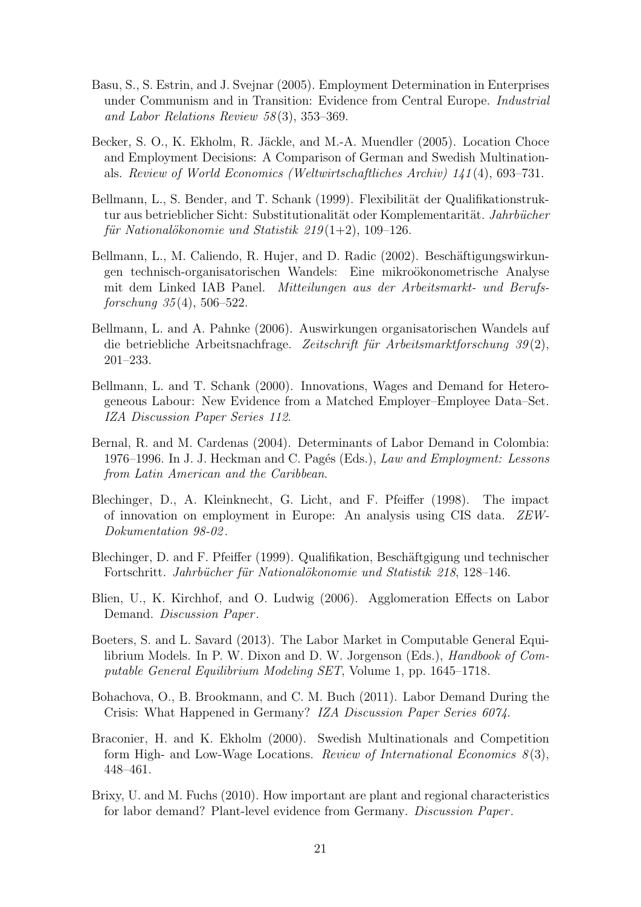- <span id="page-23-13"></span><span id="page-23-12"></span><span id="page-23-11"></span><span id="page-23-10"></span><span id="page-23-9"></span><span id="page-23-8"></span><span id="page-23-7"></span><span id="page-23-6"></span><span id="page-23-5"></span><span id="page-23-4"></span><span id="page-23-3"></span><span id="page-23-2"></span><span id="page-23-1"></span>Basu, S., S. Estrin, and J. Svejnar (2005). Employment Determination in Enterprises under Communism and in Transition: Evidence from Central Europe. Industrial and Labor Relations Review 58 (3), 353–369.
- Becker, S. O., K. Ekholm, R. Jäckle, and M.-A. Muendler (2005). Location Choce and Employment Decisions: A Comparison of German and Swedish Multinationals. Review of World Economics (Weltwirtschaftliches Archiv) 141 (4), 693–731.
- Bellmann, L., S. Bender, and T. Schank (1999). Flexibilität der Qualifikationstruktur aus betrieblicher Sicht: Substitutionalität oder Komplementarität. Jahrbücher für Nationalökonomie und Statistik  $219(1+2)$ , 109–126.
- Bellmann, L., M. Caliendo, R. Hujer, and D. Radic (2002). Beschäftigungswirkungen technisch-organisatorischen Wandels: Eine mikroökonometrische Analyse mit dem Linked IAB Panel. Mitteilungen aus der Arbeitsmarkt- und Berufs $forschung 35(4), 506-522.$
- Bellmann, L. and A. Pahnke (2006). Auswirkungen organisatorischen Wandels auf die betriebliche Arbeitsnachfrage. Zeitschrift für Arbeitsmarktforschung  $39(2)$ , 201–233.
- Bellmann, L. and T. Schank (2000). Innovations, Wages and Demand for Heterogeneous Labour: New Evidence from a Matched Employer–Employee Data–Set. IZA Discussion Paper Series 112.
- Bernal, R. and M. Cardenas (2004). Determinants of Labor Demand in Colombia: 1976–1996. In J. J. Heckman and C. Pagés (Eds.), Law and Employment: Lessons from Latin American and the Caribbean.
- Blechinger, D., A. Kleinknecht, G. Licht, and F. Pfeiffer (1998). The impact of innovation on employment in Europe: An analysis using CIS data. ZEW-Dokumentation 98-02 .
- Blechinger, D. and F. Pfeiffer (1999). Qualifikation, Beschäftgigung und technischer Fortschritt. Jahrbücher für Nationalökonomie und Statistik 218, 128–146.
- Blien, U., K. Kirchhof, and O. Ludwig (2006). Agglomeration Effects on Labor Demand. Discussion Paper.
- <span id="page-23-0"></span>Boeters, S. and L. Savard (2013). The Labor Market in Computable General Equilibrium Models. In P. W. Dixon and D. W. Jorgenson (Eds.), *Handbook of Com*putable General Equilibrium Modeling SET, Volume 1, pp. 1645–1718.
- Bohachova, O., B. Brookmann, and C. M. Buch (2011). Labor Demand During the Crisis: What Happened in Germany? IZA Discussion Paper Series 6074.
- Braconier, H. and K. Ekholm (2000). Swedish Multinationals and Competition form High- and Low-Wage Locations. Review of International Economics  $8(3)$ , 448–461.
- Brixy, U. and M. Fuchs (2010). How important are plant and regional characteristics for labor demand? Plant-level evidence from Germany. Discussion Paper .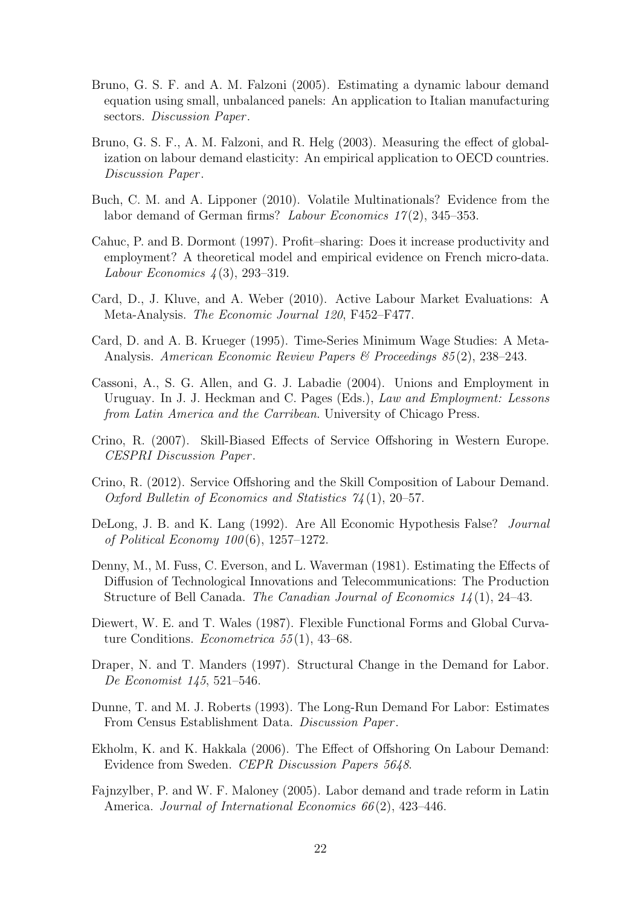- <span id="page-24-15"></span><span id="page-24-14"></span><span id="page-24-13"></span><span id="page-24-12"></span><span id="page-24-11"></span><span id="page-24-10"></span><span id="page-24-9"></span><span id="page-24-8"></span><span id="page-24-7"></span><span id="page-24-6"></span><span id="page-24-5"></span><span id="page-24-4"></span>Bruno, G. S. F. and A. M. Falzoni (2005). Estimating a dynamic labour demand equation using small, unbalanced panels: An application to Italian manufacturing sectors. Discussion Paper.
- Bruno, G. S. F., A. M. Falzoni, and R. Helg (2003). Measuring the effect of globalization on labour demand elasticity: An empirical application to OECD countries. Discussion Paper .
- Buch, C. M. and A. Lipponer (2010). Volatile Multinationals? Evidence from the labor demand of German firms? Labour Economics  $17(2)$ , 345–353.
- Cahuc, P. and B. Dormont (1997). Profit–sharing: Does it increase productivity and employment? A theoretical model and empirical evidence on French micro-data. Labour Economics  $\mathcal{A}(3)$ , 293-319.
- <span id="page-24-2"></span>Card, D., J. Kluve, and A. Weber (2010). Active Labour Market Evaluations: A Meta-Analysis. The Economic Journal 120, F452–F477.
- <span id="page-24-1"></span>Card, D. and A. B. Krueger (1995). Time-Series Minimum Wage Studies: A Meta-Analysis. American Economic Review Papers & Proceedings 85 (2), 238–243.
- Cassoni, A., S. G. Allen, and G. J. Labadie (2004). Unions and Employment in Uruguay. In J. J. Heckman and C. Pages (Eds.), Law and Employment: Lessons from Latin America and the Carribean. University of Chicago Press.
- Crino, R. (2007). Skill-Biased Effects of Service Offshoring in Western Europe. CESPRI Discussion Paper .
- Crino, R. (2012). Service Offshoring and the Skill Composition of Labour Demand. Oxford Bulletin of Economics and Statistics 74 (1), 20–57.
- <span id="page-24-0"></span>DeLong, J. B. and K. Lang (1992). Are All Economic Hypothesis False? Journal of Political Economy 100 (6), 1257–1272.
- Denny, M., M. Fuss, C. Everson, and L. Waverman (1981). Estimating the Effects of Diffusion of Technological Innovations and Telecommunications: The Production Structure of Bell Canada. The Canadian Journal of Economics 14 (1), 24–43.
- <span id="page-24-3"></span>Diewert, W. E. and T. Wales (1987). Flexible Functional Forms and Global Curvature Conditions. *Econometrica* 55(1), 43–68.
- Draper, N. and T. Manders (1997). Structural Change in the Demand for Labor. De Economist 145, 521–546.
- Dunne, T. and M. J. Roberts (1993). The Long-Run Demand For Labor: Estimates From Census Establishment Data. Discussion Paper .
- Ekholm, K. and K. Hakkala (2006). The Effect of Offshoring On Labour Demand: Evidence from Sweden. CEPR Discussion Papers 5648.
- Fajnzylber, P. and W. F. Maloney (2005). Labor demand and trade reform in Latin America. Journal of International Economics 66(2), 423–446.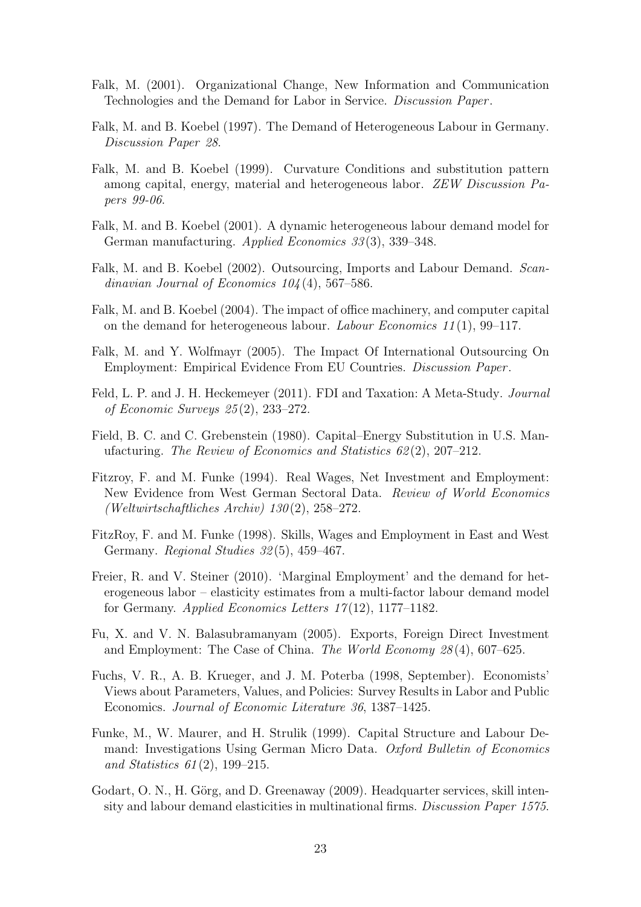- <span id="page-25-15"></span><span id="page-25-14"></span><span id="page-25-13"></span><span id="page-25-12"></span><span id="page-25-11"></span><span id="page-25-10"></span><span id="page-25-9"></span><span id="page-25-8"></span><span id="page-25-7"></span><span id="page-25-6"></span><span id="page-25-5"></span><span id="page-25-4"></span><span id="page-25-3"></span><span id="page-25-2"></span>Falk, M. (2001). Organizational Change, New Information and Communication Technologies and the Demand for Labor in Service. Discussion Paper .
- Falk, M. and B. Koebel (1997). The Demand of Heterogeneous Labour in Germany. Discussion Paper 28.
- Falk, M. and B. Koebel (1999). Curvature Conditions and substitution pattern among capital, energy, material and heterogeneous labor. ZEW Discussion Papers 99-06.
- Falk, M. and B. Koebel (2001). A dynamic heterogeneous labour demand model for German manufacturing. Applied Economics 33(3), 339–348.
- Falk, M. and B. Koebel (2002). Outsourcing, Imports and Labour Demand. Scandinavian Journal of Economics  $104(4)$ , 567–586.
- Falk, M. and B. Koebel (2004). The impact of office machinery, and computer capital on the demand for heterogeneous labour. Labour Economics 11(1), 99–117.
- Falk, M. and Y. Wolfmayr (2005). The Impact Of International Outsourcing On Employment: Empirical Evidence From EU Countries. Discussion Paper .
- <span id="page-25-1"></span>Feld, L. P. and J. H. Heckemeyer (2011). FDI and Taxation: A Meta-Study. Journal of Economic Surveys 25 (2), 233–272.
- Field, B. C. and C. Grebenstein (1980). Capital–Energy Substitution in U.S. Manufacturing. The Review of Economics and Statistics  $62(2)$ , 207–212.
- Fitzroy, F. and M. Funke (1994). Real Wages, Net Investment and Employment: New Evidence from West German Sectoral Data. Review of World Economics (Weltwirtschaftliches Archiv)  $130(2)$ ,  $258-272$ .
- FitzRoy, F. and M. Funke (1998). Skills, Wages and Employment in East and West Germany. Regional Studies 32 (5), 459–467.
- Freier, R. and V. Steiner (2010). 'Marginal Employment' and the demand for heterogeneous labor – elasticity estimates from a multi-factor labour demand model for Germany. Applied Economics Letters  $17(12)$ , 1177–1182.
- Fu, X. and V. N. Balasubramanyam (2005). Exports, Foreign Direct Investment and Employment: The Case of China. The World Economy  $28(4)$ , 607–625.
- <span id="page-25-0"></span>Fuchs, V. R., A. B. Krueger, and J. M. Poterba (1998, September). Economists' Views about Parameters, Values, and Policies: Survey Results in Labor and Public Economics. Journal of Economic Literature 36, 1387–1425.
- Funke, M., W. Maurer, and H. Strulik (1999). Capital Structure and Labour Demand: Investigations Using German Micro Data. Oxford Bulletin of Economics and *Statistics*  $61(2)$ , 199–215.
- Godart, O. N., H. Görg, and D. Greenaway (2009). Headquarter services, skill intensity and labour demand elasticities in multinational firms. Discussion Paper 1575.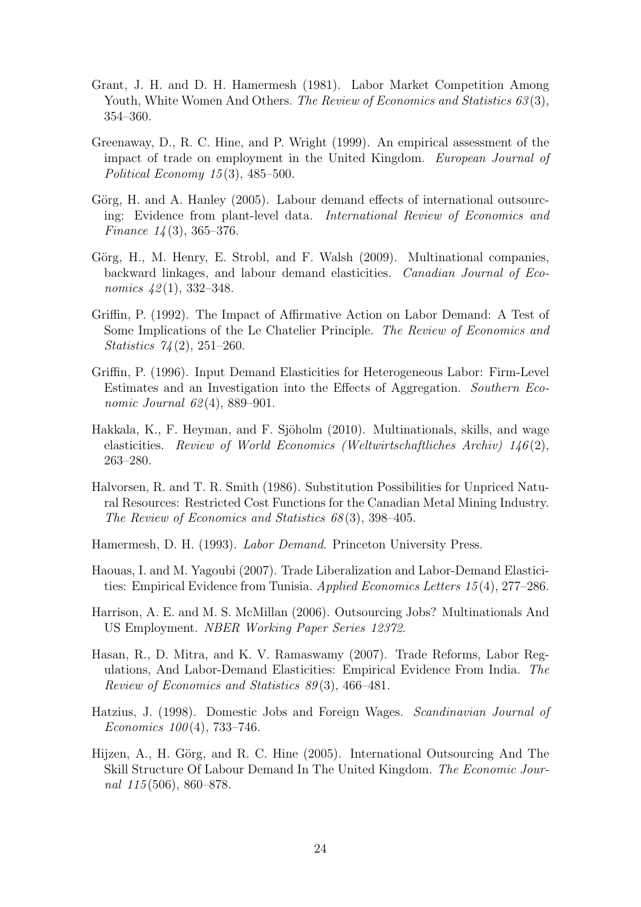- <span id="page-26-13"></span><span id="page-26-12"></span><span id="page-26-11"></span><span id="page-26-10"></span><span id="page-26-9"></span><span id="page-26-8"></span><span id="page-26-7"></span><span id="page-26-6"></span><span id="page-26-5"></span><span id="page-26-4"></span><span id="page-26-3"></span><span id="page-26-2"></span><span id="page-26-1"></span>Grant, J. H. and D. H. Hamermesh (1981). Labor Market Competition Among Youth, White Women And Others. The Review of Economics and Statistics 63(3), 354–360.
- Greenaway, D., R. C. Hine, and P. Wright (1999). An empirical assessment of the impact of trade on employment in the United Kingdom. European Journal of Political Economy  $15(3)$ ,  $485-500$ .
- Görg, H. and A. Hanley (2005). Labour demand effects of international outsourcing: Evidence from plant-level data. International Review of Economics and Finance  $14(3)$ , 365–376.
- Görg, H., M. Henry, E. Strobl, and F. Walsh (2009). Multinational companies, backward linkages, and labour demand elasticities. Canadian Journal of Economics  $42(1)$ , 332–348.
- Griffin, P. (1992). The Impact of Affirmative Action on Labor Demand: A Test of Some Implications of the Le Chatelier Principle. The Review of Economics and Statistics 74 (2), 251–260.
- Griffin, P. (1996). Input Demand Elasticities for Heterogeneous Labor: Firm-Level Estimates and an Investigation into the Effects of Aggregation. Southern Economic Journal  $62(4)$ , 889–901.
- Hakkala, K., F. Heyman, and F. Sjöholm (2010). Multinationals, skills, and wage elasticities. Review of World Economics (Weltwirtschaftliches Archiv)  $146(2)$ , 263–280.
- Halvorsen, R. and T. R. Smith (1986). Substitution Possibilities for Unpriced Natural Resources: Restricted Cost Functions for the Canadian Metal Mining Industry. The Review of Economics and Statistics 68 (3), 398–405.
- <span id="page-26-0"></span>Hamermesh, D. H. (1993). Labor Demand. Princeton University Press.
- Haouas, I. and M. Yagoubi (2007). Trade Liberalization and Labor-Demand Elasticities: Empirical Evidence from Tunisia. Applied Economics Letters 15 (4), 277–286.
- Harrison, A. E. and M. S. McMillan (2006). Outsourcing Jobs? Multinationals And US Employment. NBER Working Paper Series 12372.
- Hasan, R., D. Mitra, and K. V. Ramaswamy (2007). Trade Reforms, Labor Regulations, And Labor-Demand Elasticities: Empirical Evidence From India. The Review of Economics and Statistics 89 (3), 466–481.
- Hatzius, J. (1998). Domestic Jobs and Foreign Wages. Scandinavian Journal of Economics  $100(4)$ , 733-746.
- Hijzen, A., H. Görg, and R. C. Hine (2005). International Outsourcing And The Skill Structure Of Labour Demand In The United Kingdom. The Economic Journal 115 (506), 860–878.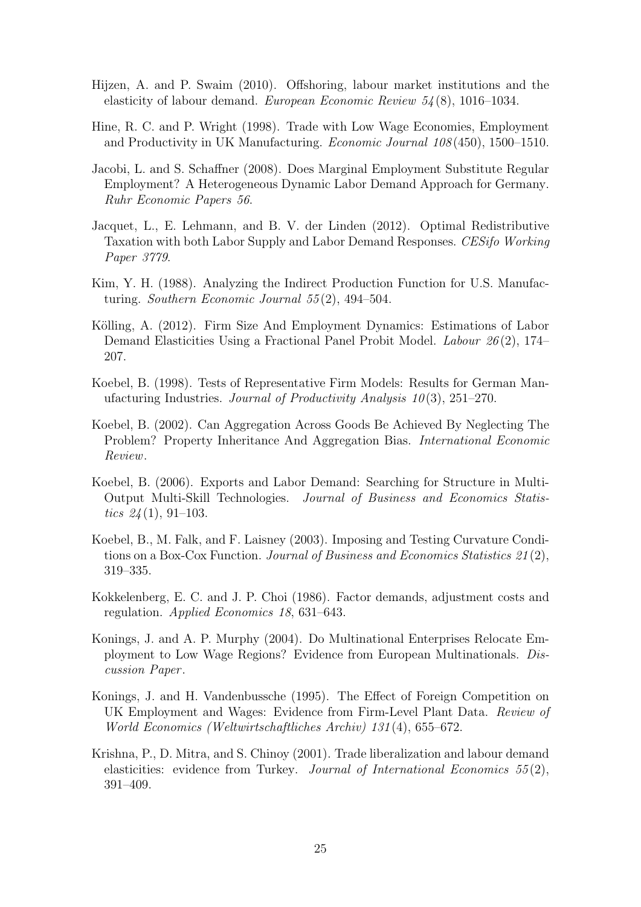- <span id="page-27-15"></span><span id="page-27-14"></span><span id="page-27-13"></span><span id="page-27-12"></span><span id="page-27-11"></span><span id="page-27-10"></span><span id="page-27-9"></span><span id="page-27-8"></span><span id="page-27-7"></span><span id="page-27-6"></span><span id="page-27-5"></span><span id="page-27-4"></span><span id="page-27-3"></span>Hijzen, A. and P. Swaim (2010). Offshoring, labour market institutions and the elasticity of labour demand. European Economic Review  $54(8)$ , 1016–1034.
- Hine, R. C. and P. Wright (1998). Trade with Low Wage Economies, Employment and Productivity in UK Manufacturing. Economic Journal 108 (450), 1500–1510.
- Jacobi, L. and S. Schaffner (2008). Does Marginal Employment Substitute Regular Employment? A Heterogeneous Dynamic Labor Demand Approach for Germany. Ruhr Economic Papers 56.
- <span id="page-27-0"></span>Jacquet, L., E. Lehmann, and B. V. der Linden (2012). Optimal Redistributive Taxation with both Labor Supply and Labor Demand Responses. CESifo Working Paper 3779.
- Kim, Y. H. (1988). Analyzing the Indirect Production Function for U.S. Manufacturing. Southern Economic Journal 55 (2), 494–504.
- Kölling, A. (2012). Firm Size And Employment Dynamics: Estimations of Labor Demand Elasticities Using a Fractional Panel Probit Model. Labour 26 (2), 174– 207.
- Koebel, B. (1998). Tests of Representative Firm Models: Results for German Manufacturing Industries. Journal of Productivity Analysis  $10(3)$ , 251–270.
- <span id="page-27-1"></span>Koebel, B. (2002). Can Aggregation Across Goods Be Achieved By Neglecting The Problem? Property Inheritance And Aggregation Bias. International Economic Review.
- Koebel, B. (2006). Exports and Labor Demand: Searching for Structure in Multi-Output Multi-Skill Technologies. Journal of Business and Economics Statistics  $24(1), 91-103$ .
- <span id="page-27-2"></span>Koebel, B., M. Falk, and F. Laisney (2003). Imposing and Testing Curvature Conditions on a Box-Cox Function. Journal of Business and Economics Statistics  $21(2)$ , 319–335.
- Kokkelenberg, E. C. and J. P. Choi (1986). Factor demands, adjustment costs and regulation. Applied Economics 18, 631–643.
- Konings, J. and A. P. Murphy (2004). Do Multinational Enterprises Relocate Employment to Low Wage Regions? Evidence from European Multinationals. Discussion Paper .
- Konings, J. and H. Vandenbussche (1995). The Effect of Foreign Competition on UK Employment and Wages: Evidence from Firm-Level Plant Data. Review of World Economics (Weltwirtschaftliches Archiv) 131 (4), 655–672.
- Krishna, P., D. Mitra, and S. Chinoy (2001). Trade liberalization and labour demand elasticities: evidence from Turkey. Journal of International Economics 55(2), 391–409.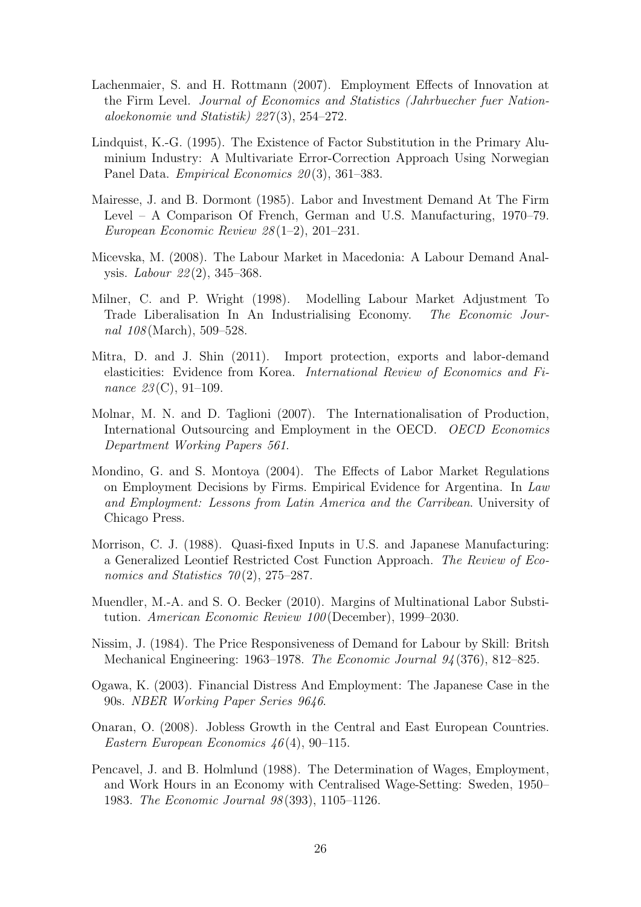- <span id="page-28-13"></span><span id="page-28-12"></span><span id="page-28-11"></span><span id="page-28-10"></span><span id="page-28-9"></span><span id="page-28-8"></span><span id="page-28-7"></span><span id="page-28-6"></span><span id="page-28-5"></span><span id="page-28-4"></span><span id="page-28-3"></span><span id="page-28-2"></span><span id="page-28-1"></span>Lachenmaier, S. and H. Rottmann (2007). Employment Effects of Innovation at the Firm Level. Journal of Economics and Statistics (Jahrbuecher fuer Nationaloekonomie und Statistik) 227 (3), 254–272.
- Lindquist, K.-G. (1995). The Existence of Factor Substitution in the Primary Aluminium Industry: A Multivariate Error-Correction Approach Using Norwegian Panel Data. *Empirical Economics 20*(3), 361–383.
- Mairesse, J. and B. Dormont (1985). Labor and Investment Demand At The Firm Level – A Comparison Of French, German and U.S. Manufacturing, 1970–79. European Economic Review 28 (1–2), 201–231.
- Micevska, M. (2008). The Labour Market in Macedonia: A Labour Demand Analysis. Labour 22 (2), 345–368.
- Milner, C. and P. Wright (1998). Modelling Labour Market Adjustment To Trade Liberalisation In An Industrialising Economy. The Economic Journal 108 (March), 509–528.
- Mitra, D. and J. Shin (2011). Import protection, exports and labor-demand elasticities: Evidence from Korea. International Review of Economics and Finance  $23(C)$ , 91-109.
- Molnar, M. N. and D. Taglioni (2007). The Internationalisation of Production, International Outsourcing and Employment in the OECD. OECD Economics Department Working Papers 561.
- Mondino, G. and S. Montoya (2004). The Effects of Labor Market Regulations on Employment Decisions by Firms. Empirical Evidence for Argentina. In Law and Employment: Lessons from Latin America and the Carribean. University of Chicago Press.
- Morrison, C. J. (1988). Quasi-fixed Inputs in U.S. and Japanese Manufacturing: a Generalized Leontief Restricted Cost Function Approach. The Review of Economics and Statistics  $70(2)$ , 275–287.
- <span id="page-28-0"></span>Muendler, M.-A. and S. O. Becker (2010). Margins of Multinational Labor Substitution. American Economic Review 100 (December), 1999–2030.
- Nissim, J. (1984). The Price Responsiveness of Demand for Labour by Skill: Britsh Mechanical Engineering: 1963–1978. The Economic Journal 94 (376), 812–825.
- Ogawa, K. (2003). Financial Distress And Employment: The Japanese Case in the 90s. NBER Working Paper Series 9646.
- Onaran, O. (2008). Jobless Growth in the Central and East European Countries. Eastern European Economics  $46(4)$ , 90-115.
- Pencavel, J. and B. Holmlund (1988). The Determination of Wages, Employment, and Work Hours in an Economy with Centralised Wage-Setting: Sweden, 1950– 1983. The Economic Journal 98 (393), 1105–1126.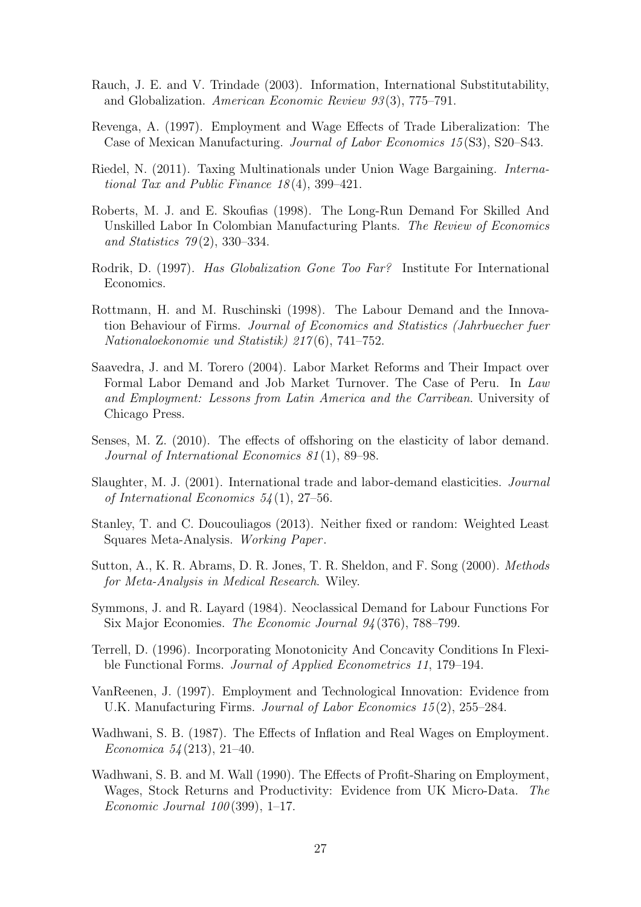- <span id="page-29-15"></span><span id="page-29-14"></span><span id="page-29-13"></span><span id="page-29-12"></span><span id="page-29-11"></span><span id="page-29-10"></span><span id="page-29-9"></span><span id="page-29-8"></span><span id="page-29-7"></span><span id="page-29-6"></span><span id="page-29-5"></span><span id="page-29-1"></span>Rauch, J. E. and V. Trindade (2003). Information, International Substitutability, and Globalization. American Economic Review 93 (3), 775–791.
- Revenga, A. (1997). Employment and Wage Effects of Trade Liberalization: The Case of Mexican Manufacturing. Journal of Labor Economics 15 (S3), S20–S43.
- <span id="page-29-0"></span>Riedel, N. (2011). Taxing Multinationals under Union Wage Bargaining. International Tax and Public Finance 18 (4), 399–421.
- Roberts, M. J. and E. Skoufias (1998). The Long-Run Demand For Skilled And Unskilled Labor In Colombian Manufacturing Plants. *The Review of Economics* and Statistics 79 (2), 330–334.
- <span id="page-29-2"></span>Rodrik, D. (1997). Has Globalization Gone Too Far? Institute For International Economics.
- Rottmann, H. and M. Ruschinski (1998). The Labour Demand and the Innovation Behaviour of Firms. Journal of Economics and Statistics (Jahrbuecher fuer Nationaloekonomie und Statistik) 217 (6), 741–752.
- Saavedra, J. and M. Torero (2004). Labor Market Reforms and Their Impact over Formal Labor Demand and Job Market Turnover. The Case of Peru. In Law and Employment: Lessons from Latin America and the Carribean. University of Chicago Press.
- Senses, M. Z. (2010). The effects of offshoring on the elasticity of labor demand. Journal of International Economics 81 (1), 89–98.
- Slaughter, M. J. (2001). International trade and labor-demand elasticities. Journal of International Economics 54 (1), 27–56.
- <span id="page-29-3"></span>Stanley, T. and C. Doucouliagos (2013). Neither fixed or random: Weighted Least Squares Meta-Analysis. Working Paper .
- <span id="page-29-4"></span>Sutton, A., K. R. Abrams, D. R. Jones, T. R. Sheldon, and F. Song (2000). Methods for Meta-Analysis in Medical Research. Wiley.
- Symmons, J. and R. Layard (1984). Neoclassical Demand for Labour Functions For Six Major Economies. The Economic Journal 94 (376), 788–799.
- Terrell, D. (1996). Incorporating Monotonicity And Concavity Conditions In Flexible Functional Forms. Journal of Applied Econometrics 11, 179–194.
- VanReenen, J. (1997). Employment and Technological Innovation: Evidence from U.K. Manufacturing Firms. Journal of Labor Economics 15(2), 255–284.
- Wadhwani, S. B. (1987). The Effects of Inflation and Real Wages on Employment. Economica 54 (213), 21–40.
- Wadhwani, S. B. and M. Wall (1990). The Effects of Profit-Sharing on Employment, Wages, Stock Returns and Productivity: Evidence from UK Micro-Data. The Economic Journal 100 (399), 1–17.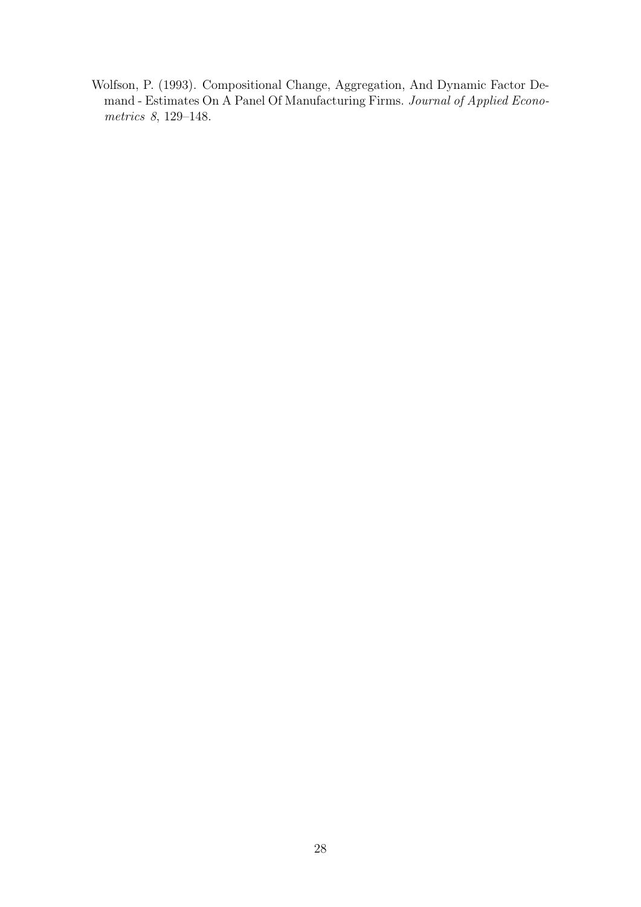<span id="page-30-0"></span>Wolfson, P. (1993). Compositional Change, Aggregation, And Dynamic Factor Demand - Estimates On A Panel Of Manufacturing Firms. Journal of Applied Econometrics 8, 129–148.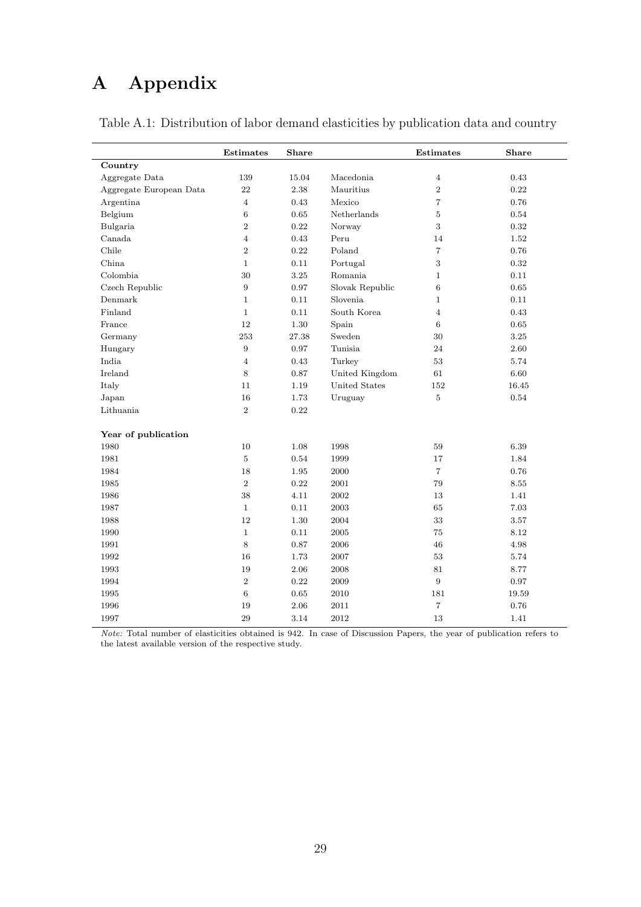# A Appendix

|                         | <b>Estimates</b> | Share    |                 | Estimates        | <b>Share</b> |
|-------------------------|------------------|----------|-----------------|------------------|--------------|
| Country                 |                  |          |                 |                  |              |
| Aggregate Data          | 139              | 15.04    | Macedonia       | $\overline{4}$   | 0.43         |
| Aggregate European Data | 22               | 2.38     | Mauritius       | $\overline{2}$   | 0.22         |
| Argentina               | $\overline{4}$   | 0.43     | Mexico          | $\overline{7}$   | 0.76         |
| Belgium                 | 6                | 0.65     | Netherlands     | 5                | 0.54         |
| Bulgaria                | $\overline{2}$   | 0.22     | Norway          | 3                | 0.32         |
| Canada                  | $\overline{4}$   | 0.43     | Peru            | 14               | 1.52         |
| Chile                   | $\overline{2}$   | 0.22     | Poland          | $\overline{7}$   | 0.76         |
| China                   | $\mathbf{1}$     | 0.11     | Portugal        | 3                | 0.32         |
| Colombia                | 30               | $3.25\,$ | Romania         | $\mathbf{1}$     | 0.11         |
| Czech Republic          | 9                | 0.97     | Slovak Republic | 6                | 0.65         |
| Denmark                 | $\,1$            | 0.11     | Slovenia        | $\mathbf{1}$     | 0.11         |
| Finland                 | $\,1$            | 0.11     | South Korea     | $\overline{4}$   | 0.43         |
| France                  | 12               | 1.30     | Spain           | 6                | 0.65         |
| Germany                 | 253              | 27.38    | Sweden          | 30               | 3.25         |
| Hungary                 | $\boldsymbol{9}$ | 0.97     | Tunisia         | 24               | 2.60         |
| India                   | $\overline{4}$   | 0.43     | Turkey          | 53               | 5.74         |
| Ireland                 | $\,8\,$          | 0.87     | United Kingdom  | 61               | 6.60         |
| Italy                   | 11               | 1.19     | United States   | 152              | 16.45        |
| Japan                   | 16               | 1.73     | Uruguay         | $\overline{5}$   | 0.54         |
| Lithuania               | $\overline{2}$   | 0.22     |                 |                  |              |
| Year of publication     |                  |          |                 |                  |              |
| 1980                    | 10               | 1.08     | 1998            | 59               | 6.39         |
| 1981                    | $\bf 5$          | 0.54     | 1999            | 17               | 1.84         |
| 1984                    | 18               | 1.95     | 2000            | $\overline{7}$   | 0.76         |
| 1985                    | $\overline{2}$   | 0.22     | 2001            | 79               | 8.55         |
| 1986                    | 38               | 4.11     | 2002            | 13               | 1.41         |
| 1987                    | $\mathbf{1}$     | 0.11     | 2003            | 65               | 7.03         |
| 1988                    | 12               | 1.30     | $\,2004\,$      | 33               | 3.57         |
| 1990                    | $\mathbf{1}$     | 0.11     | 2005            | 75               | 8.12         |
| 1991                    | 8                | 0.87     | 2006            | 46               | 4.98         |
| 1992                    | 16               | 1.73     | 2007            | 53               | 5.74         |
| 1993                    | 19               | 2.06     | 2008            | 81               | 8.77         |
| 1994                    | $\,2$            | 0.22     | 2009            | $\boldsymbol{9}$ | 0.97         |
| 1995                    | $\,6\,$          | 0.65     | 2010            | 181              | 19.59        |
| 1996                    | 19               | 2.06     | 2011            | $\overline{7}$   | 0.76         |
| 1997                    | 29               | 3.14     | 2012            | 13               | 1.41         |

<span id="page-31-0"></span>Table A.1: Distribution of labor demand elasticities by publication data and country

Note: Total number of elasticities obtained is 942. In case of Discussion Papers, the year of publication refers to the latest available version of the respective study.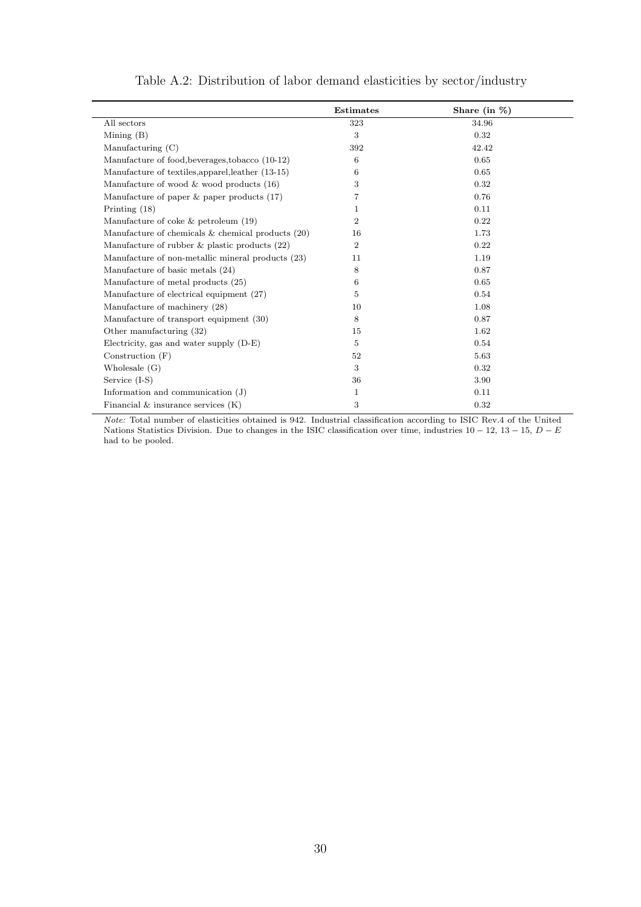<span id="page-32-0"></span>

|                                                      | Estimates      | Share (in $\%$ ) |
|------------------------------------------------------|----------------|------------------|
| All sectors                                          | 323            | 34.96            |
| Mining $(B)$                                         | 3              | 0.32             |
| Manufacturing $(C)$                                  | 392            | 42.42            |
| Manufacture of food, beverages, to bacco (10-12)     | 6              | 0.65             |
| Manufacture of textiles, apparel, leather (13-15)    | 6              | 0.65             |
| Manufacture of wood $\&$ wood products (16)          | 3              | 0.32             |
| Manufacture of paper $\&$ paper products (17)        | 7              | 0.76             |
| Printing $(18)$                                      | 1.             | 0.11             |
| Manufacture of coke $&$ petroleum (19)               | $\overline{2}$ | 0.22             |
| Manufacture of chemicals $\&$ chemical products (20) | 16             | 1.73             |
| Manufacture of rubber $\&$ plastic products (22)     | $\overline{2}$ | 0.22             |
| Manufacture of non-metallic mineral products (23)    | 11             | 1.19             |
| Manufacture of basic metals (24)                     | 8              | 0.87             |
| Manufacture of metal products (25)                   | 6              | 0.65             |
| Manufacture of electrical equipment (27)             | 5              | 0.54             |
| Manufacture of machinery (28)                        | 10             | 1.08             |
| Manufacture of transport equipment (30)              | 8              | 0.87             |
| Other manufacturing (32)                             | 15             | 1.62             |
| Electricity, gas and water supply (D-E)              | 5              | 0.54             |
| Construction $(F)$                                   | 52             | 5.63             |
| Wholesale $(G)$                                      | 3              | 0.32             |
| Service (I-S)                                        | 36             | 3.90             |
| Information and communication $(J)$                  | 1              | 0.11             |
| Financial $\&$ insurance services $(K)$              | 3              | 0.32             |

Table A.2: Distribution of labor demand elasticities by sector/industry

Note: Total number of elasticities obtained is 942. Industrial classification according to ISIC Rev.4 of the United Nations Statistics Division. Due to changes in the ISIC classification over time, industries  $10 - 12$ ,  $13 - 15$ ,  $D - E$ had to be pooled.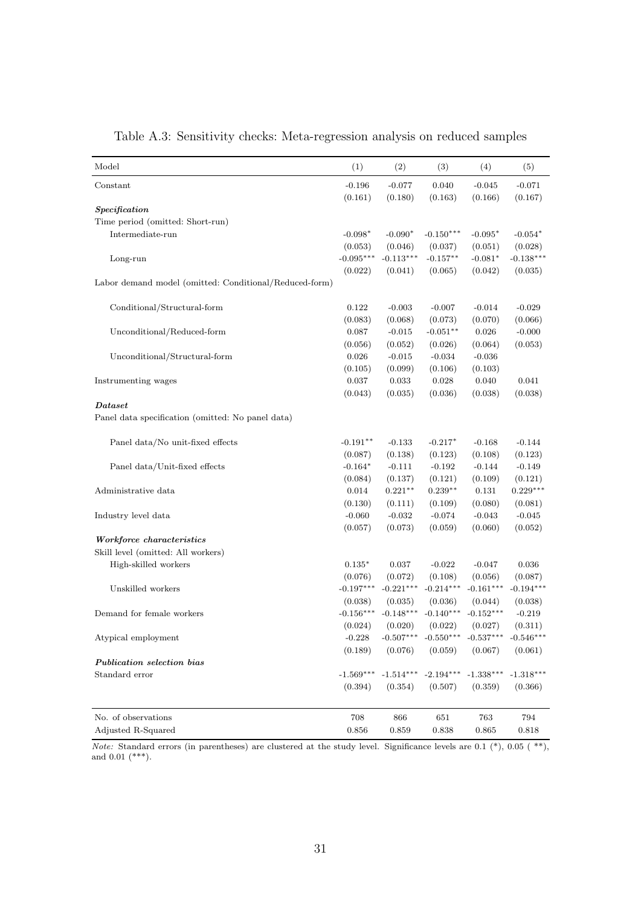| Model                                                  | (1)         | (2)         | (3)                                           | (4)         | (5)         |
|--------------------------------------------------------|-------------|-------------|-----------------------------------------------|-------------|-------------|
| Constant                                               | $-0.196$    | $-0.077$    | 0.040                                         | $-0.045$    | $-0.071$    |
|                                                        | (0.161)     | (0.180)     | (0.163)                                       | (0.166)     | (0.167)     |
| Specification                                          |             |             |                                               |             |             |
| Time period (omitted: Short-run)<br>Intermediate-run   | $-0.098*$   | $-0.090*$   | $-0.150***$                                   | $-0.095*$   | $-0.054*$   |
|                                                        | (0.053)     | (0.046)     | (0.037)                                       | (0.051)     | (0.028)     |
| Long-run                                               | $-0.095***$ | $-0.113***$ | $-0.157**$                                    | $-0.081*$   | $-0.138***$ |
|                                                        | (0.022)     | (0.041)     | (0.065)                                       | (0.042)     | (0.035)     |
| Labor demand model (omitted: Conditional/Reduced-form) |             |             |                                               |             |             |
|                                                        |             |             |                                               |             |             |
| Conditional/Structural-form                            | 0.122       | $-0.003$    | $-0.007$                                      | $-0.014$    | $-0.029$    |
|                                                        | (0.083)     | (0.068)     | (0.073)                                       | (0.070)     | (0.066)     |
| Unconditional/Reduced-form                             | 0.087       | $-0.015$    | $-0.051**$                                    | 0.026       | $-0.000$    |
|                                                        | (0.056)     | (0.052)     | (0.026)                                       | (0.064)     | (0.053)     |
| Unconditional/Structural-form                          | 0.026       | $-0.015$    | $-0.034$                                      | $-0.036$    |             |
|                                                        | (0.105)     | (0.099)     | (0.106)                                       | (0.103)     |             |
| Instrumenting wages                                    | 0.037       | 0.033       | 0.028                                         | 0.040       | 0.041       |
|                                                        | (0.043)     | (0.035)     | (0.036)                                       | (0.038)     | (0.038)     |
| <b>Dataset</b>                                         |             |             |                                               |             |             |
| Panel data specification (omitted: No panel data)      |             |             |                                               |             |             |
| Panel data/No unit-fixed effects                       | $-0.191**$  | $-0.133$    | $-0.217*$                                     | $-0.168$    | $-0.144$    |
|                                                        | (0.087)     | (0.138)     | (0.123)                                       | (0.108)     | (0.123)     |
| Panel data/Unit-fixed effects                          | $-0.164*$   | $-0.111$    | $-0.192$                                      | $-0.144$    | $-0.149$    |
|                                                        | (0.084)     | (0.137)     | (0.121)                                       | (0.109)     | (0.121)     |
| Administrative data                                    | 0.014       | $0.221**$   | $0.239**$                                     | $0.131\,$   | $0.229***$  |
|                                                        | (0.130)     | (0.111)     | (0.109)                                       | (0.080)     | (0.081)     |
| Industry level data                                    | $-0.060$    | $-0.032$    | $-0.074$                                      | $-0.043$    | $-0.045$    |
|                                                        | (0.057)     | (0.073)     | (0.059)                                       | (0.060)     | (0.052)     |
| Workforce characteristics                              |             |             |                                               |             |             |
|                                                        |             |             |                                               |             |             |
| Skill level (omitted: All workers)                     |             |             |                                               |             |             |
| High-skilled workers                                   | $0.135*$    | 0.037       | $-0.022$                                      | $-0.047$    | 0.036       |
|                                                        | (0.076)     | (0.072)     | (0.108)                                       | (0.056)     | (0.087)     |
| Unskilled workers                                      | $-0.197***$ | $-0.221***$ | $-0.214***$                                   | $-0.161***$ | $-0.194***$ |
|                                                        | (0.038)     | (0.035)     | (0.036)                                       | (0.044)     | (0.038)     |
| Demand for female workers                              | $-0.156***$ | $-0.148***$ | $-0.140***$                                   | $-0.152***$ | $-0.219$    |
|                                                        | (0.024)     | (0.020)     | (0.022)                                       | (0.027)     | (0.311)     |
| Atypical employment                                    | $-0.228$    |             | $-0.507***$ $-0.550***$ $-0.537***$ $-0.546"$ |             |             |
|                                                        | (0.189)     | (0.076)     | (0.059)                                       | (0.067)     | (0.061)     |
| Publication selection bias                             |             |             |                                               |             |             |
| Standard error                                         | $-1.569***$ | $-1.514***$ | $-2.194***$                                   | $-1.338***$ | $-1.318***$ |
|                                                        | (0.394)     | (0.354)     | (0.507)                                       | (0.359)     | (0.366)     |
| No. of observations                                    | 708         | 866         | 651                                           | 763         | 794         |
| Adjusted R-Squared                                     | 0.856       | 0.859       | 0.838                                         | 0.865       | 0.818       |
|                                                        |             |             |                                               |             |             |

#### <span id="page-33-0"></span>Table A.3: Sensitivity checks: Meta-regression analysis on reduced samples

*Note:* Standard errors (in parentheses) are clustered at the study level. Significance levels are 0.1 (\*), 0.05 (\*\*), and 0.01  $(\mbox{***}).$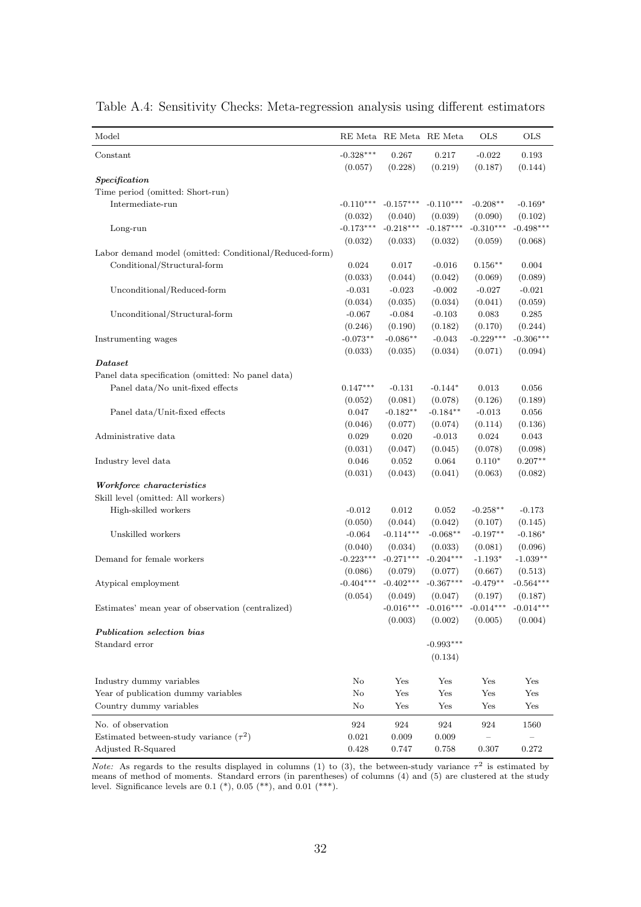| Model                                                  |             | RE Meta RE Meta RE Meta |             | <b>OLS</b>  | OLS         |
|--------------------------------------------------------|-------------|-------------------------|-------------|-------------|-------------|
| Constant                                               | $-0.328***$ | 0.267                   | 0.217       | $-0.022$    | 0.193       |
|                                                        | (0.057)     | (0.228)                 | (0.219)     | (0.187)     | (0.144)     |
| Specification                                          |             |                         |             |             |             |
| Time period (omitted: Short-run)                       |             |                         |             |             |             |
| Intermediate-run                                       | $-0.110***$ | $-0.157***$             | $-0.110***$ | $-0.208**$  | $-0.169*$   |
|                                                        | (0.032)     | (0.040)                 | (0.039)     | (0.090)     | (0.102)     |
| Long-run                                               | $-0.173***$ | $-0.218***$             | $-0.187***$ | $-0.310***$ | $-0.498***$ |
|                                                        | (0.032)     | (0.033)                 | (0.032)     | (0.059)     | (0.068)     |
| Labor demand model (omitted: Conditional/Reduced-form) |             |                         |             |             |             |
| Conditional/Structural-form                            | 0.024       | 0.017                   | $-0.016$    | $0.156**$   | 0.004       |
|                                                        | (0.033)     | (0.044)                 | (0.042)     | (0.069)     | (0.089)     |
| Unconditional/Reduced-form                             | $-0.031$    | $-0.023$                | $-0.002$    | $-0.027$    | $-0.021$    |
|                                                        | (0.034)     | (0.035)                 | (0.034)     | (0.041)     | (0.059)     |
| Unconditional/Structural-form                          | $-0.067$    | $-0.084$                | $-0.103$    | 0.083       | 0.285       |
|                                                        | (0.246)     | (0.190)                 | (0.182)     | (0.170)     | (0.244)     |
| Instrumenting wages                                    | $-0.073**$  | $-0.086**$              | $-0.043$    | $-0.229***$ | $-0.306***$ |
|                                                        | (0.033)     | (0.035)                 | (0.034)     | (0.071)     | (0.094)     |
| $\it Dataset$                                          |             |                         |             |             |             |
| Panel data specification (omitted: No panel data)      |             |                         |             |             |             |
| Panel data/No unit-fixed effects                       | $0.147***$  | $-0.131$                | $-0.144*$   | 0.013       | 0.056       |
|                                                        | (0.052)     | (0.081)                 | (0.078)     | (0.126)     | (0.189)     |
| Panel data/Unit-fixed effects                          | 0.047       | $-0.182**$              | $-0.184**$  | $-0.013$    | 0.056       |
|                                                        | (0.046)     | (0.077)                 | (0.074)     | (0.114)     | (0.136)     |
| Administrative data                                    | 0.029       | $0.020\,$               | $-0.013$    | 0.024       | 0.043       |
|                                                        | (0.031)     | (0.047)                 | (0.045)     | (0.078)     | (0.098)     |
| Industry level data                                    | 0.046       | 0.052                   | 0.064       | $0.110*$    | $0.207**$   |
|                                                        | (0.031)     | (0.043)                 | (0.041)     | (0.063)     | (0.082)     |
| Workforce characteristics                              |             |                         |             |             |             |
| Skill level (omitted: All workers)                     |             |                         |             |             |             |
| High-skilled workers                                   | $-0.012$    | 0.012                   | 0.052       | $-0.258**$  | $-0.173$    |
|                                                        | (0.050)     | (0.044)                 | (0.042)     | (0.107)     | (0.145)     |
| Unskilled workers                                      | $-0.064$    | $-0.114***$             | $-0.068**$  | $-0.197**$  | $-0.186*$   |
|                                                        | (0.040)     | (0.034)                 | (0.033)     | (0.081)     | (0.096)     |
| Demand for female workers                              | $-0.223***$ | $-0.271***$             | $-0.204***$ | $-1.193*$   | $-1.039**$  |
|                                                        | (0.086)     | (0.079)                 | (0.077)     | (0.667)     | (0.513)     |
| Atypical employment                                    | $-0.404***$ | $-0.402***$             | $-0.367***$ | $-0.479**$  | $-0.564***$ |
|                                                        | (0.054)     | (0.049)                 | (0.047)     | (0.197)     | (0.187)     |
| Estimates' mean year of observation (centralized)      |             | $-0.016***$             | $-0.016***$ | $-0.014***$ | $-0.014***$ |
|                                                        |             | (0.003)                 | (0.002)     | (0.005)     | (0.004)     |
| Publication selection bias                             |             |                         |             |             |             |
| Standard error                                         |             |                         | $-0.993***$ |             |             |
|                                                        |             |                         | (0.134)     |             |             |
| Industry dummy variables                               | No          | Yes                     | Yes         | Yes         | Yes         |
| Year of publication dummy variables                    | $\rm No$    | Yes                     | Yes         | Yes         | Yes         |
| Country dummy variables                                | No          | Yes                     | Yes         | Yes         | Yes         |
| No. of observation                                     | 924         | 924                     | 924         | 924         | 1560        |
| Estimated between-study variance $(\tau^2)$            | 0.021       | 0.009                   | 0.009       |             |             |
| Adjusted R-Squared                                     | 0.428       | 0.747                   | 0.758       | 0.307       | 0.272       |
|                                                        |             |                         |             |             |             |

<span id="page-34-0"></span>Table A.4: Sensitivity Checks: Meta-regression analysis using different estimators

*Note:* As regards to the results displayed in columns (1) to (3), the between-study variance  $\tau^2$  is estimated by means of method of moments. Standard errors (in parentheses) of columns (4) and (5) are clustered at the study level. Significance levels are 0.1 (\*), 0.05 (\*\*), and 0.01 (\*\*\*).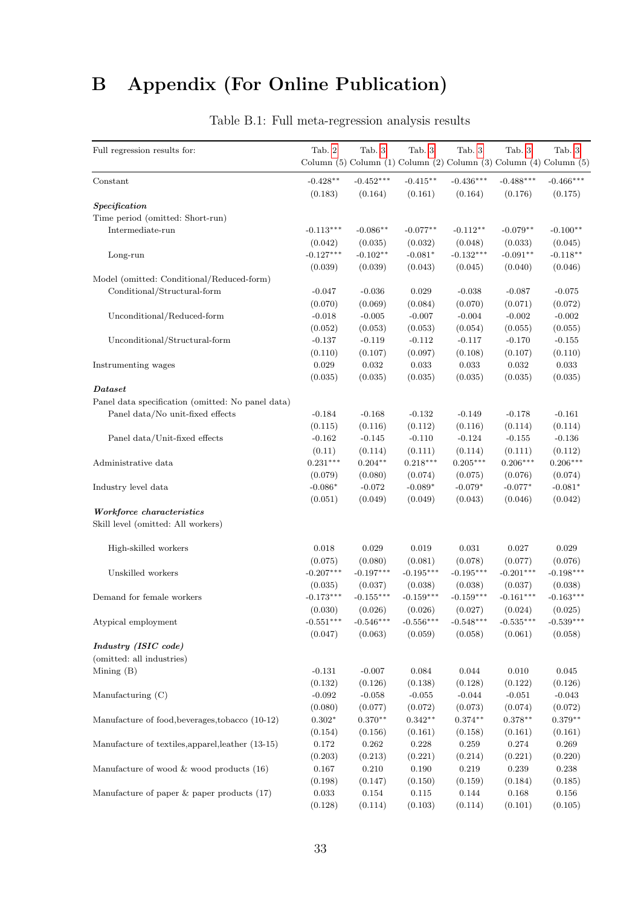# <span id="page-35-0"></span>B Appendix (For Online Publication)

| Full regression results for:                      | Tab. 2      | Tab. 3                                                            | Tab. 3      | Tab. 3      | Tab. 3      | Tab. 3      |
|---------------------------------------------------|-------------|-------------------------------------------------------------------|-------------|-------------|-------------|-------------|
|                                                   |             | Column (5) Column (1) Column (2) Column (3) Column (4) Column (5) |             |             |             |             |
| Constant                                          | $-0.428**$  | $-0.452***$                                                       | $-0.415**$  | $-0.436***$ | $-0.488***$ | $-0.466***$ |
|                                                   | (0.183)     | (0.164)                                                           | (0.161)     | (0.164)     | (0.176)     | (0.175)     |
| Specification                                     |             |                                                                   |             |             |             |             |
| Time period (omitted: Short-run)                  |             |                                                                   |             |             |             |             |
| Intermediate-run                                  | $-0.113***$ | $-0.086**$                                                        | $-0.077**$  | $-0.112**$  | $-0.079**$  | $-0.100**$  |
|                                                   | (0.042)     | (0.035)                                                           | (0.032)     | (0.048)     | (0.033)     | (0.045)     |
| Long-run                                          | $-0.127***$ | $-0.102**$                                                        | $-0.081*$   | $-0.132***$ | $-0.091**$  | $-0.118**$  |
|                                                   | (0.039)     | (0.039)                                                           | (0.043)     | (0.045)     | (0.040)     | (0.046)     |
| Model (omitted: Conditional/Reduced-form)         |             |                                                                   |             |             |             |             |
| Conditional/Structural-form                       | $-0.047$    | $-0.036$                                                          | 0.029       | $-0.038$    | $-0.087$    | $-0.075$    |
|                                                   | (0.070)     | (0.069)                                                           | (0.084)     | (0.070)     | (0.071)     | (0.072)     |
| Unconditional/Reduced-form                        | $-0.018$    | $-0.005$                                                          | $-0.007$    | $-0.004$    | $-0.002$    | $-0.002$    |
|                                                   | (0.052)     | (0.053)                                                           | (0.053)     | (0.054)     | (0.055)     | (0.055)     |
| Unconditional/Structural-form                     | $-0.137$    | $-0.119$                                                          | $-0.112$    | $-0.117$    | $-0.170$    | $-0.155$    |
|                                                   | (0.110)     | (0.107)                                                           | (0.097)     | (0.108)     | (0.107)     | (0.110)     |
| Instrumenting wages                               | 0.029       | 0.032                                                             | 0.033       | 0.033       | 0.032       | 0.033       |
|                                                   | (0.035)     | (0.035)                                                           | (0.035)     | (0.035)     | (0.035)     | (0.035)     |
| $\it Dataset$                                     |             |                                                                   |             |             |             |             |
| Panel data specification (omitted: No panel data) |             |                                                                   |             |             |             |             |
| Panel data/No unit-fixed effects                  | $-0.184$    | $-0.168$                                                          | $-0.132$    | $-0.149$    | $-0.178$    | $-0.161$    |
|                                                   | (0.115)     | (0.116)                                                           | (0.112)     | (0.116)     | (0.114)     | (0.114)     |
| Panel data/Unit-fixed effects                     | $-0.162$    | $-0.145$                                                          | $-0.110$    | $-0.124$    | $-0.155$    | $-0.136$    |
|                                                   | (0.11)      | (0.114)                                                           | (0.111)     | (0.114)     | (0.111)     | (0.112)     |
| Administrative data                               | $0.231***$  | $0.204**$                                                         | $0.218***$  | $0.205***$  | $0.206***$  | $0.206***$  |
|                                                   | (0.079)     | (0.080)                                                           | (0.074)     | (0.075)     | (0.076)     | (0.074)     |
| Industry level data                               | $-0.086*$   | $-0.072$                                                          | $-0.089*$   | $-0.079*$   | $-0.077*$   | $-0.081*$   |
|                                                   | (0.051)     | (0.049)                                                           | (0.049)     | (0.043)     | (0.046)     | (0.042)     |
| Workforce characteristics                         |             |                                                                   |             |             |             |             |
| Skill level (omitted: All workers)                |             |                                                                   |             |             |             |             |
|                                                   |             |                                                                   |             |             |             |             |
| High-skilled workers                              | 0.018       | 0.029                                                             | 0.019       | 0.031       | 0.027       | 0.029       |
|                                                   | (0.075)     | (0.080)                                                           | (0.081)     | (0.078)     | (0.077)     | (0.076)     |
| Unskilled workers                                 | $-0.207***$ | $-0.197***$                                                       | $-0.195***$ | $-0.195***$ | $-0.201***$ | $-0.198***$ |
|                                                   | (0.035)     | (0.037)                                                           | (0.038)     | (0.038)     | (0.037)     | (0.038)     |
| Demand for female workers                         | $-0.173***$ | $-0.155***$                                                       | $-0.159***$ | $-0.159***$ | $-0.161***$ | $-0.163***$ |
|                                                   | (0.030)     | (0.026)                                                           | (0.026)     | (0.027)     | (0.024)     | (0.025)     |
| Atypical employment                               | $-0.551***$ | $-0.546***$                                                       | $-0.556*$   | $-0.548***$ | $-0.535***$ | $-0.539***$ |
|                                                   | (0.047)     | (0.063)                                                           | (0.059)     | (0.058)     | (0.061)     | (0.058)     |
| Industry (ISIC code)                              |             |                                                                   |             |             |             |             |
| (omitted: all industries)                         |             |                                                                   |             |             |             |             |
| Mining $(B)$                                      | $-0.131$    | $-0.007$                                                          | 0.084       | $\,0.044\,$ | 0.010       | 0.045       |
|                                                   | (0.132)     | (0.126)                                                           | (0.138)     | (0.128)     | (0.122)     | (0.126)     |
| Manufacturing (C)                                 | $-0.092$    | $-0.058$                                                          | $-0.055$    | $-0.044$    | $-0.051$    | $-0.043$    |
|                                                   | (0.080)     | (0.077)                                                           | (0.072)     | (0.073)     | (0.074)     | (0.072)     |
| Manufacture of food, beverages, to bacco (10-12)  | $0.302*$    | $0.370**$                                                         | $0.342**$   | $0.374**$   | $0.378**$   | $0.379**$   |
|                                                   | (0.154)     | (0.156)                                                           | (0.161)     | (0.158)     | (0.161)     | (0.161)     |
| Manufacture of textiles, apparel, leather (13-15) | 0.172       | $0.262\,$                                                         | 0.228       | 0.259       | 0.274       | 0.269       |
|                                                   | (0.203)     | (0.213)                                                           | (0.221)     | (0.214)     | (0.221)     | (0.220)     |
| Manufacture of wood $\&$ wood products (16)       | 0.167       | 0.210                                                             | 0.190       | 0.219       | 0.239       | 0.238       |
|                                                   | (0.198)     | (0.147)                                                           | (0.150)     | (0.159)     | (0.184)     | (0.185)     |
| Manufacture of paper $\&$ paper products (17)     | $\,0.033\,$ | 0.154                                                             | 0.115       | $0.144\,$   | 0.168       | 0.156       |
|                                                   | (0.128)     | (0.114)                                                           | (0.103)     | (0.114)     | (0.101)     | (0.105)     |

## Table B.1: Full meta-regression analysis results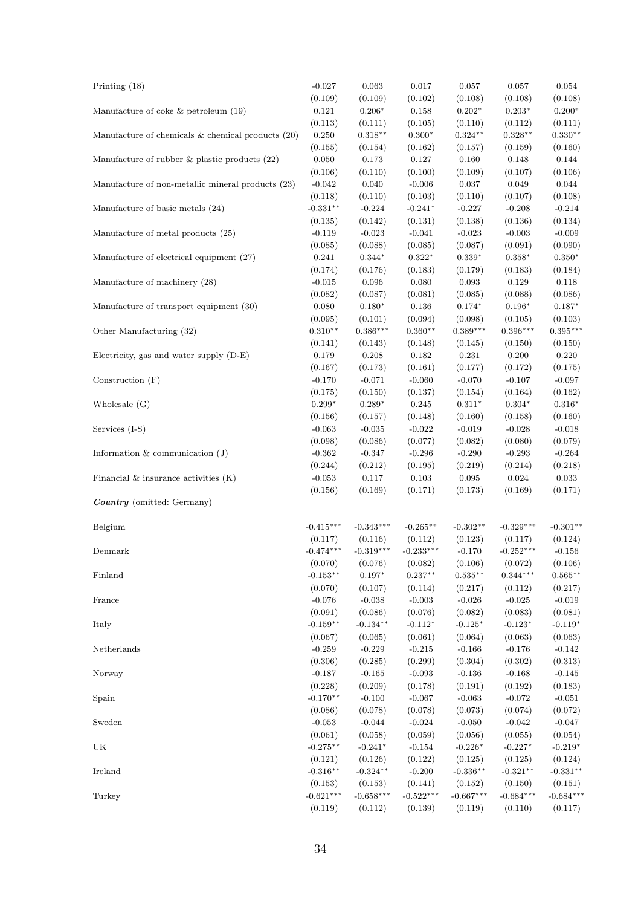| Printing $(18)$                                      | $-0.027$            | 0.063            | 0.017            | $0.057\,$          | 0.057               | 0.054            |
|------------------------------------------------------|---------------------|------------------|------------------|--------------------|---------------------|------------------|
|                                                      | (0.109)             | (0.109)          | (0.102)          | (0.108)            | (0.108)             | (0.108)          |
| Manufacture of coke $&$ petroleum (19)               | $\rm 0.121$         | $0.206*$         | 0.158            | $0.202*$           | $0.203*$            | $0.200*$         |
|                                                      | (0.113)             | (0.111)          | (0.105)          | (0.110)            | (0.112)             | (0.111)          |
| Manufacture of chemicals $\&$ chemical products (20) | 0.250               | $0.318**$        | $0.300*$         | $0.324**$          | $0.328**$           | $0.330**$        |
|                                                      | (0.155)             | (0.154)          | (0.162)          | (0.157)            | (0.159)             | (0.160)          |
| Manufacture of rubber $\&$ plastic products (22)     | 0.050               | 0.173            | 0.127            | 0.160              | 0.148               | 0.144            |
|                                                      | (0.106)             | (0.110)          | (0.100)          | (0.109)            | (0.107)             | (0.106)          |
| Manufacture of non-metallic mineral products (23)    | $-0.042$            | 0.040            | $-0.006$         | 0.037              | 0.049               | 0.044            |
|                                                      | (0.118)             | (0.110)          | (0.103)          | (0.110)            | (0.107)             | (0.108)          |
| Manufacture of basic metals (24)                     | $-0.331**$          | $-0.224$         | $-0.241*$        | $-0.227$           | $-0.208$            | $-0.214$         |
|                                                      | (0.135)             | (0.142)          | (0.131)          | (0.138)            | (0.136)             | (0.134)          |
| Manufacture of metal products (25)                   | $-0.119$            | $-0.023$         | $-0.041$         | $-0.023$           | $-0.003$            | $-0.009$         |
|                                                      | (0.085)             | (0.088)          | (0.085)          | (0.087)            | (0.091)             | (0.090)          |
| Manufacture of electrical equipment (27)             | 0.241               | $0.344*$         | $0.322*$         | $0.339^{\ast}$     | $0.358*$            | $0.350*$         |
|                                                      | (0.174)             | (0.176)          | (0.183)          | (0.179)            | (0.183)             | (0.184)          |
| Manufacture of machinery (28)                        | $-0.015$            | 0.096            | 0.080            | 0.093              | 0.129               | 0.118            |
|                                                      | (0.082)             | (0.087)          | (0.081)          | (0.085)            | (0.088)             | (0.086)          |
| Manufacture of transport equipment (30)              | 0.080               | $0.180*$         | 0.136            | $0.174*$           | $0.196*$            | $0.187*$         |
|                                                      | (0.095)             | (0.101)          | (0.094)          | (0.098)            | (0.105)             | (0.103)          |
| Other Manufacturing (32)                             | $0.310**$           | $0.386***$       | $0.360**$        | $0.389***$         | $0.396***$          | $0.395***$       |
|                                                      | (0.141)             | (0.143)          | (0.148)          | (0.145)            | (0.150)             | (0.150)          |
| Electricity, gas and water supply $(D-E)$            | 0.179               | 0.208            | 0.182            | 0.231              | 0.200               | 0.220            |
|                                                      | (0.167)             | (0.173)          | (0.161)          | (0.177)            | (0.172)             | (0.175)          |
| Construction $(F)$                                   | $-0.170$            | $-0.071$         | $-0.060$         | $-0.070$           | $-0.107$            | $-0.097$         |
|                                                      | (0.175)             | (0.150)          | (0.137)          | (0.154)            | (0.164)             | (0.162)          |
| Wholesale $(G)$                                      | $0.299*$            | $0.289*$         | 0.245            | $0.311*$           | $0.304*$            | $0.316*$         |
|                                                      | (0.156)             | (0.157)          | (0.148)          | (0.160)            | (0.158)             | (0.160)          |
| Services (I-S)                                       | $-0.063$            | $-0.035$         | $-0.022$         | $-0.019$           | $-0.028$<br>(0.080) | $-0.018$         |
|                                                      | (0.098)             | (0.086)          | (0.077)          | (0.082)            |                     | (0.079)          |
| Information $&$ communication $(J)$                  | $-0.362$            | $-0.347$         | $-0.296$         | $-0.290$           | $-0.293$            | $-0.264$         |
|                                                      | (0.244)             | (0.212)<br>0.117 | (0.195)<br>0.103 | (0.219)<br>0.095   | (0.214)<br>0.024    | (0.218)<br>0.033 |
| Financial $\&$ insurance activities $(K)$            | $-0.053$<br>(0.156) | (0.169)          | (0.171)          | (0.173)            | (0.169)             | (0.171)          |
| <b>Country</b> (omitted: Germany)                    |                     |                  |                  |                    |                     |                  |
|                                                      |                     |                  |                  |                    |                     |                  |
| Belgium                                              | $-0.415***$         | $-0.343***$      | $-0.265***$      | $-0.302**$         | $-0.329***$         | $-0.301**$       |
|                                                      | (0.117)             | (0.116)          | (0.112)          | (0.123)            | (0.117)             | (0.124)          |
| Denmark                                              | $-0.474***$         | $-0.319***$      | $-0.233***$      | $-0.170$           | $-0.252***$         | $-0.156$         |
|                                                      | (0.070)             | (0.076)          | (0.082)          | (0.106)            | (0.072)             | (0.106)          |
| Finland                                              | $-0.153***$         | $0.197*$         | $0.237***$       | $0.535^{\ast\ast}$ | $0.344***$          | $0.565**$        |
|                                                      | (0.070)             | (0.107)          | (0.114)          | (0.217)            | (0.112)             | (0.217)          |
| France                                               | $-0.076$            | $-0.038$         | $-0.003$         | $-0.026$           | $-0.025$            | $-0.019$         |
|                                                      | (0.091)             | (0.086)          | (0.076)          | (0.082)            | (0.083)             | (0.081)          |
| Italy                                                | $-0.159**$          | $-0.134**$       | $-0.112*$        | $-0.125*$          | $-0.123*$           | $-0.119*$        |
|                                                      | (0.067)             | (0.065)          | (0.061)          | (0.064)            | (0.063)             | (0.063)          |
| Netherlands                                          | $-0.259$            | $-0.229$         | $-0.215$         | $-0.166$           | $-0.176$            | $-0.142$         |
|                                                      | (0.306)             | (0.285)          | (0.299)          | (0.304)            | (0.302)             | (0.313)          |
| Norway                                               | $-0.187$            | $-0.165$         | $-0.093$         | $-0.136$           | $-0.168$            | $-0.145$         |
|                                                      | (0.228)             | (0.209)          | (0.178)          | (0.191)            | (0.192)             | (0.183)          |
| Spain                                                | $-0.170**$          | $-0.100$         | $-0.067$         | $-0.063$           | $-0.072$            | $-0.051$         |
|                                                      | (0.086)             | (0.078)          | (0.078)          | (0.073)            | (0.074)             | (0.072)          |
| Sweden                                               | $-0.053$            | $-0.044$         | $-0.024$         | $-0.050$           | $-0.042$            | $-0.047$         |
|                                                      | (0.061)             | (0.058)          | (0.059)          | (0.056)            | (0.055)             | (0.054)          |
| UK                                                   | $-0.275**$          | $-0.241*$        | $-0.154$         | $-0.226*$          | $-0.227*$           | $-0.219*$        |
|                                                      | (0.121)             | (0.126)          | (0.122)          | (0.125)            | (0.125)             | (0.124)          |
| Ireland                                              | $-0.316**$          | $-0.324**$       | $-0.200$         | $-0.336**$         | $-0.321**$          | $-0.331**$       |
|                                                      | (0.153)             | (0.153)          | (0.141)          | (0.152)            | (0.150)             | (0.151)          |
| Turkey                                               | $-0.621***$         | $-0.658***$      | $-0.522***$      | $-0.667***$        | $-0.684***$         | $-0.684***$      |
|                                                      | (0.119)             | (0.112)          | (0.139)          | (0.119)            | (0.110)             | (0.117)          |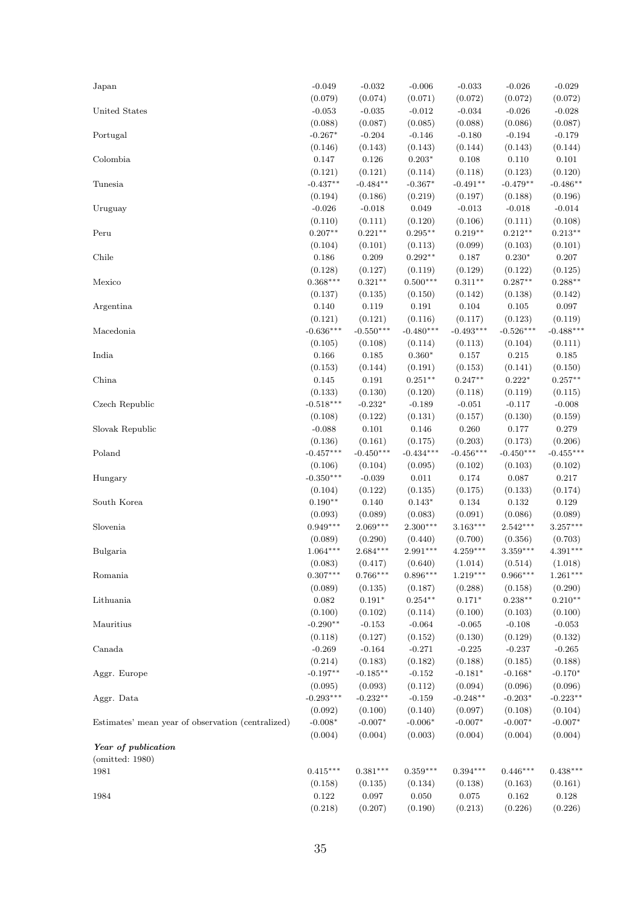| Japan                                             | $-0.049$               | $-0.032$               | $-0.006$               | $-0.033$               | $-0.026$               | $-0.029$               |
|---------------------------------------------------|------------------------|------------------------|------------------------|------------------------|------------------------|------------------------|
|                                                   | (0.079)                | (0.074)                | (0.071)                | (0.072)                | (0.072)                | (0.072)                |
| United States                                     | $-0.053$               | $-0.035$               | $-0.012$               | $-0.034$               | $-0.026$               | $-0.028$               |
|                                                   | (0.088)                | (0.087)                | (0.085)                | (0.088)                | (0.086)                | (0.087)                |
| Portugal                                          | $-0.267*$              | $-0.204$               | $-0.146$               | $-0.180$               | $-0.194$               | $-0.179$               |
|                                                   | (0.146)                | (0.143)                | (0.143)                | (0.144)                | (0.143)                | (0.144)                |
| Colombia                                          | 0.147                  | 0.126                  | $0.203*$               | 0.108                  | 0.110                  | 0.101                  |
|                                                   | (0.121)                | (0.121)                | (0.114)                | (0.118)                | (0.123)                | (0.120)                |
| Tunesia                                           | $-0.437**$             | $-0.484**$             | $-0.367*$              | $-0.491**$             | $-0.479**$             | $-0.486**$             |
|                                                   | (0.194)                | (0.186)                | (0.219)                | (0.197)                | (0.188)                | (0.196)                |
| Uruguay                                           | $-0.026$               | $-0.018$               | 0.049                  | $-0.013$               | $-0.018$               | $-0.014$               |
|                                                   | (0.110)                | (0.111)                | (0.120)                | (0.106)                | (0.111)                | (0.108)                |
| Peru                                              | $0.207**$              | $0.221**$              | $0.295***$             | $0.219**$              | $0.212**$              | $0.213**$              |
|                                                   | (0.104)                | (0.101)                | (0.113)                | (0.099)                | (0.103)                | (0.101)                |
| Chile                                             | 0.186                  | 0.209                  | $0.292**$              | 0.187                  | $0.230*$               | $0.207\,$              |
|                                                   | (0.128)                | (0.127)                | (0.119)                | (0.129)                | (0.122)                | (0.125)                |
| Mexico                                            | $0.368***$             | $0.321**$              | $0.500***$             | $0.311***$             | $0.287**$              | $0.288**$              |
|                                                   | (0.137)<br>0.140       | (0.135)<br>0.119       | (0.150)                | (0.142)                | (0.138)                | (0.142)                |
| Argentina                                         |                        |                        | 0.191                  | 0.104                  | $0.105\,$              | 0.097                  |
|                                                   | (0.121)<br>$-0.636***$ | (0.121)<br>$-0.550***$ | (0.116)<br>$-0.480***$ | (0.117)<br>$-0.493***$ | (0.123)                | (0.119)<br>$-0.488***$ |
| Macedonia                                         |                        | (0.108)                |                        |                        | $-0.526***$<br>(0.104) |                        |
| India                                             | (0.105)<br>0.166       | 0.185                  | (0.114)<br>$0.360*$    | (0.113)<br>0.157       | 0.215                  | (0.111)<br>0.185       |
|                                                   | (0.153)                | (0.144)                | (0.191)                | (0.153)                |                        | (0.150)                |
| China                                             | 0.145                  | 0.191                  | $0.251**$              | $0.247**$              | (0.141)<br>$0.222*$    | $0.257**$              |
|                                                   | (0.133)                | (0.130)                | (0.120)                | (0.118)                | (0.119)                | (0.115)                |
| Czech Republic                                    | $-0.518***$            | $-0.232*$              | $-0.189$               | $-0.051$               | $-0.117$               | $-0.008$               |
|                                                   | (0.108)                | (0.122)                | (0.131)                | (0.157)                | (0.130)                | (0.159)                |
| Slovak Republic                                   | $-0.088$               | $0.101\,$              | $0.146\,$              | $0.260\,$              | $0.177\,$              | 0.279                  |
|                                                   | (0.136)                | (0.161)                | (0.175)                | (0.203)                | (0.173)                | (0.206)                |
| Poland                                            | $-0.457***$            | $-0.450***$            | $-0.434***$            | $-0.456***$            | $-0.450***$            | $-0.455***$            |
|                                                   | (0.106)                | (0.104)                | (0.095)                | (0.102)                | (0.103)                | (0.102)                |
| Hungary                                           | $-0.350***$            | $-0.039$               | $0.011\,$              | 0.174                  | 0.087                  | 0.217                  |
|                                                   | (0.104)                | (0.122)                | (0.135)                | (0.175)                | (0.133)                | (0.174)                |
| South Korea                                       | $0.190**$              | 0.140                  | $0.143*$               | 0.134                  | 0.132                  | 0.129                  |
|                                                   | (0.093)                | (0.089)                | (0.083)                | (0.091)                | (0.086)                | (0.089)                |
| Slovenia                                          | $0.949***$             | $2.069***$             | $2.300***$             | $3.163***$             | $2.542***$             | $3.257***$             |
|                                                   | (0.089)                | (0.290)                | (0.440)                | (0.700)                | (0.356)                | (0.703)                |
| Bulgaria                                          | $1.064***$             | $2.684***$             | $2.991***$             | $4.259***$             | $3.359***$             | $4.391***$             |
|                                                   | (0.083)                | (0.417)                | (0.640)                | (1.014)                | (0.514)                | (1.018)                |
| Romania                                           | $0.307***$             | $0.766***$             | $0.896***$             | $1.219***$             | $0.966***$             | $1.261***$             |
|                                                   | (0.089)                | (0.135)                | (0.187)                | (0.288)                | (0.158)                | (0.290)                |
| Lithuania                                         | 0.082                  | $0.191*$               | $0.254***$             | $0.171*$               | $0.238**$              | $0.210**$              |
|                                                   | (0.100)                | (0.102)                | (0.114)                | (0.100)                | (0.103)                | (0.100)                |
| Mauritius                                         | $-0.290**$             | $-0.153$               | $-0.064$               | $-0.065$               | $-0.108$               | $-0.053$               |
|                                                   | (0.118)                | (0.127)                | (0.152)                | (0.130)                | (0.129)                | (0.132)                |
| Canada                                            | $-0.269$               | $-0.164$               | $-0.271$               | $-0.225$               | $-0.237$               | $-0.265$               |
|                                                   | (0.214)                | (0.183)                | (0.182)                | (0.188)                | (0.185)                | (0.188)                |
| Aggr. Europe                                      | $-0.197**$             | $-0.185**$             | $-0.152$               | $-0.181*$              | $-0.168*$              | $-0.170*$              |
|                                                   | (0.095)                | (0.093)                | (0.112)                | (0.094)                | (0.096)                | (0.096)                |
| Aggr. Data                                        | $-0.293***$            | $-0.232**$             | $-0.159$               | $-0.248**$             | $-0.203*$              | $-0.223**$             |
|                                                   | (0.092)                | (0.100)                | (0.140)                | (0.097)                | (0.108)                | (0.104)                |
| Estimates' mean year of observation (centralized) | $-0.008*$              | $-0.007*$              | $-0.006*$              | $-0.007*$              | $-0.007*$              | $-0.007*$              |
|                                                   | (0.004)                | (0.004)                | (0.003)                | (0.004)                | (0.004)                | (0.004)                |
| Year of publication                               |                        |                        |                        |                        |                        |                        |
| (omitted: 1980)                                   |                        |                        |                        |                        |                        |                        |
| 1981                                              | $0.415***$             | $0.381***$             | $0.359***$             | $0.394***$             | $0.446***$             | $0.438***$             |
| 1984                                              | (0.158)<br>$0.122\,$   | (0.135)<br>$0.097\,$   | (0.134)<br>$0.050\,$   | (0.138)<br>$0.075\,$   | (0.163)<br>0.162       | (0.161)<br>$0.128\,$   |
|                                                   | (0.218)                | (0.207)                | (0.190)                | (0.213)                | (0.226)                | (0.226)                |
|                                                   |                        |                        |                        |                        |                        |                        |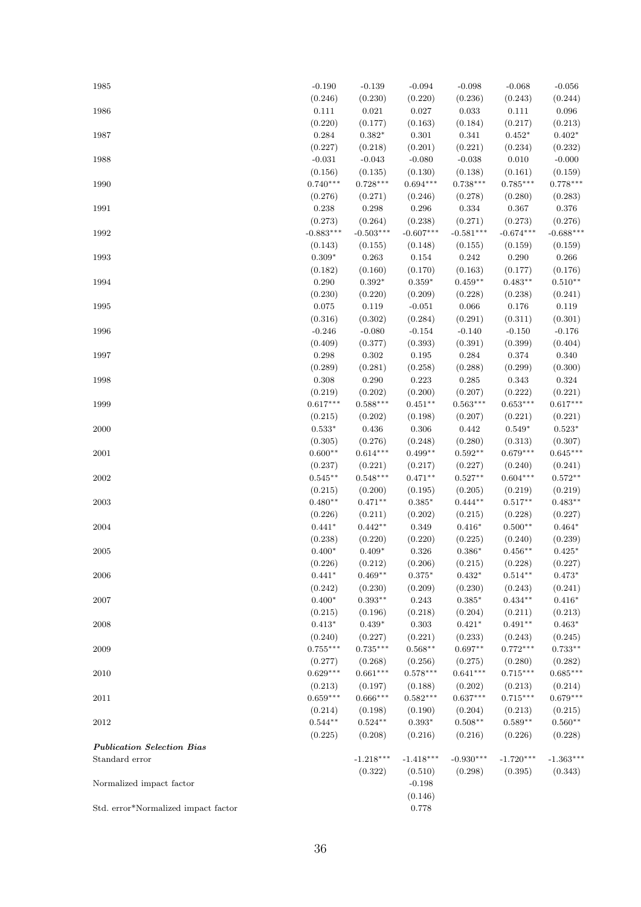| 1985                                | $-0.190$         | $-0.139$         | $-0.094$         | $-0.098$               | $-0.068$             | $-0.056$         |
|-------------------------------------|------------------|------------------|------------------|------------------------|----------------------|------------------|
|                                     | (0.246)          | (0.230)          | (0.220)          | (0.236)                | (0.243)              | (0.244)          |
| 1986                                | 0.111            | $\,0.021\,$      | $0.027\,$        | $\,0.033\,$            | 0.111                | 0.096            |
|                                     | (0.220)          | (0.177)          | (0.163)          | (0.184)                | (0.217)              | (0.213)          |
| 1987                                | 0.284            | $0.382*$         | $\rm 0.301$      | 0.341                  | $0.452*$             | $0.402*$         |
|                                     | (0.227)          | (0.218)          | (0.201)          | (0.221)                | (0.234)              | (0.232)          |
| 1988                                | $-0.031$         | $-0.043$         | $-0.080$         | $-0.038$               | 0.010                | $-0.000$         |
|                                     | (0.156)          | (0.135)          | (0.130)          | (0.138)                | (0.161)              | (0.159)          |
| 1990                                | $0.740***$       | $0.728***$       | $0.694***$       | $0.738***$             | $0.785***$           | $0.778***$       |
|                                     | (0.276)          | (0.271)          | (0.246)          | (0.278)                | (0.280)              | (0.283)          |
| 1991                                | 0.238            | $0.298\,$        | $0.296\,$        | $\,0.334\,$            | $0.367\,$            | 0.376            |
|                                     | (0.273)          | (0.264)          | (0.238)          | (0.271)                | (0.273)              | (0.276)          |
| 1992                                | $-0.883***$      | $-0.503***$      | $-0.607***$      | $-0.581***$            | $-0.674***$          | $-0.688***$      |
|                                     | (0.143)          | (0.155)          | (0.148)          | (0.155)                | (0.159)              | (0.159)          |
| 1993                                | $0.309^{\ast}$   | 0.263            | $\,0.154\,$      | $0.242\,$              | $0.290\,$            | $0.266\,$        |
|                                     | (0.182)          | (0.160)          | (0.170)          | (0.163)                | (0.177)              | (0.176)          |
| 1994                                | 0.290            | $0.392*$         | $0.359*$         | $0.459**$              | $0.483**$            | $0.510**$        |
|                                     | (0.230)          | (0.220)          | (0.209)          | (0.228)                | (0.238)              | (0.241)          |
| 1995                                | $0.075\,$        | 0.119            | $-0.051$         | 0.066                  | $0.176\,$            | 0.119            |
|                                     | (0.316)          | (0.302)          | (0.284)          | (0.291)                | (0.311)              | (0.301)          |
| 1996                                | $-0.246$         | $-0.080$         | $-0.154$         | $-0.140$               | $-0.150$             | $-0.176$         |
|                                     | (0.409)          | (0.377)          | (0.393)          | (0.391)                | (0.399)              | (0.404)          |
| 1997                                | 0.298            | 0.302<br>(0.281) | 0.195<br>(0.258) | 0.284                  | $0.374\,$<br>(0.299) | 0.340<br>(0.300) |
| 1998                                | (0.289)<br>0.308 | $0.290\,$        | 0.223            | (0.288)<br>$\,0.285\,$ | 0.343                | $0.324\,$        |
|                                     | (0.219)          | (0.202)          | (0.200)          | (0.207)                | (0.222)              | (0.221)          |
| 1999                                | $0.617***$       | $0.588***$       | $0.451***$       | $0.563***$             | $0.653***$           | $0.617***$       |
|                                     | (0.215)          | (0.202)          | (0.198)          | (0.207)                | (0.221)              | (0.221)          |
| 2000                                | $0.533^{\ast}$   | $0.436\,$        | $0.306\,$        | 0.442                  | $0.549*$             | $0.523*$         |
|                                     | (0.305)          | (0.276)          | (0.248)          | (0.280)                | (0.313)              | (0.307)          |
| 2001                                | $0.600**$        | $0.614***$       | $0.499**$        | $0.592^{**}$           | $0.679***$           | $0.645***$       |
|                                     | (0.237)          | (0.221)          | (0.217)          | (0.227)                | (0.240)              | (0.241)          |
| 2002                                | $0.545***$       | $0.548***$       | $0.471**$        | $0.527**$              | $0.604***$           | $0.572**$        |
|                                     | (0.215)          | (0.200)          | (0.195)          | (0.205)                | (0.219)              | (0.219)          |
| 2003                                | $0.480**$        | $0.471**$        | $0.385^{\ast}$   | $0.444**$              | $0.517**$            | $0.483**$        |
|                                     | (0.226)          | (0.211)          | (0.202)          | (0.215)                | (0.228)              | (0.227)          |
| 2004                                | $0.441*$         | $0.442**$        | 0.349            | $0.416*$               | $0.500**$            | $0.464*$         |
|                                     | (0.238)          | (0.220)          | (0.220)          | (0.225)                | (0.240)              | (0.239)          |
| 2005                                | $0.400*$         | $0.409*$         | 0.326            | $0.386*$               | $0.456**$            | $0.425*$         |
|                                     | (0.226)          | (0.212)          | (0.206)          | (0.215)                | (0.228)              | (0.227)          |
| 2006                                | $0.441*$         | $0.469**$        | $0.375*$         | $0.432*$               | $0.514***$           | $0.473*$         |
|                                     | (0.242)          | (0.230)          | (0.209)          | (0.230)                | (0.243)              | (0.241)          |
| 2007                                | $0.400*$         | $0.393**$        | 0.243            | $0.385*$               | $0.434**$            | $0.416*$         |
|                                     | (0.215)          | (0.196)          | (0.218)          | (0.204)                | (0.211)              | (0.213)          |
| 2008                                | $0.413*$         | $0.439*$         | 0.303            | $0.421*$               | $0.491**$            | $0.463*$         |
|                                     | (0.240)          | (0.227)          | (0.221)          | (0.233)                | (0.243)              | (0.245)          |
| 2009                                | $0.755***$       | $0.735***$       | $0.568***$       | $0.697**$              | $0.772***$           | $0.733**$        |
|                                     | (0.277)          | (0.268)          | (0.256)          | (0.275)                | (0.280)              | (0.282)          |
| 2010                                | $0.629***$       | $0.661***$       | $0.578***$       | $0.641***$             | $0.715***$           | $0.685***$       |
|                                     | (0.213)          | (0.197)          | (0.188)          | (0.202)                | (0.213)              | (0.214)          |
| 2011                                | $0.659***$       | $0.666***$       | $0.582***$       | $0.637***$             | $0.715***$           | $0.679***$       |
|                                     | (0.214)          | (0.198)          | (0.190)          | (0.204)                | (0.213)              | (0.215)          |
| 2012                                | $0.544**$        | $0.524**$        | $0.393^{\ast}$   | $0.508^{\ast\ast}$     | $0.589**$            | $0.560**$        |
|                                     | (0.225)          | (0.208)          | (0.216)          | (0.216)                | (0.226)              | (0.228)          |
| <b>Publication Selection Bias</b>   |                  |                  |                  |                        |                      |                  |
| Standard error                      |                  | $-1.218***$      | $-1.418***$      | $-0.930***$            | $-1.720***$          | $-1.363***$      |
|                                     |                  | (0.322)          | (0.510)          | (0.298)                | (0.395)              | (0.343)          |
| Normalized impact factor            |                  |                  | $-0.198$         |                        |                      |                  |
|                                     |                  |                  | (0.146)          |                        |                      |                  |
| Std. error*Normalized impact factor |                  |                  | 0.778            |                        |                      |                  |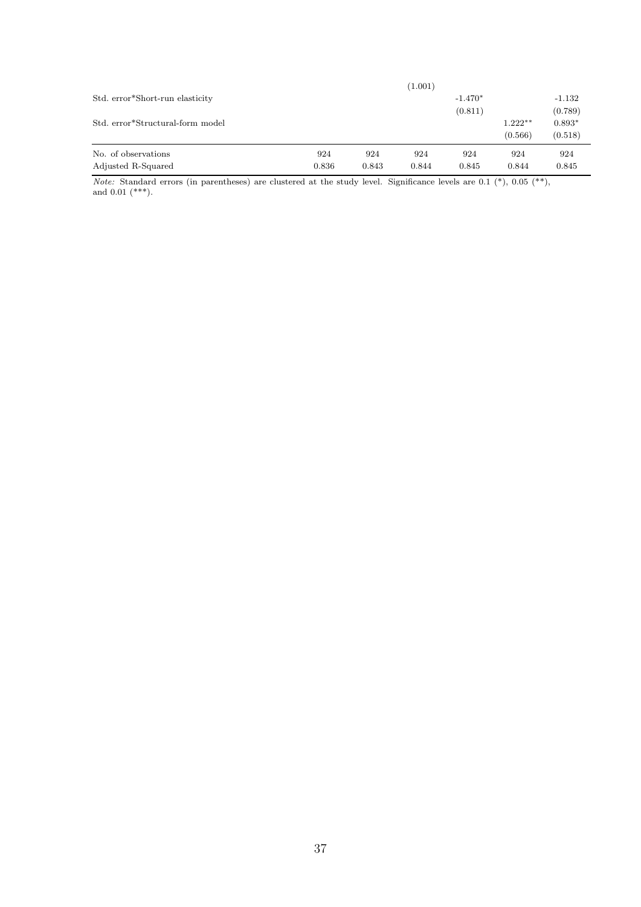|                                  |       |       | (1.001) |           |           |          |
|----------------------------------|-------|-------|---------|-----------|-----------|----------|
| Std. error*Short-run elasticity  |       |       |         | $-1.470*$ |           | $-1.132$ |
|                                  |       |       |         | (0.811)   |           | (0.789)  |
| Std. error*Structural-form model |       |       |         |           | $1.222**$ | $0.893*$ |
|                                  |       |       |         |           | (0.566)   | (0.518)  |
| No. of observations              | 924   | 924   | 924     | 924       | 924       | 924      |
| Adjusted R-Squared               | 0.836 | 0.843 | 0.844   | 0.845     | 0.844     | 0.845    |

*Note:* Standard errors (in parentheses) are clustered at the study level. Significance levels are 0.1  $(*)$ , 0.05  $(**)$ , and 0.01 (\*\*\*).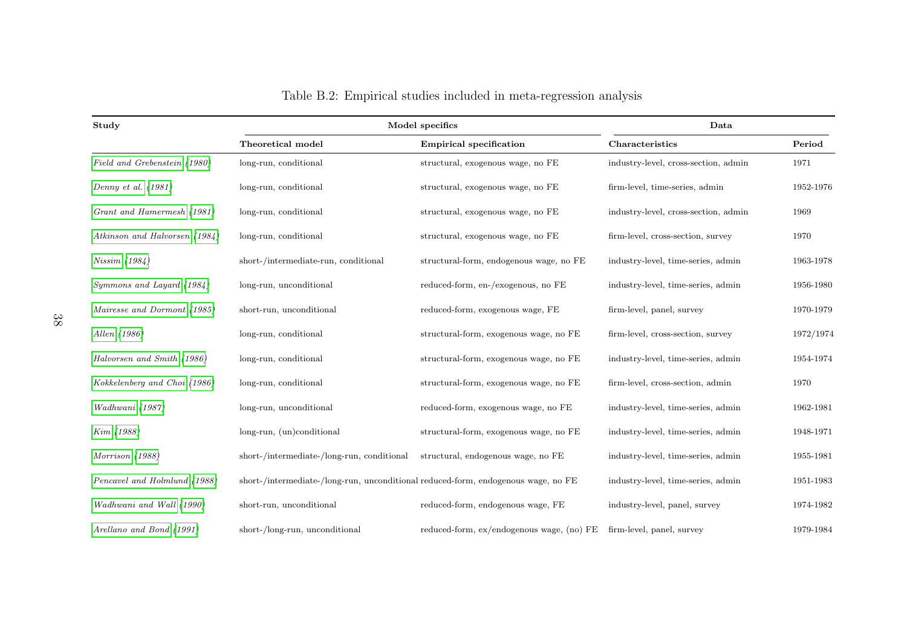| Study                         |                                                                                   | Model specifics                           | Data                                 |           |
|-------------------------------|-----------------------------------------------------------------------------------|-------------------------------------------|--------------------------------------|-----------|
|                               | Theoretical model                                                                 | <b>Empirical specification</b>            | Characteristics                      | Period    |
| Field and Grebenstein (1980)  | long-run, conditional                                                             | structural, exogenous wage, no FE         | industry-level, cross-section, admin | $1971\,$  |
| Denny et al. $(1981)$         | long-run, conditional                                                             | structural, exogenous wage, no FE         | firm-level, time-series, admin       | 1952-1976 |
| Grant and Hamermesh (1981)    | long-run, conditional                                                             | structural, exogenous wage, no FE         | industry-level, cross-section, admin | 1969      |
| Atkinson and Halvorsen (1984) | long-run, conditional                                                             | structural, exogenous wage, no FE         | firm-level, cross-section, survey    | 1970      |
| Nissim(1984)                  | short-/intermediate-run, conditional                                              | structural-form, endogenous wage, no FE   | industry-level, time-series, admin   | 1963-1978 |
| Symmons and Layard (1984)     | long-run, unconditional                                                           | reduced-form, en-/exogenous, no FE        | industry-level, time-series, admin   | 1956-1980 |
| Mairesse and Dormont (1985)   | short-run, unconditional                                                          | reduced-form, exogenous wage, FE          | firm-level, panel, survey            | 1970-1979 |
| Allen (1986)                  | long-run, conditional                                                             | structural-form, exogenous wage, no FE    | firm-level, cross-section, survey    | 1972/1974 |
| Halvorsen and Smith (1986)    | long-run, conditional                                                             | structural-form, exogenous wage, no FE    | industry-level, time-series, admin   | 1954-1974 |
| Kokkelenberg and Choi (1986)  | long-run, conditional                                                             | structural-form, exogenous wage, no FE    | firm-level, cross-section, admin     | 1970      |
| Wadhwani (1987)               | long-run, unconditional                                                           | reduced-form, exogenous wage, no FE       | industry-level, time-series, admin   | 1962-1981 |
| Kim (1988)                    | long-run, (un)conditional                                                         | structural-form, exogenous wage, no FE    | industry-level, time-series, admin   | 1948-1971 |
| Morrison (1988)               | short-/intermediate-/long-run, conditional                                        | structural, endogenous wage, no FE        | industry-level, time-series, admin   | 1955-1981 |
| Pencavel and Holmlund (1988)  | short-/intermediate-/long-run, unconditional reduced-form, endogenous wage, no FE |                                           | industry-level, time-series, admin   | 1951-1983 |
| Wadhwani and Wall (1990)      | short-run, unconditional                                                          | reduced-form, endogenous wage, FE         | industry-level, panel, survey        | 1974-1982 |
| Arellano and Bond (1991)      | short-/long-run, unconditional                                                    | reduced-form, ex/endogenous wage, (no) FE | firm-level, panel, survey            | 1979-1984 |

## Table B.2: Empirical studies included in meta-regression analysis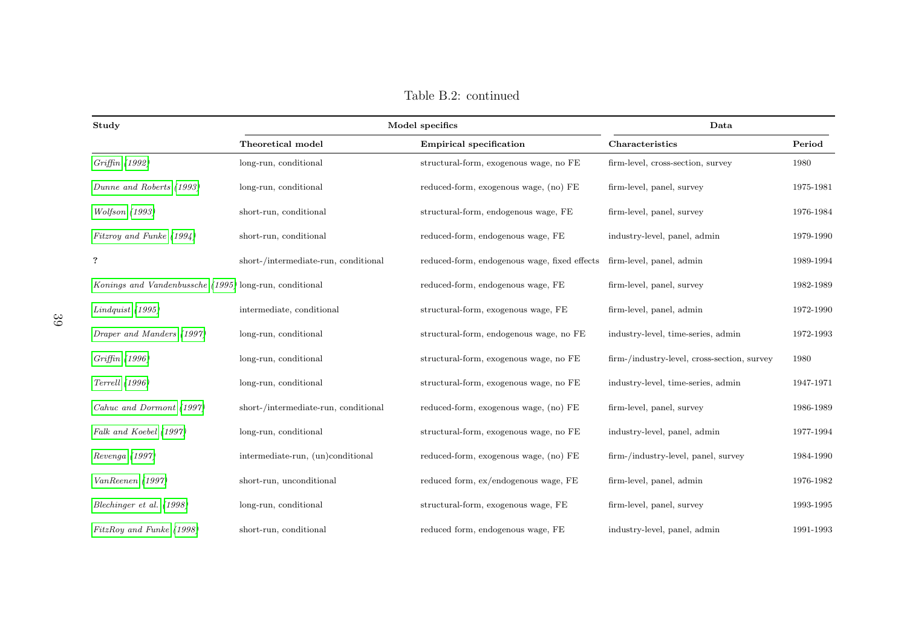|  |  | Table B.2: continued |
|--|--|----------------------|
|--|--|----------------------|

| Study                                                  |                                      | Model specifics                              | Data                                        |           |
|--------------------------------------------------------|--------------------------------------|----------------------------------------------|---------------------------------------------|-----------|
|                                                        | Theoretical model                    | <b>Empirical specification</b>               | Characteristics                             | Period    |
| Griffin (1992)                                         | long-run, conditional                | structural-form, exogenous wage, no FE       | firm-level, cross-section, survey           | 1980      |
| Dunne and Roberts (1993)                               | long-run, conditional                | reduced-form, exogenous wage, (no) FE        | firm-level, panel, survey                   | 1975-1981 |
| Wolfson $(1993)$                                       | short-run, conditional               | structural-form, endogenous wage, FE         | firm-level, panel, survey                   | 1976-1984 |
| Fitzroy and Funke (1994)                               | short-run, conditional               | reduced-form, endogenous wage, FE            | industry-level, panel, admin                | 1979-1990 |
| $\ddot{\mathbf{?}}$                                    | short-/intermediate-run, conditional | reduced-form, endogenous wage, fixed effects | firm-level, panel, admin                    | 1989-1994 |
| Konings and Vandenbussche (1995) long-run, conditional |                                      | reduced-form, endogenous wage, FE            | firm-level, panel, survey                   | 1982-1989 |
| Lindquist(1995)                                        | intermediate, conditional            | structural-form, exogenous wage, FE          | firm-level, panel, admin                    | 1972-1990 |
| Draper and Manders (1997)                              | long-run, conditional                | structural-form, endogenous wage, no FE      | industry-level, time-series, admin          | 1972-1993 |
| Griffin $(1996)$                                       | long-run, conditional                | structural-form, exogenous wage, no FE       | firm-/industry-level, cross-section, survey | 1980      |
| Terrell (1996)                                         | long-run, conditional                | structural-form, exogenous wage, no FE       | industry-level, time-series, admin          | 1947-1971 |
| Cahuc and Dormont (1997)                               | short-/intermediate-run, conditional | reduced-form, exogenous wage, (no) FE        | firm-level, panel, survey                   | 1986-1989 |
| Falk and Koebel (1997)                                 | long-run, conditional                | structural-form, exogenous wage, no FE       | industry-level, panel, admin                | 1977-1994 |
| Revenga (1997)                                         | intermediate-run, (un)conditional    | reduced-form, exogenous wage, (no) FE        | firm-/industry-level, panel, survey         | 1984-1990 |
| Van Reenen (1997)                                      | short-run, unconditional             | reduced form, ex/endogenous wage, FE         | firm-level, panel, admin                    | 1976-1982 |
| Blechinger et al. (1998)                               | long-run, conditional                | structural-form, exogenous wage, FE          | firm-level, panel, survey                   | 1993-1995 |
| FitzRoy and Funke (1998)                               | short-run, conditional               | reduced form, endogenous wage, FE            | industry-level, panel, admin                | 1991-1993 |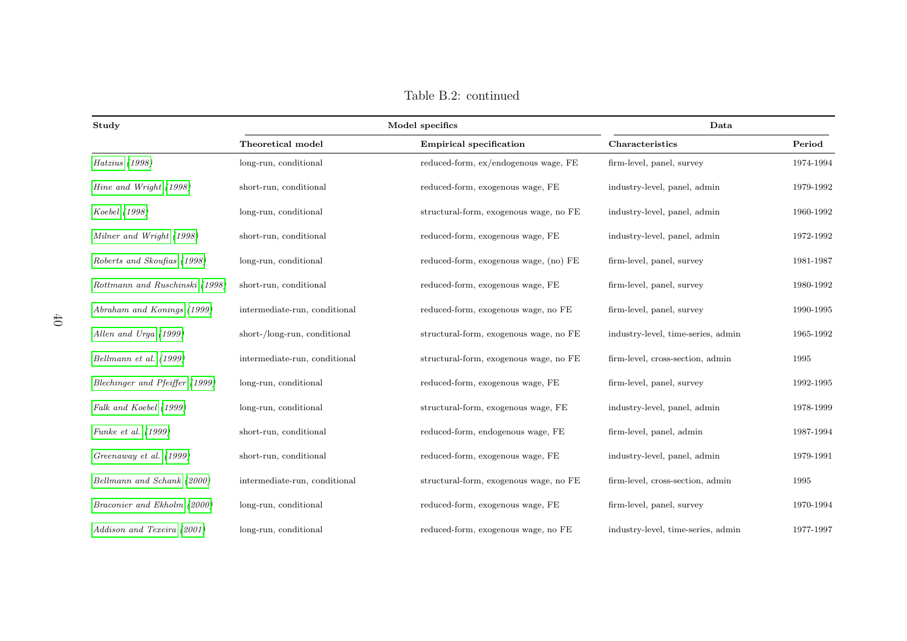|  | Table B.2: continued |
|--|----------------------|
|  |                      |

| Study                          |                               | Model specifics                        | Data                               |           |  |
|--------------------------------|-------------------------------|----------------------------------------|------------------------------------|-----------|--|
|                                | Theoretical model             | <b>Empirical specification</b>         | Characteristics                    | Period    |  |
| Hatzius (1998)                 | long-run, conditional         | reduced-form, ex/endogenous wage, FE   | firm-level, panel, survey          | 1974-1994 |  |
| Hine and Wright (1998)         | short-run, conditional        | reduced-form, exogenous wage, FE       | industry-level, panel, admin       | 1979-1992 |  |
| Koebel (1998)                  | long-run, conditional         | structural-form, exogenous wage, no FE | industry-level, panel, admin       | 1960-1992 |  |
| Milner and Wright (1998)       | short-run, conditional        | reduced-form, exogenous wage, FE       | industry-level, panel, admin       | 1972-1992 |  |
| Roberts and Skoufias (1998)    | long-run, conditional         | reduced-form, exogenous wage, (no) FE  | firm-level, panel, survey          | 1981-1987 |  |
| Rottmann and Ruschinski (1998) | short-run, conditional        | reduced-form, exogenous wage, FE       | firm-level, panel, survey          | 1980-1992 |  |
| Abraham and Konings (1999)     | intermediate-run, conditional | reduced-form, exogenous wage, no FE    | firm-level, panel, survey          | 1990-1995 |  |
| Allen and Urga (1999)          | short-/long-run, conditional  | structural-form, exogenous wage, no FE | industry-level, time-series, admin | 1965-1992 |  |
| Bellmann et al. (1999)         | intermediate-run, conditional | structural-form, exogenous wage, no FE | firm-level, cross-section, admin   | 1995      |  |
| Blechinger and Pfeiffer (1999) | long-run, conditional         | reduced-form, exogenous wage, FE       | firm-level, panel, survey          | 1992-1995 |  |
| Falk and Koebel (1999)         | long-run, conditional         | structural-form, exogenous wage, FE    | industry-level, panel, admin       | 1978-1999 |  |
| Funke et al. (1999)            | short-run, conditional        | reduced-form, endogenous wage, FE      | firm-level, panel, admin           | 1987-1994 |  |
| Greenaway et al. (1999)        | short-run, conditional        | reduced-form, exogenous wage, FE       | industry-level, panel, admin       | 1979-1991 |  |
| Bellmann and Schank (2000)     | intermediate-run, conditional | structural-form, exogenous wage, no FE | firm-level, cross-section, admin   | 1995      |  |
| Braconier and Ekholm (2000)    | long-run, conditional         | reduced-form, exogenous wage, FE       | firm-level, panel, survey          | 1970-1994 |  |
| Addison and Texeira (2001)     | long-run, conditional         | reduced-form, exogenous wage, no FE    | industry-level, time-series, admin | 1977-1997 |  |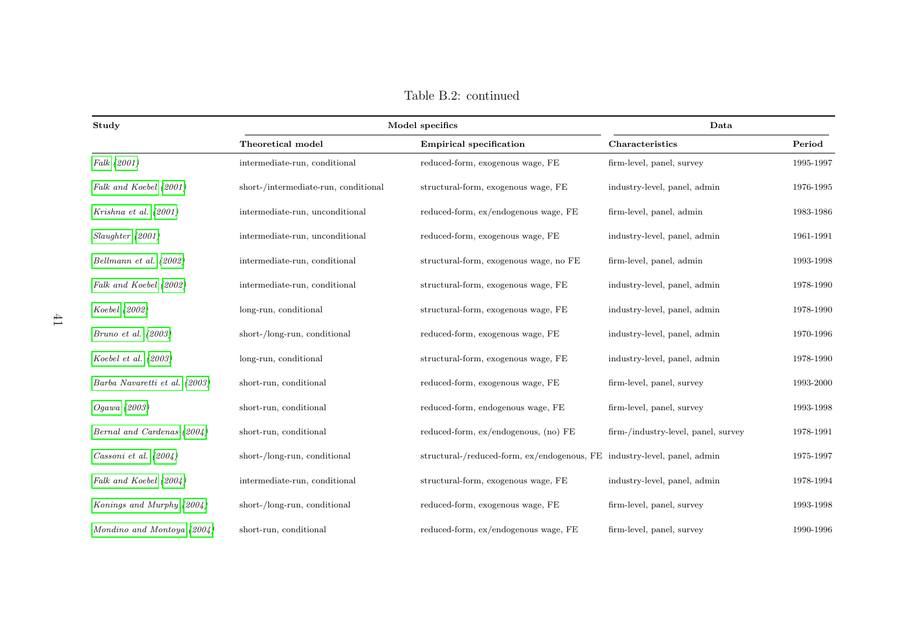|  |  | Table B.2: continued |
|--|--|----------------------|
|--|--|----------------------|

| Study                         |                                      | Model specifics                                                          | Data                                |           |
|-------------------------------|--------------------------------------|--------------------------------------------------------------------------|-------------------------------------|-----------|
|                               | Theoretical model                    | <b>Empirical specification</b>                                           | Characteristics                     | Period    |
| Falk (2001)                   | intermediate-run, conditional        | reduced-form, exogenous wage, FE                                         | firm-level, panel, survey           | 1995-1997 |
| Falk and Koebel (2001)        | short-/intermediate-run, conditional | structural-form, exogenous wage, FE                                      | industry-level, panel, admin        | 1976-1995 |
| Krishna et al. (2001)         | intermediate-run, unconditional      | reduced-form, ex/endogenous wage, FE                                     | firm-level, panel, admin            | 1983-1986 |
| Slaughter (2001)              | intermediate-run, unconditional      | reduced-form, exogenous wage, FE                                         | industry-level, panel, admin        | 1961-1991 |
| Bellmann et al. (2002)        | intermediate-run, conditional        | structural-form, exogenous wage, no FE                                   | firm-level, panel, admin            | 1993-1998 |
| Falk and Koebel (2002)        | intermediate-run, conditional        | structural-form, exogenous wage, FE                                      | industry-level, panel, admin        | 1978-1990 |
| Koebel (2002)                 | long-run, conditional                | structural-form, exogenous wage, FE                                      | industry-level, panel, admin        | 1978-1990 |
| Bruno et al. $(2003)$         | short-/long-run, conditional         | reduced-form, exogenous wage, FE                                         | industry-level, panel, admin        | 1970-1996 |
| Koebel et al. $(2003)$        | long-run, conditional                | structural-form, exogenous wage, FE                                      | industry-level, panel, admin        | 1978-1990 |
| Barba Navaretti et al. (2003) | short-run, conditional               | reduced-form, exogenous wage, FE                                         | firm-level, panel, survey           | 1993-2000 |
| Ogawa (2003)                  | short-run, conditional               | reduced-form, endogenous wage, FE                                        | firm-level, panel, survey           | 1993-1998 |
| Bernal and Cardenas (2004)    | short-run, conditional               | reduced-form, ex/endogenous, (no) FE                                     | firm-/industry-level, panel, survey | 1978-1991 |
| Cassoni et al. $(2004)$       | short-/long-run, conditional         | structural-/reduced-form, ex/endogenous, FE industry-level, panel, admin |                                     | 1975-1997 |
| Falk and Koebel (2004)        | intermediate-run, conditional        | structural-form, exogenous wage, FE                                      | industry-level, panel, admin        | 1978-1994 |
| Konings and Murphy (2004)     | short-/long-run, conditional         | reduced-form, exogenous wage, FE                                         | firm-level, panel, survey           | 1993-1998 |
| Mondino and Montoya (2004)    | short-run, conditional               | reduced-form, ex/endogenous wage, FE                                     | firm-level, panel, survey           | 1990-1996 |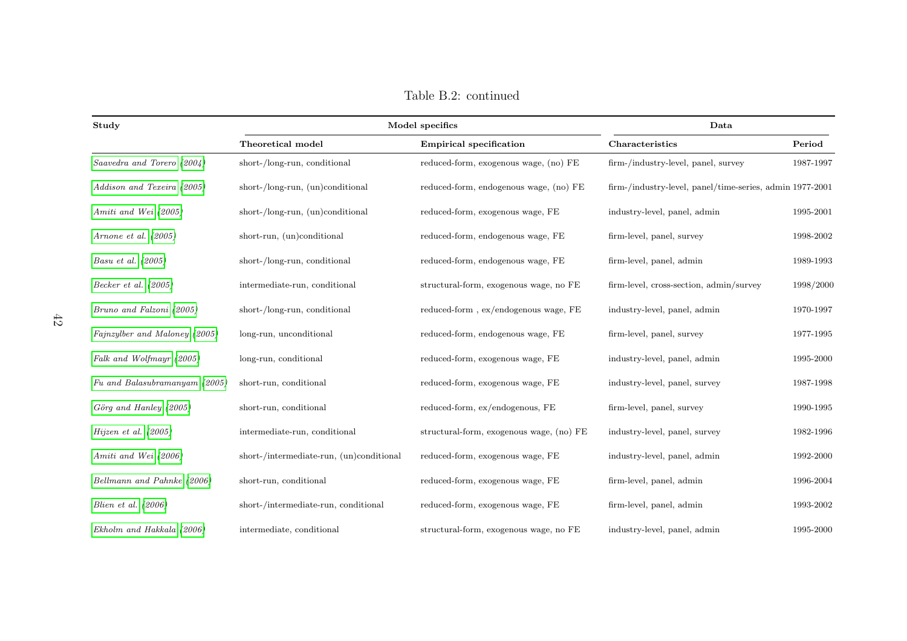|  | Table B.2: continued |
|--|----------------------|
|  |                      |

| Study                         |                                          | Model specifics                          | Data                                                     |           |  |
|-------------------------------|------------------------------------------|------------------------------------------|----------------------------------------------------------|-----------|--|
|                               | Theoretical model                        | <b>Empirical specification</b>           | Characteristics                                          | Period    |  |
| Saavedra and Torero (2004)    | short-/long-run, conditional             | reduced-form, exogenous wage, (no) FE    | firm-/industry-level, panel, survey                      | 1987-1997 |  |
| Addison and Texeira (2005)    | short-/long-run, (un)conditional         | reduced-form, endogenous wage, (no) FE   | firm-/industry-level, panel/time-series, admin 1977-2001 |           |  |
| Amiti and Wei (2005)          | short-/long-run, (un)conditional         | reduced-form, exogenous wage, FE         | industry-level, panel, admin                             | 1995-2001 |  |
| Arnone et al. (2005)          | short-run, (un)conditional               | reduced-form, endogenous wage, FE        | firm-level, panel, survey                                | 1998-2002 |  |
| Basu et al. (2005)            | short-/long-run, conditional             | reduced-form, endogenous wage, FE        | firm-level, panel, admin                                 | 1989-1993 |  |
| Becker et al. $(2005)$        | intermediate-run, conditional            | structural-form, exogenous wage, no FE   | firm-level, cross-section, admin/survey                  | 1998/2000 |  |
| Bruno and Falzoni (2005)      | short-/long-run, conditional             | reduced-form, ex/endogenous wage, FE     | industry-level, panel, admin                             | 1970-1997 |  |
| Fajnzylber and Maloney (2005) | long-run, unconditional                  | reduced-form, endogenous wage, FE        | firm-level, panel, survey                                | 1977-1995 |  |
| Falk and Wolfmayr (2005)      | long-run, conditional                    | reduced-form, exogenous wage, FE         | industry-level, panel, admin                             | 1995-2000 |  |
| Fu and Balasubramanyam (2005) | short-run, conditional                   | reduced-form, exogenous wage, FE         | industry-level, panel, survey                            | 1987-1998 |  |
| Görg and Hanley (2005)        | short-run, conditional                   | reduced-form, ex/endogenous, FE          | firm-level, panel, survey                                | 1990-1995 |  |
| Hijzen et al. $(2005)$        | intermediate-run, conditional            | structural-form, exogenous wage, (no) FE | industry-level, panel, survey                            | 1982-1996 |  |
| Amiti and Wei (2006)          | short-/intermediate-run, (un)conditional | reduced-form, exogenous wage, FE         | industry-level, panel, admin                             | 1992-2000 |  |
| Bellmann and Pahnke (2006)    | short-run, conditional                   | reduced-form, exogenous wage, FE         | firm-level, panel, admin                                 | 1996-2004 |  |
| Blien et al. $(2006)$         | short-/intermediate-run, conditional     | reduced-form, exogenous wage, FE         | firm-level, panel, admin                                 | 1993-2002 |  |
| Ekholm and Hakkala (2006)     | intermediate, conditional                | structural-form, exogenous wage, no FE   | industry-level, panel, admin                             | 1995-2000 |  |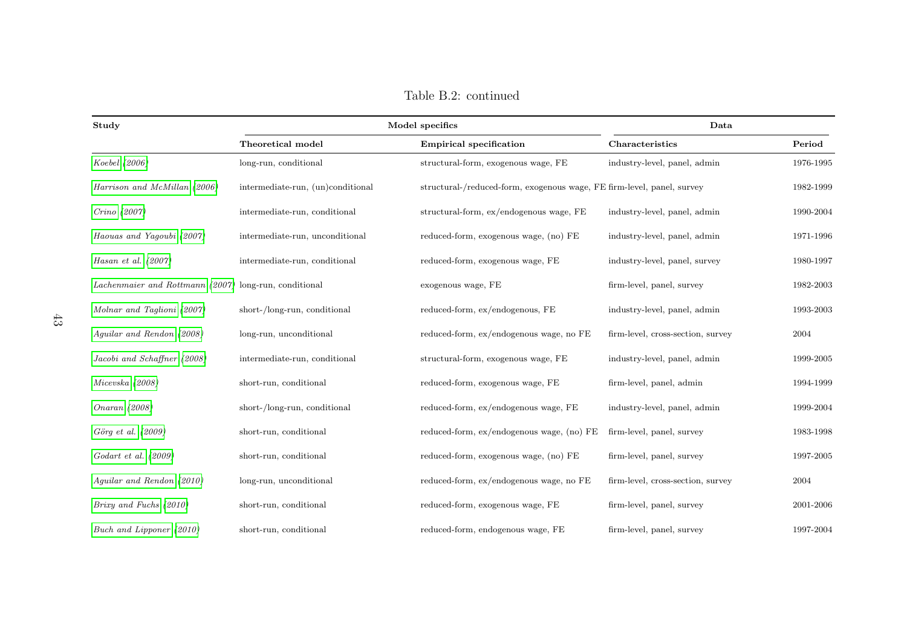| Study                           |                                   | Model specifics                                                        | Data                              |            |  |
|---------------------------------|-----------------------------------|------------------------------------------------------------------------|-----------------------------------|------------|--|
|                                 | Theoretical model                 | <b>Empirical specification</b>                                         | Characteristics                   | Period     |  |
| Koebel (2006)                   | long-run, conditional             | structural-form, exogenous wage, FE                                    | industry-level, panel, admin      | 1976-1995  |  |
| Harrison and McMillan (2006)    | intermediate-run, (un)conditional | structural-/reduced-form, exogenous wage, FE firm-level, panel, survey |                                   | 1982-1999  |  |
| $Crino$ (2007)                  | intermediate-run, conditional     | structural-form, ex/endogenous wage, FE                                | industry-level, panel, admin      | 1990-2004  |  |
| Haouas and Yaqoubi (2007)       | intermediate-run, unconditional   | reduced-form, exogenous wage, (no) FE                                  | industry-level, panel, admin      | 1971-1996  |  |
| Hasan et al. $(2007)$           | intermediate-run, conditional     | reduced-form, exogenous wage, FE                                       | industry-level, panel, survey     | 1980-1997  |  |
| Lachenmaier and Rottmann (2007) | long-run, conditional             | exogenous wage, FE                                                     | firm-level, panel, survey         | 1982-2003  |  |
| Molnar and Taglioni (2007)      | short-/long-run, conditional      | reduced-form, ex/endogenous, FE                                        | industry-level, panel, admin      | 1993-2003  |  |
| Aquilar and Rendon (2008)       | long-run, unconditional           | reduced-form, ex/endogenous wage, no FE                                | firm-level, cross-section, survey | 2004       |  |
| Jacobi and Schaffner (2008)     | intermediate-run, conditional     | structural-form, exogenous wage, FE                                    | industry-level, panel, admin      | 1999-2005  |  |
| Micevska (2008)                 | short-run, conditional            | reduced-form, exogenous wage, FE                                       | firm-level, panel, admin          | 1994-1999  |  |
| Onaran (2008)                   | short-/long-run, conditional      | reduced-form, ex/endogenous wage, FE                                   | industry-level, panel, admin      | 1999-2004  |  |
| Görg et al. (2009)              | short-run, conditional            | reduced-form, ex/endogenous wage, (no) FE                              | firm-level, panel, survey         | 1983-1998  |  |
| Godart et al. (2009)            | short-run, conditional            | reduced-form, exogenous wage, (no) FE                                  | firm-level, panel, survey         | 1997-2005  |  |
| Aguilar and Rendon (2010)       | long-run, unconditional           | reduced-form, ex/endogenous wage, no FE                                | firm-level, cross-section, survey | $\,2004\,$ |  |
| Brixy and Fuchs (2010)          | short-run, conditional            | reduced-form, exogenous wage, FE                                       | firm-level, panel, survey         | 2001-2006  |  |
| Buch and Lipponer (2010)        | short-run, conditional            | reduced-form, endogenous wage, FE                                      | firm-level, panel, survey         | 1997-2004  |  |